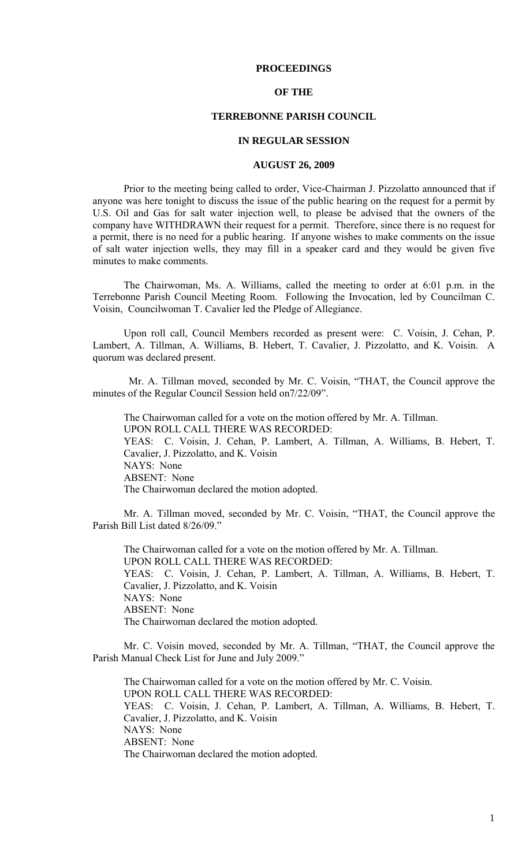## **PROCEEDINGS**

### **OF THE**

## **TERREBONNE PARISH COUNCIL**

#### **IN REGULAR SESSION**

#### **AUGUST 26, 2009**

 Prior to the meeting being called to order, Vice-Chairman J. Pizzolatto announced that if anyone was here tonight to discuss the issue of the public hearing on the request for a permit by U.S. Oil and Gas for salt water injection well, to please be advised that the owners of the company have WITHDRAWN their request for a permit. Therefore, since there is no request for a permit, there is no need for a public hearing. If anyone wishes to make comments on the issue of salt water injection wells, they may fill in a speaker card and they would be given five minutes to make comments.

 The Chairwoman, Ms. A. Williams, called the meeting to order at 6:01 p.m. in the Terrebonne Parish Council Meeting Room. Following the Invocation, led by Councilman C. Voisin, Councilwoman T. Cavalier led the Pledge of Allegiance.

Upon roll call, Council Members recorded as present were: C. Voisin, J. Cehan, P. Lambert, A. Tillman, A. Williams, B. Hebert, T. Cavalier, J. Pizzolatto, and K. Voisin. A quorum was declared present.

 Mr. A. Tillman moved, seconded by Mr. C. Voisin, "THAT, the Council approve the minutes of the Regular Council Session held on7/22/09".

The Chairwoman called for a vote on the motion offered by Mr. A. Tillman. UPON ROLL CALL THERE WAS RECORDED: YEAS: C. Voisin, J. Cehan, P. Lambert, A. Tillman, A. Williams, B. Hebert, T. Cavalier, J. Pizzolatto, and K. Voisin NAYS: None ABSENT: None The Chairwoman declared the motion adopted.

Mr. A. Tillman moved, seconded by Mr. C. Voisin, "THAT, the Council approve the Parish Bill List dated 8/26/09."

The Chairwoman called for a vote on the motion offered by Mr. A. Tillman. UPON ROLL CALL THERE WAS RECORDED: YEAS: C. Voisin, J. Cehan, P. Lambert, A. Tillman, A. Williams, B. Hebert, T. Cavalier, J. Pizzolatto, and K. Voisin NAYS: None ABSENT: None The Chairwoman declared the motion adopted.

Mr. C. Voisin moved, seconded by Mr. A. Tillman, "THAT, the Council approve the Parish Manual Check List for June and July 2009."

The Chairwoman called for a vote on the motion offered by Mr. C. Voisin. UPON ROLL CALL THERE WAS RECORDED: YEAS: C. Voisin, J. Cehan, P. Lambert, A. Tillman, A. Williams, B. Hebert, T. Cavalier, J. Pizzolatto, and K. Voisin NAYS: None ABSENT: None The Chairwoman declared the motion adopted.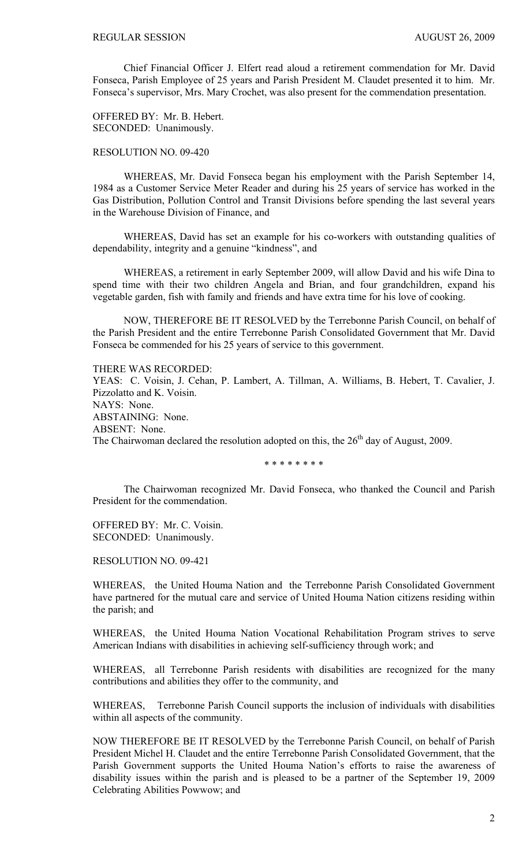Chief Financial Officer J. Elfert read aloud a retirement commendation for Mr. David Fonseca, Parish Employee of 25 years and Parish President M. Claudet presented it to him. Mr. Fonseca's supervisor, Mrs. Mary Crochet, was also present for the commendation presentation.

OFFERED BY: Mr. B. Hebert. SECONDED: Unanimously.

#### RESOLUTION NO. 09-420

WHEREAS, Mr. David Fonseca began his employment with the Parish September 14, 1984 as a Customer Service Meter Reader and during his 25 years of service has worked in the Gas Distribution, Pollution Control and Transit Divisions before spending the last several years in the Warehouse Division of Finance, and

WHEREAS, David has set an example for his co-workers with outstanding qualities of dependability, integrity and a genuine "kindness", and

WHEREAS, a retirement in early September 2009, will allow David and his wife Dina to spend time with their two children Angela and Brian, and four grandchildren, expand his vegetable garden, fish with family and friends and have extra time for his love of cooking.

NOW, THEREFORE BE IT RESOLVED by the Terrebonne Parish Council, on behalf of the Parish President and the entire Terrebonne Parish Consolidated Government that Mr. David Fonseca be commended for his 25 years of service to this government.

THERE WAS RECORDED:

YEAS: C. Voisin, J. Cehan, P. Lambert, A. Tillman, A. Williams, B. Hebert, T. Cavalier, J. Pizzolatto and K. Voisin. NAYS: None. ABSTAINING: None. ABSENT: None. The Chairwoman declared the resolution adopted on this, the  $26<sup>th</sup>$  day of August, 2009.

\* \* \* \* \* \* \* \*

 The Chairwoman recognized Mr. David Fonseca, who thanked the Council and Parish President for the commendation.

OFFERED BY: Mr. C. Voisin. SECONDED: Unanimously.

RESOLUTION NO. 09-421

WHEREAS, the United Houma Nation and the Terrebonne Parish Consolidated Government have partnered for the mutual care and service of United Houma Nation citizens residing within the parish; and

WHEREAS, the United Houma Nation Vocational Rehabilitation Program strives to serve American Indians with disabilities in achieving self-sufficiency through work; and

WHEREAS, all Terrebonne Parish residents with disabilities are recognized for the many contributions and abilities they offer to the community, and

WHEREAS, Terrebonne Parish Council supports the inclusion of individuals with disabilities within all aspects of the community.

NOW THEREFORE BE IT RESOLVED by the Terrebonne Parish Council, on behalf of Parish President Michel H. Claudet and the entire Terrebonne Parish Consolidated Government, that the Parish Government supports the United Houma Nation's efforts to raise the awareness of disability issues within the parish and is pleased to be a partner of the September 19, 2009 Celebrating Abilities Powwow; and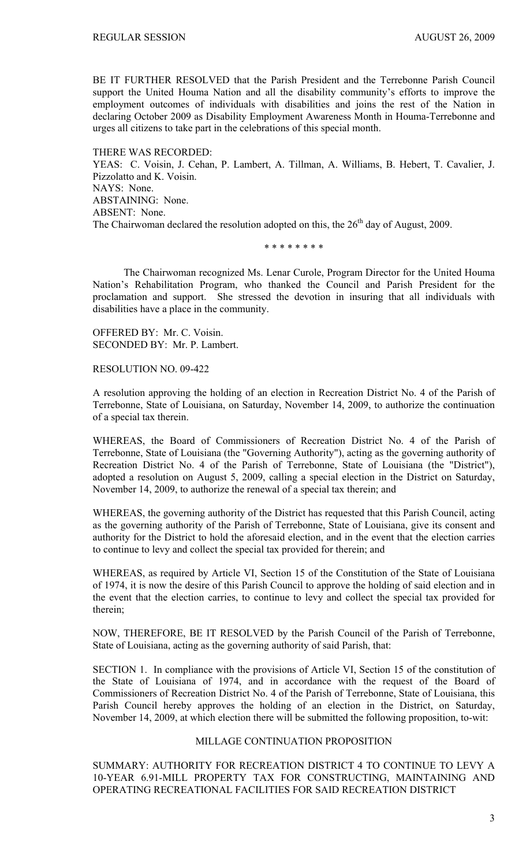BE IT FURTHER RESOLVED that the Parish President and the Terrebonne Parish Council support the United Houma Nation and all the disability community's efforts to improve the employment outcomes of individuals with disabilities and joins the rest of the Nation in declaring October 2009 as Disability Employment Awareness Month in Houma-Terrebonne and urges all citizens to take part in the celebrations of this special month.

THERE WAS RECORDED: YEAS: C. Voisin, J. Cehan, P. Lambert, A. Tillman, A. Williams, B. Hebert, T. Cavalier, J. Pizzolatto and K. Voisin. NAYS: None. ABSTAINING: None. ABSENT: None. The Chairwoman declared the resolution adopted on this, the  $26<sup>th</sup>$  day of August, 2009.

\* \* \* \* \* \* \* \*

 The Chairwoman recognized Ms. Lenar Curole, Program Director for the United Houma Nation's Rehabilitation Program, who thanked the Council and Parish President for the proclamation and support. She stressed the devotion in insuring that all individuals with disabilities have a place in the community.

OFFERED BY: Mr. C. Voisin. SECONDED BY: Mr. P. Lambert.

RESOLUTION NO. 09-422

A resolution approving the holding of an election in Recreation District No. 4 of the Parish of Terrebonne, State of Louisiana, on Saturday, November 14, 2009, to authorize the continuation of a special tax therein.

WHEREAS, the Board of Commissioners of Recreation District No. 4 of the Parish of Terrebonne, State of Louisiana (the "Governing Authority"), acting as the governing authority of Recreation District No. 4 of the Parish of Terrebonne, State of Louisiana (the "District"), adopted a resolution on August 5, 2009, calling a special election in the District on Saturday, November 14, 2009, to authorize the renewal of a special tax therein; and

WHEREAS, the governing authority of the District has requested that this Parish Council, acting as the governing authority of the Parish of Terrebonne, State of Louisiana, give its consent and authority for the District to hold the aforesaid election, and in the event that the election carries to continue to levy and collect the special tax provided for therein; and

WHEREAS, as required by Article VI, Section 15 of the Constitution of the State of Louisiana of 1974, it is now the desire of this Parish Council to approve the holding of said election and in the event that the election carries, to continue to levy and collect the special tax provided for therein;

NOW, THEREFORE, BE IT RESOLVED by the Parish Council of the Parish of Terrebonne, State of Louisiana, acting as the governing authority of said Parish, that:

SECTION 1. In compliance with the provisions of Article VI, Section 15 of the constitution of the State of Louisiana of 1974, and in accordance with the request of the Board of Commissioners of Recreation District No. 4 of the Parish of Terrebonne, State of Louisiana, this Parish Council hereby approves the holding of an election in the District, on Saturday, November 14, 2009, at which election there will be submitted the following proposition, to-wit:

## MILLAGE CONTINUATION PROPOSITION

SUMMARY: AUTHORITY FOR RECREATION DISTRICT 4 TO CONTINUE TO LEVY A 10-YEAR 6.91-MILL PROPERTY TAX FOR CONSTRUCTING, MAINTAINING AND OPERATING RECREATIONAL FACILITIES FOR SAID RECREATION DISTRICT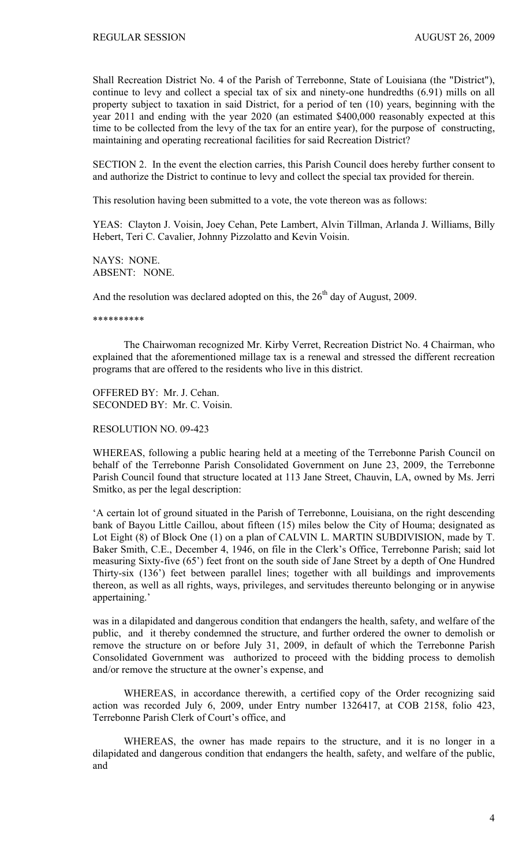Shall Recreation District No. 4 of the Parish of Terrebonne, State of Louisiana (the "District"), continue to levy and collect a special tax of six and ninety-one hundredths (6.91) mills on all property subject to taxation in said District, for a period of ten (10) years, beginning with the year 2011 and ending with the year 2020 (an estimated \$400,000 reasonably expected at this time to be collected from the levy of the tax for an entire year), for the purpose of constructing, maintaining and operating recreational facilities for said Recreation District?

SECTION 2. In the event the election carries, this Parish Council does hereby further consent to and authorize the District to continue to levy and collect the special tax provided for therein.

This resolution having been submitted to a vote, the vote thereon was as follows:

YEAS: Clayton J. Voisin, Joey Cehan, Pete Lambert, Alvin Tillman, Arlanda J. Williams, Billy Hebert, Teri C. Cavalier, Johnny Pizzolatto and Kevin Voisin.

NAYS: NONE. ABSENT: NONE.

And the resolution was declared adopted on this, the  $26<sup>th</sup>$  day of August, 2009.

\*\*\*\*\*\*\*\*\*\*

 The Chairwoman recognized Mr. Kirby Verret, Recreation District No. 4 Chairman, who explained that the aforementioned millage tax is a renewal and stressed the different recreation programs that are offered to the residents who live in this district.

OFFERED BY: Mr. J. Cehan. SECONDED BY: Mr. C. Voisin.

RESOLUTION NO. 09-423

WHEREAS, following a public hearing held at a meeting of the Terrebonne Parish Council on behalf of the Terrebonne Parish Consolidated Government on June 23, 2009, the Terrebonne Parish Council found that structure located at 113 Jane Street, Chauvin, LA, owned by Ms. Jerri Smitko, as per the legal description:

'A certain lot of ground situated in the Parish of Terrebonne, Louisiana, on the right descending bank of Bayou Little Caillou, about fifteen (15) miles below the City of Houma; designated as Lot Eight (8) of Block One (1) on a plan of CALVIN L. MARTIN SUBDIVISION, made by T. Baker Smith, C.E., December 4, 1946, on file in the Clerk's Office, Terrebonne Parish; said lot measuring Sixty-five (65') feet front on the south side of Jane Street by a depth of One Hundred Thirty-six (136') feet between parallel lines; together with all buildings and improvements thereon, as well as all rights, ways, privileges, and servitudes thereunto belonging or in anywise appertaining.'

was in a dilapidated and dangerous condition that endangers the health, safety, and welfare of the public, and it thereby condemned the structure, and further ordered the owner to demolish or remove the structure on or before July 31, 2009, in default of which the Terrebonne Parish Consolidated Government was authorized to proceed with the bidding process to demolish and/or remove the structure at the owner's expense, and

 WHEREAS, in accordance therewith, a certified copy of the Order recognizing said action was recorded July 6, 2009, under Entry number 1326417, at COB 2158, folio 423, Terrebonne Parish Clerk of Court's office, and

WHEREAS, the owner has made repairs to the structure, and it is no longer in a dilapidated and dangerous condition that endangers the health, safety, and welfare of the public, and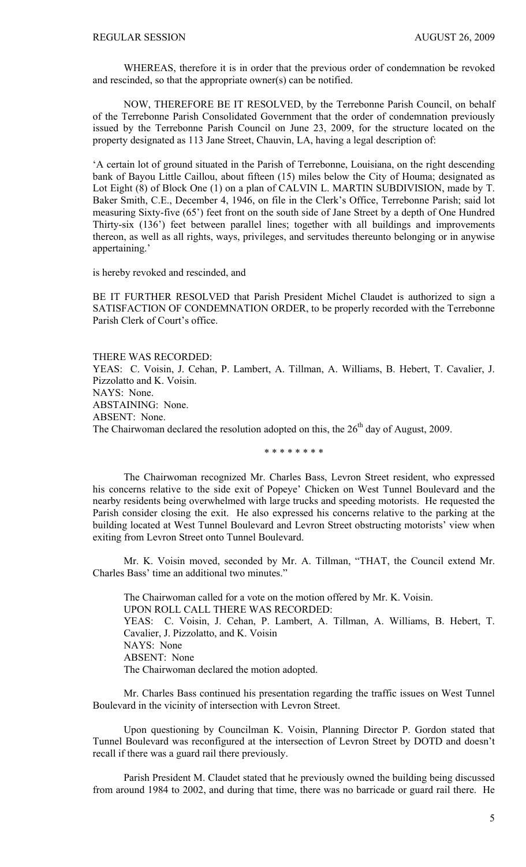WHEREAS, therefore it is in order that the previous order of condemnation be revoked and rescinded, so that the appropriate owner(s) can be notified.

 NOW, THEREFORE BE IT RESOLVED, by the Terrebonne Parish Council, on behalf of the Terrebonne Parish Consolidated Government that the order of condemnation previously issued by the Terrebonne Parish Council on June 23, 2009, for the structure located on the property designated as 113 Jane Street, Chauvin, LA, having a legal description of:

'A certain lot of ground situated in the Parish of Terrebonne, Louisiana, on the right descending bank of Bayou Little Caillou, about fifteen (15) miles below the City of Houma; designated as Lot Eight (8) of Block One (1) on a plan of CALVIN L. MARTIN SUBDIVISION, made by T. Baker Smith, C.E., December 4, 1946, on file in the Clerk's Office, Terrebonne Parish; said lot measuring Sixty-five (65') feet front on the south side of Jane Street by a depth of One Hundred Thirty-six (136') feet between parallel lines; together with all buildings and improvements thereon, as well as all rights, ways, privileges, and servitudes thereunto belonging or in anywise appertaining.'

is hereby revoked and rescinded, and

BE IT FURTHER RESOLVED that Parish President Michel Claudet is authorized to sign a SATISFACTION OF CONDEMNATION ORDER, to be properly recorded with the Terrebonne Parish Clerk of Court's office.

THERE WAS RECORDED: YEAS: C. Voisin, J. Cehan, P. Lambert, A. Tillman, A. Williams, B. Hebert, T. Cavalier, J. Pizzolatto and K. Voisin. NAYS: None. ABSTAINING: None. ABSENT: None. The Chairwoman declared the resolution adopted on this, the  $26<sup>th</sup>$  day of August, 2009.

\* \* \* \* \* \* \* \*

 The Chairwoman recognized Mr. Charles Bass, Levron Street resident, who expressed his concerns relative to the side exit of Popeye' Chicken on West Tunnel Boulevard and the nearby residents being overwhelmed with large trucks and speeding motorists. He requested the Parish consider closing the exit. He also expressed his concerns relative to the parking at the building located at West Tunnel Boulevard and Levron Street obstructing motorists' view when exiting from Levron Street onto Tunnel Boulevard.

 Mr. K. Voisin moved, seconded by Mr. A. Tillman, "THAT, the Council extend Mr. Charles Bass' time an additional two minutes."

 The Chairwoman called for a vote on the motion offered by Mr. K. Voisin. UPON ROLL CALL THERE WAS RECORDED: YEAS: C. Voisin, J. Cehan, P. Lambert, A. Tillman, A. Williams, B. Hebert, T. Cavalier, J. Pizzolatto, and K. Voisin NAYS: None ABSENT: None The Chairwoman declared the motion adopted.

 Mr. Charles Bass continued his presentation regarding the traffic issues on West Tunnel Boulevard in the vicinity of intersection with Levron Street.

 Upon questioning by Councilman K. Voisin, Planning Director P. Gordon stated that Tunnel Boulevard was reconfigured at the intersection of Levron Street by DOTD and doesn't recall if there was a guard rail there previously.

 Parish President M. Claudet stated that he previously owned the building being discussed from around 1984 to 2002, and during that time, there was no barricade or guard rail there. He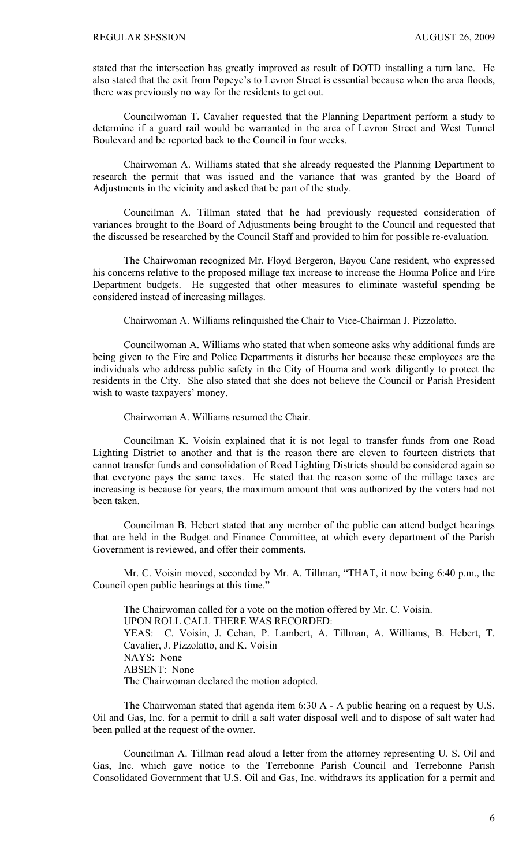stated that the intersection has greatly improved as result of DOTD installing a turn lane. He also stated that the exit from Popeye's to Levron Street is essential because when the area floods, there was previously no way for the residents to get out.

 Councilwoman T. Cavalier requested that the Planning Department perform a study to determine if a guard rail would be warranted in the area of Levron Street and West Tunnel Boulevard and be reported back to the Council in four weeks.

 Chairwoman A. Williams stated that she already requested the Planning Department to research the permit that was issued and the variance that was granted by the Board of Adjustments in the vicinity and asked that be part of the study.

 Councilman A. Tillman stated that he had previously requested consideration of variances brought to the Board of Adjustments being brought to the Council and requested that the discussed be researched by the Council Staff and provided to him for possible re-evaluation.

 The Chairwoman recognized Mr. Floyd Bergeron, Bayou Cane resident, who expressed his concerns relative to the proposed millage tax increase to increase the Houma Police and Fire Department budgets. He suggested that other measures to eliminate wasteful spending be considered instead of increasing millages.

Chairwoman A. Williams relinquished the Chair to Vice-Chairman J. Pizzolatto.

 Councilwoman A. Williams who stated that when someone asks why additional funds are being given to the Fire and Police Departments it disturbs her because these employees are the individuals who address public safety in the City of Houma and work diligently to protect the residents in the City. She also stated that she does not believe the Council or Parish President wish to waste taxpayers' money.

Chairwoman A. Williams resumed the Chair.

 Councilman K. Voisin explained that it is not legal to transfer funds from one Road Lighting District to another and that is the reason there are eleven to fourteen districts that cannot transfer funds and consolidation of Road Lighting Districts should be considered again so that everyone pays the same taxes. He stated that the reason some of the millage taxes are increasing is because for years, the maximum amount that was authorized by the voters had not been taken.

 Councilman B. Hebert stated that any member of the public can attend budget hearings that are held in the Budget and Finance Committee, at which every department of the Parish Government is reviewed, and offer their comments.

 Mr. C. Voisin moved, seconded by Mr. A. Tillman, "THAT, it now being 6:40 p.m., the Council open public hearings at this time."

 The Chairwoman called for a vote on the motion offered by Mr. C. Voisin. UPON ROLL CALL THERE WAS RECORDED: YEAS: C. Voisin, J. Cehan, P. Lambert, A. Tillman, A. Williams, B. Hebert, T. Cavalier, J. Pizzolatto, and K. Voisin NAYS: None ABSENT: None The Chairwoman declared the motion adopted.

 The Chairwoman stated that agenda item 6:30 A - A public hearing on a request by U.S. Oil and Gas, Inc. for a permit to drill a salt water disposal well and to dispose of salt water had been pulled at the request of the owner.

 Councilman A. Tillman read aloud a letter from the attorney representing U. S. Oil and Gas, Inc. which gave notice to the Terrebonne Parish Council and Terrebonne Parish Consolidated Government that U.S. Oil and Gas, Inc. withdraws its application for a permit and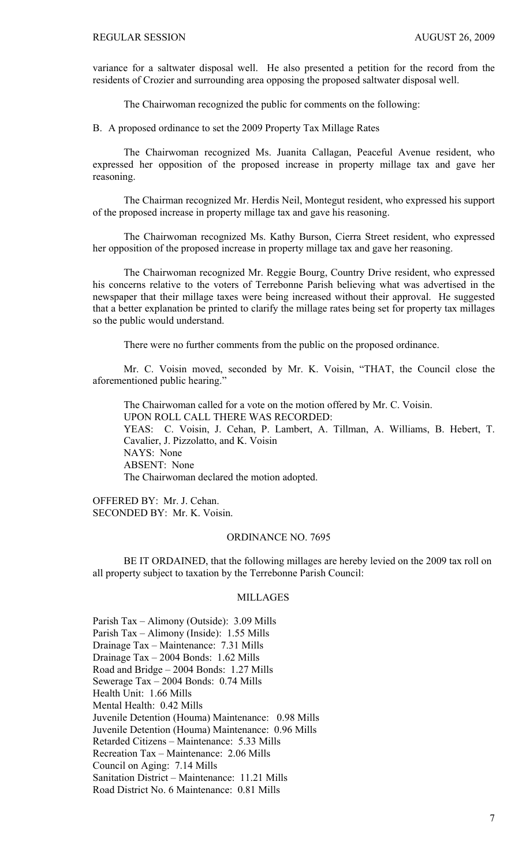variance for a saltwater disposal well. He also presented a petition for the record from the residents of Crozier and surrounding area opposing the proposed saltwater disposal well.

The Chairwoman recognized the public for comments on the following:

B. A proposed ordinance to set the 2009 Property Tax Millage Rates

 The Chairwoman recognized Ms. Juanita Callagan, Peaceful Avenue resident, who expressed her opposition of the proposed increase in property millage tax and gave her reasoning.

 The Chairman recognized Mr. Herdis Neil, Montegut resident, who expressed his support of the proposed increase in property millage tax and gave his reasoning.

 The Chairwoman recognized Ms. Kathy Burson, Cierra Street resident, who expressed her opposition of the proposed increase in property millage tax and gave her reasoning.

 The Chairwoman recognized Mr. Reggie Bourg, Country Drive resident, who expressed his concerns relative to the voters of Terrebonne Parish believing what was advertised in the newspaper that their millage taxes were being increased without their approval. He suggested that a better explanation be printed to clarify the millage rates being set for property tax millages so the public would understand.

There were no further comments from the public on the proposed ordinance.

 Mr. C. Voisin moved, seconded by Mr. K. Voisin, "THAT, the Council close the aforementioned public hearing.'

 The Chairwoman called for a vote on the motion offered by Mr. C. Voisin. UPON ROLL CALL THERE WAS RECORDED: YEAS: C. Voisin, J. Cehan, P. Lambert, A. Tillman, A. Williams, B. Hebert, T. Cavalier, J. Pizzolatto, and K. Voisin NAYS: None ABSENT: None The Chairwoman declared the motion adopted.

OFFERED BY: Mr. J. Cehan. SECONDED BY: Mr. K. Voisin.

### ORDINANCE NO. 7695

 BE IT ORDAINED, that the following millages are hereby levied on the 2009 tax roll on all property subject to taxation by the Terrebonne Parish Council:

### MILLAGES

Parish Tax – Alimony (Outside): 3.09 Mills Parish Tax – Alimony (Inside): 1.55 Mills Drainage Tax – Maintenance: 7.31 Mills Drainage Tax – 2004 Bonds: 1.62 Mills Road and Bridge – 2004 Bonds: 1.27 Mills Sewerage Tax – 2004 Bonds: 0.74 Mills Health Unit: 1.66 Mills Mental Health: 0.42 Mills Juvenile Detention (Houma) Maintenance: 0.98 Mills Juvenile Detention (Houma) Maintenance: 0.96 Mills Retarded Citizens – Maintenance: 5.33 Mills Recreation Tax – Maintenance: 2.06 Mills Council on Aging: 7.14 Mills Sanitation District – Maintenance: 11.21 Mills Road District No. 6 Maintenance: 0.81 Mills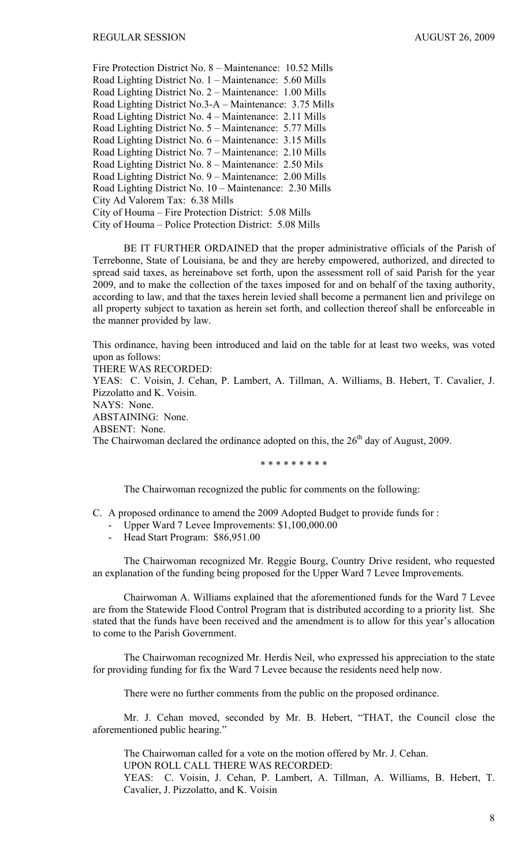Fire Protection District No. 8 – Maintenance: 10.52 Mills Road Lighting District No. 1 – Maintenance: 5.60 Mills Road Lighting District No. 2 – Maintenance: 1.00 Mills Road Lighting District No.3-A – Maintenance: 3.75 Mills Road Lighting District No. 4 – Maintenance: 2.11 Mills Road Lighting District No. 5 – Maintenance: 5.77 Mills Road Lighting District No. 6 – Maintenance: 3.15 Mills Road Lighting District No. 7 – Maintenance: 2.10 Mills Road Lighting District No. 8 – Maintenance: 2.50 Mils Road Lighting District No. 9 – Maintenance: 2.00 Mills Road Lighting District No. 10 – Maintenance: 2.30 Mills City Ad Valorem Tax: 6.38 Mills City of Houma – Fire Protection District: 5.08 Mills City of Houma – Police Protection District: 5.08 Mills

 BE IT FURTHER ORDAINED that the proper administrative officials of the Parish of Terrebonne, State of Louisiana, be and they are hereby empowered, authorized, and directed to spread said taxes, as hereinabove set forth, upon the assessment roll of said Parish for the year 2009, and to make the collection of the taxes imposed for and on behalf of the taxing authority, according to law, and that the taxes herein levied shall become a permanent lien and privilege on all property subject to taxation as herein set forth, and collection thereof shall be enforceable in the manner provided by law.

This ordinance, having been introduced and laid on the table for at least two weeks, was voted upon as follows:

THERE WAS RECORDED:

YEAS: C. Voisin, J. Cehan, P. Lambert, A. Tillman, A. Williams, B. Hebert, T. Cavalier, J. Pizzolatto and K. Voisin. NAYS: None. ABSTAINING: None. ABSENT: None. The Chairwoman declared the ordinance adopted on this, the  $26<sup>th</sup>$  day of August, 2009.

\* \* \* \* \* \* \* \* \*

The Chairwoman recognized the public for comments on the following:

C. A proposed ordinance to amend the 2009 Adopted Budget to provide funds for :

- Upper Ward 7 Levee Improvements: \$1,100,000.00
- Head Start Program: \$86,951.00

 The Chairwoman recognized Mr. Reggie Bourg, Country Drive resident, who requested an explanation of the funding being proposed for the Upper Ward 7 Levee Improvements.

 Chairwoman A. Williams explained that the aforementioned funds for the Ward 7 Levee are from the Statewide Flood Control Program that is distributed according to a priority list. She stated that the funds have been received and the amendment is to allow for this year's allocation to come to the Parish Government.

 The Chairwoman recognized Mr. Herdis Neil, who expressed his appreciation to the state for providing funding for fix the Ward 7 Levee because the residents need help now.

There were no further comments from the public on the proposed ordinance.

 Mr. J. Cehan moved, seconded by Mr. B. Hebert, "THAT, the Council close the aforementioned public hearing."

 The Chairwoman called for a vote on the motion offered by Mr. J. Cehan. UPON ROLL CALL THERE WAS RECORDED:

YEAS: C. Voisin, J. Cehan, P. Lambert, A. Tillman, A. Williams, B. Hebert, T. Cavalier, J. Pizzolatto, and K. Voisin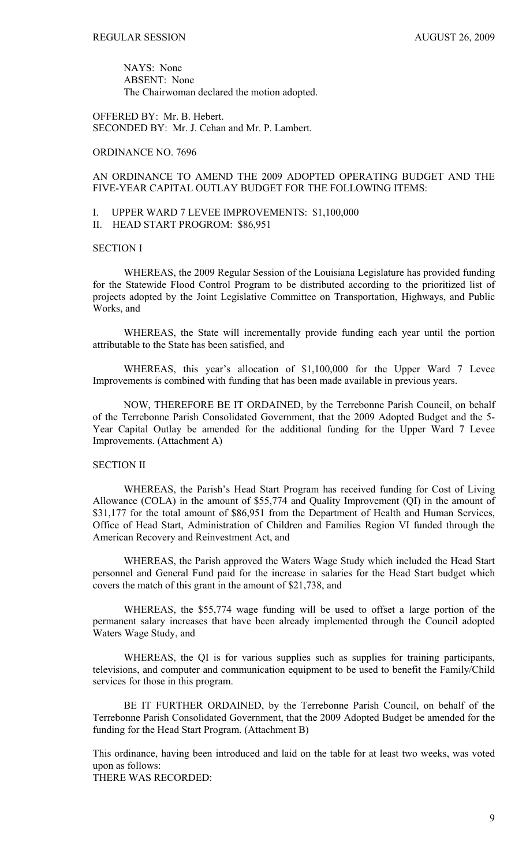NAYS: None ABSENT: None The Chairwoman declared the motion adopted.

OFFERED BY: Mr. B. Hebert. SECONDED BY: Mr. J. Cehan and Mr. P. Lambert.

### ORDINANCE NO. 7696

## AN ORDINANCE TO AMEND THE 2009 ADOPTED OPERATING BUDGET AND THE FIVE-YEAR CAPITAL OUTLAY BUDGET FOR THE FOLLOWING ITEMS:

### I. UPPER WARD 7 LEVEE IMPROVEMENTS: \$1,100,000

II. HEAD START PROGROM: \$86,951

#### SECTION I

 WHEREAS, the 2009 Regular Session of the Louisiana Legislature has provided funding for the Statewide Flood Control Program to be distributed according to the prioritized list of projects adopted by the Joint Legislative Committee on Transportation, Highways, and Public Works, and

 WHEREAS, the State will incrementally provide funding each year until the portion attributable to the State has been satisfied, and

 WHEREAS, this year's allocation of \$1,100,000 for the Upper Ward 7 Levee Improvements is combined with funding that has been made available in previous years.

NOW, THEREFORE BE IT ORDAINED, by the Terrebonne Parish Council, on behalf of the Terrebonne Parish Consolidated Government, that the 2009 Adopted Budget and the 5- Year Capital Outlay be amended for the additional funding for the Upper Ward 7 Levee Improvements. (Attachment A)

#### SECTION II

 WHEREAS, the Parish's Head Start Program has received funding for Cost of Living Allowance (COLA) in the amount of \$55,774 and Quality Improvement (QI) in the amount of \$31,177 for the total amount of \$86,951 from the Department of Health and Human Services, Office of Head Start, Administration of Children and Families Region VI funded through the American Recovery and Reinvestment Act, and

 WHEREAS, the Parish approved the Waters Wage Study which included the Head Start personnel and General Fund paid for the increase in salaries for the Head Start budget which covers the match of this grant in the amount of \$21,738, and

 WHEREAS, the \$55,774 wage funding will be used to offset a large portion of the permanent salary increases that have been already implemented through the Council adopted Waters Wage Study, and

WHEREAS, the QI is for various supplies such as supplies for training participants, televisions, and computer and communication equipment to be used to benefit the Family/Child services for those in this program.

 BE IT FURTHER ORDAINED, by the Terrebonne Parish Council, on behalf of the Terrebonne Parish Consolidated Government, that the 2009 Adopted Budget be amended for the funding for the Head Start Program. (Attachment B)

This ordinance, having been introduced and laid on the table for at least two weeks, was voted upon as follows:

THERE WAS RECORDED: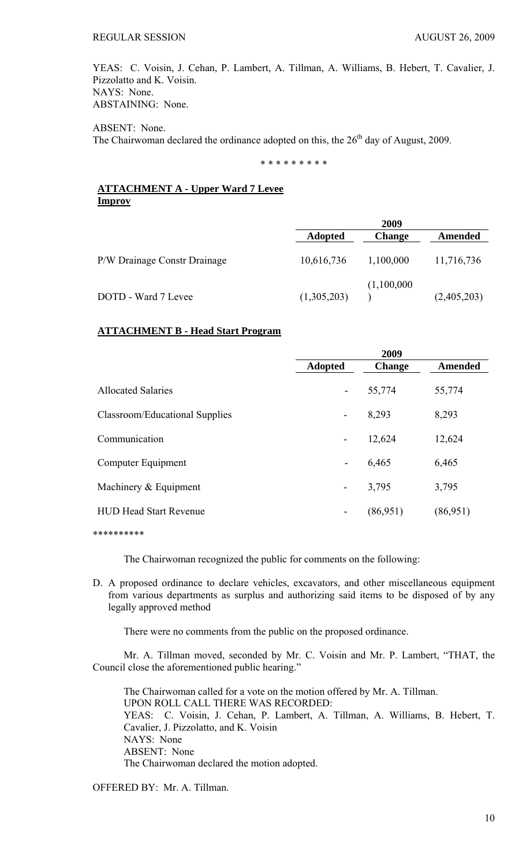YEAS: C. Voisin, J. Cehan, P. Lambert, A. Tillman, A. Williams, B. Hebert, T. Cavalier, J. Pizzolatto and K. Voisin. NAYS: None. ABSTAINING: None.

ABSENT: None. The Chairwoman declared the ordinance adopted on this, the  $26<sup>th</sup>$  day of August, 2009.

\* \* \* \* \* \* \* \* \*

# **ATTACHMENT A - Upper Ward 7 Levee Improv**

|                              |                | 2009          |             |
|------------------------------|----------------|---------------|-------------|
|                              | <b>Adopted</b> | <b>Change</b> | Amended     |
| P/W Drainage Constr Drainage | 10,616,736     | 1,100,000     | 11,716,736  |
| DOTD - Ward 7 Levee          | (1,305,203)    | (1,100,000)   | (2,405,203) |

# **ATTACHMENT B - Head Start Program**

|                                       |                          | 2009          |                |
|---------------------------------------|--------------------------|---------------|----------------|
|                                       | <b>Adopted</b>           | <b>Change</b> | <b>Amended</b> |
| <b>Allocated Salaries</b>             | $\overline{\phantom{a}}$ | 55,774        | 55,774         |
| <b>Classroom/Educational Supplies</b> | -                        | 8,293         | 8,293          |
| Communication                         | $\overline{\phantom{a}}$ | 12,624        | 12,624         |
| Computer Equipment                    | $\blacksquare$           | 6,465         | 6,465          |
| Machinery & Equipment                 | -                        | 3,795         | 3,795          |
| <b>HUD Head Start Revenue</b>         | -                        | (86,951)      | (86,951)       |
|                                       |                          |               |                |

\*\*\*\*\*\*\*\*\*\*

The Chairwoman recognized the public for comments on the following:

D. A proposed ordinance to declare vehicles, excavators, and other miscellaneous equipment from various departments as surplus and authorizing said items to be disposed of by any legally approved method

There were no comments from the public on the proposed ordinance.

 Mr. A. Tillman moved, seconded by Mr. C. Voisin and Mr. P. Lambert, "THAT, the Council close the aforementioned public hearing."

 The Chairwoman called for a vote on the motion offered by Mr. A. Tillman. UPON ROLL CALL THERE WAS RECORDED: YEAS: C. Voisin, J. Cehan, P. Lambert, A. Tillman, A. Williams, B. Hebert, T. Cavalier, J. Pizzolatto, and K. Voisin NAYS: None ABSENT: None The Chairwoman declared the motion adopted.

OFFERED BY: Mr. A. Tillman.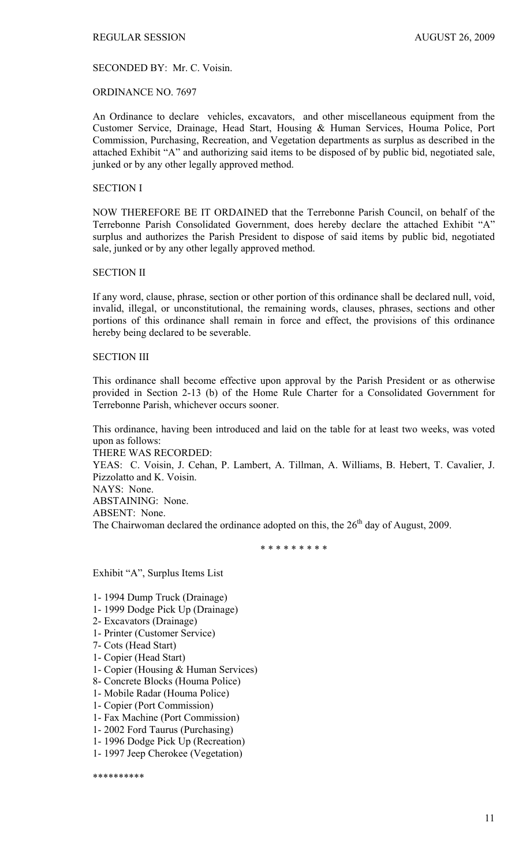SECONDED BY: Mr. C. Voisin.

### ORDINANCE NO. 7697

An Ordinance to declare vehicles, excavators, and other miscellaneous equipment from the Customer Service, Drainage, Head Start, Housing & Human Services, Houma Police, Port Commission, Purchasing, Recreation, and Vegetation departments as surplus as described in the attached Exhibit "A" and authorizing said items to be disposed of by public bid, negotiated sale, junked or by any other legally approved method.

### SECTION I

NOW THEREFORE BE IT ORDAINED that the Terrebonne Parish Council, on behalf of the Terrebonne Parish Consolidated Government, does hereby declare the attached Exhibit "A" surplus and authorizes the Parish President to dispose of said items by public bid, negotiated sale, junked or by any other legally approved method.

## SECTION II

If any word, clause, phrase, section or other portion of this ordinance shall be declared null, void, invalid, illegal, or unconstitutional, the remaining words, clauses, phrases, sections and other portions of this ordinance shall remain in force and effect, the provisions of this ordinance hereby being declared to be severable.

## SECTION III

This ordinance shall become effective upon approval by the Parish President or as otherwise provided in Section 2-13 (b) of the Home Rule Charter for a Consolidated Government for Terrebonne Parish, whichever occurs sooner.

This ordinance, having been introduced and laid on the table for at least two weeks, was voted upon as follows:

THERE WAS RECORDED:

YEAS: C. Voisin, J. Cehan, P. Lambert, A. Tillman, A. Williams, B. Hebert, T. Cavalier, J. Pizzolatto and K. Voisin.

NAYS: None.

ABSTAINING: None.

ABSENT: None.

The Chairwoman declared the ordinance adopted on this, the  $26<sup>th</sup>$  day of August, 2009.

\* \* \* \* \* \* \* \* \*

Exhibit "A", Surplus Items List

- 1- 1994 Dump Truck (Drainage)
- 1- 1999 Dodge Pick Up (Drainage)
- 2- Excavators (Drainage)
- 1- Printer (Customer Service)
- 7- Cots (Head Start)
- 1- Copier (Head Start)
- 1- Copier (Housing & Human Services)
- 8- Concrete Blocks (Houma Police)
- 1- Mobile Radar (Houma Police)
- 1- Copier (Port Commission)
- 1- Fax Machine (Port Commission)
- 1- 2002 Ford Taurus (Purchasing)
- 1- 1996 Dodge Pick Up (Recreation)
- 1- 1997 Jeep Cherokee (Vegetation)

\*\*\*\*\*\*\*\*\*\*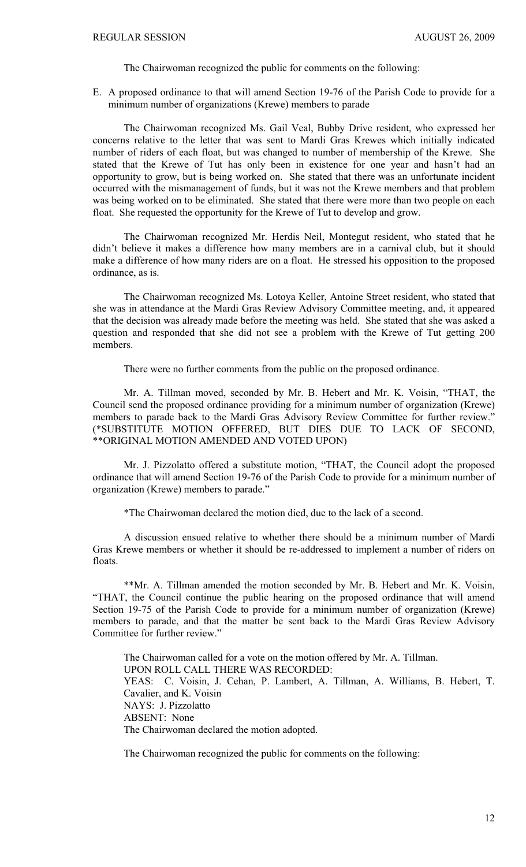The Chairwoman recognized the public for comments on the following:

E. A proposed ordinance to that will amend Section 19-76 of the Parish Code to provide for a minimum number of organizations (Krewe) members to parade

 The Chairwoman recognized Ms. Gail Veal, Bubby Drive resident, who expressed her concerns relative to the letter that was sent to Mardi Gras Krewes which initially indicated number of riders of each float, but was changed to number of membership of the Krewe. She stated that the Krewe of Tut has only been in existence for one year and hasn't had an opportunity to grow, but is being worked on. She stated that there was an unfortunate incident occurred with the mismanagement of funds, but it was not the Krewe members and that problem was being worked on to be eliminated. She stated that there were more than two people on each float. She requested the opportunity for the Krewe of Tut to develop and grow.

 The Chairwoman recognized Mr. Herdis Neil, Montegut resident, who stated that he didn't believe it makes a difference how many members are in a carnival club, but it should make a difference of how many riders are on a float. He stressed his opposition to the proposed ordinance, as is.

 The Chairwoman recognized Ms. Lotoya Keller, Antoine Street resident, who stated that she was in attendance at the Mardi Gras Review Advisory Committee meeting, and, it appeared that the decision was already made before the meeting was held. She stated that she was asked a question and responded that she did not see a problem with the Krewe of Tut getting 200 members.

There were no further comments from the public on the proposed ordinance.

 Mr. A. Tillman moved, seconded by Mr. B. Hebert and Mr. K. Voisin, "THAT, the Council send the proposed ordinance providing for a minimum number of organization (Krewe) members to parade back to the Mardi Gras Advisory Review Committee for further review." (\*SUBSTITUTE MOTION OFFERED, BUT DIES DUE TO LACK OF SECOND, \*\*ORIGINAL MOTION AMENDED AND VOTED UPON)

 Mr. J. Pizzolatto offered a substitute motion, "THAT, the Council adopt the proposed ordinance that will amend Section 19-76 of the Parish Code to provide for a minimum number of organization (Krewe) members to parade."

\*The Chairwoman declared the motion died, due to the lack of a second.

 A discussion ensued relative to whether there should be a minimum number of Mardi Gras Krewe members or whether it should be re-addressed to implement a number of riders on floats.

 \*\*Mr. A. Tillman amended the motion seconded by Mr. B. Hebert and Mr. K. Voisin, "THAT, the Council continue the public hearing on the proposed ordinance that will amend Section 19-75 of the Parish Code to provide for a minimum number of organization (Krewe) members to parade, and that the matter be sent back to the Mardi Gras Review Advisory Committee for further review."

 The Chairwoman called for a vote on the motion offered by Mr. A. Tillman. UPON ROLL CALL THERE WAS RECORDED: YEAS: C. Voisin, J. Cehan, P. Lambert, A. Tillman, A. Williams, B. Hebert, T. Cavalier, and K. Voisin NAYS: J. Pizzolatto ABSENT: None The Chairwoman declared the motion adopted.

The Chairwoman recognized the public for comments on the following: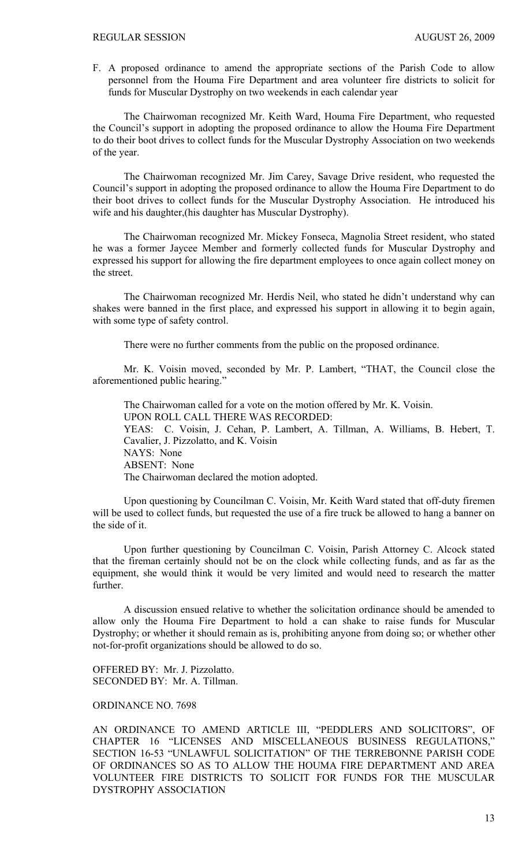F. A proposed ordinance to amend the appropriate sections of the Parish Code to allow personnel from the Houma Fire Department and area volunteer fire districts to solicit for funds for Muscular Dystrophy on two weekends in each calendar year

 The Chairwoman recognized Mr. Keith Ward, Houma Fire Department, who requested the Council's support in adopting the proposed ordinance to allow the Houma Fire Department to do their boot drives to collect funds for the Muscular Dystrophy Association on two weekends of the year.

 The Chairwoman recognized Mr. Jim Carey, Savage Drive resident, who requested the Council's support in adopting the proposed ordinance to allow the Houma Fire Department to do their boot drives to collect funds for the Muscular Dystrophy Association. He introduced his wife and his daughter,(his daughter has Muscular Dystrophy).

 The Chairwoman recognized Mr. Mickey Fonseca, Magnolia Street resident, who stated he was a former Jaycee Member and formerly collected funds for Muscular Dystrophy and expressed his support for allowing the fire department employees to once again collect money on the street.

 The Chairwoman recognized Mr. Herdis Neil, who stated he didn't understand why can shakes were banned in the first place, and expressed his support in allowing it to begin again, with some type of safety control.

There were no further comments from the public on the proposed ordinance.

 Mr. K. Voisin moved, seconded by Mr. P. Lambert, "THAT, the Council close the aforementioned public hearing."

 The Chairwoman called for a vote on the motion offered by Mr. K. Voisin. UPON ROLL CALL THERE WAS RECORDED: YEAS: C. Voisin, J. Cehan, P. Lambert, A. Tillman, A. Williams, B. Hebert, T. Cavalier, J. Pizzolatto, and K. Voisin NAYS: None ABSENT: None The Chairwoman declared the motion adopted.

 Upon questioning by Councilman C. Voisin, Mr. Keith Ward stated that off-duty firemen will be used to collect funds, but requested the use of a fire truck be allowed to hang a banner on the side of it.

 Upon further questioning by Councilman C. Voisin, Parish Attorney C. Alcock stated that the fireman certainly should not be on the clock while collecting funds, and as far as the equipment, she would think it would be very limited and would need to research the matter further.

 A discussion ensued relative to whether the solicitation ordinance should be amended to allow only the Houma Fire Department to hold a can shake to raise funds for Muscular Dystrophy; or whether it should remain as is, prohibiting anyone from doing so; or whether other not-for-profit organizations should be allowed to do so.

OFFERED BY: Mr. J. Pizzolatto. SECONDED BY: Mr. A. Tillman.

#### ORDINANCE NO. 7698

AN ORDINANCE TO AMEND ARTICLE III, "PEDDLERS AND SOLICITORS", OF CHAPTER 16 "LICENSES AND MISCELLANEOUS BUSINESS REGULATIONS," SECTION 16-53 "UNLAWFUL SOLICITATION" OF THE TERREBONNE PARISH CODE OF ORDINANCES SO AS TO ALLOW THE HOUMA FIRE DEPARTMENT AND AREA VOLUNTEER FIRE DISTRICTS TO SOLICIT FOR FUNDS FOR THE MUSCULAR DYSTROPHY ASSOCIATION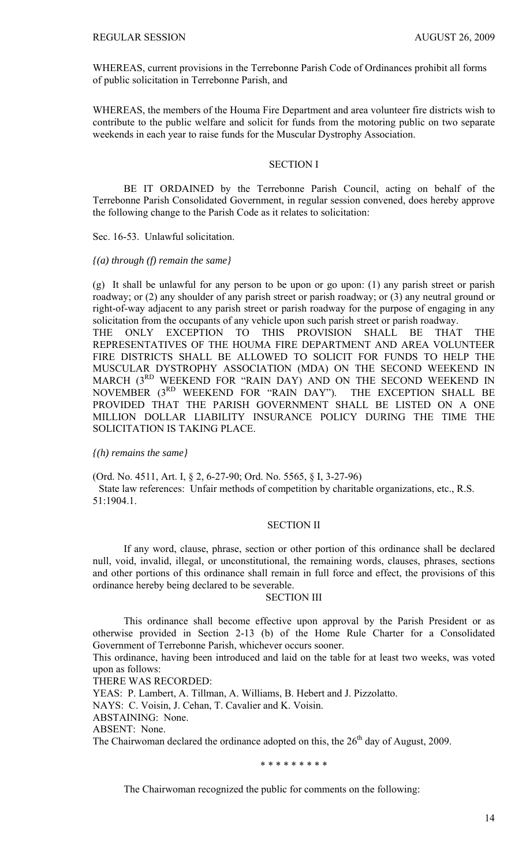WHEREAS, current provisions in the Terrebonne Parish Code of Ordinances prohibit all forms of public solicitation in Terrebonne Parish, and

WHEREAS, the members of the Houma Fire Department and area volunteer fire districts wish to contribute to the public welfare and solicit for funds from the motoring public on two separate weekends in each year to raise funds for the Muscular Dystrophy Association.

### SECTION I

BE IT ORDAINED by the Terrebonne Parish Council, acting on behalf of the Terrebonne Parish Consolidated Government, in regular session convened, does hereby approve the following change to the Parish Code as it relates to solicitation:

Sec. 16-53. Unlawful solicitation.

*{(a) through (f) remain the same}* 

(g) It shall be unlawful for any person to be upon or go upon: (1) any parish street or parish roadway; or (2) any shoulder of any parish street or parish roadway; or (3) any neutral ground or right-of-way adjacent to any parish street or parish roadway for the purpose of engaging in any solicitation from the occupants of any vehicle upon such parish street or parish roadway.

THE ONLY EXCEPTION TO THIS PROVISION SHALL BE THAT THE REPRESENTATIVES OF THE HOUMA FIRE DEPARTMENT AND AREA VOLUNTEER FIRE DISTRICTS SHALL BE ALLOWED TO SOLICIT FOR FUNDS TO HELP THE MUSCULAR DYSTROPHY ASSOCIATION (MDA) ON THE SECOND WEEKEND IN MARCH  $(3^{RD}$  WEEKEND FOR "RAIN DAY) AND ON THE SECOND WEEKEND IN NOVEMBER (3<sup>RD</sup> WEEKEND FOR "RAIN DAY"). THE EXCEPTION SHALL BE PROVIDED THAT THE PARISH GOVERNMENT SHALL BE LISTED ON A ONE MILLION DOLLAR LIABILITY INSURANCE POLICY DURING THE TIME THE SOLICITATION IS TAKING PLACE.

*{(h) remains the same}* 

(Ord. No. 4511, Art. I, § 2, 6-27-90; Ord. No. 5565, § I, 3-27-96) State law references: Unfair methods of competition by charitable organizations, etc., R.S. 51:1904.1.

#### SECTION II

If any word, clause, phrase, section or other portion of this ordinance shall be declared null, void, invalid, illegal, or unconstitutional, the remaining words, clauses, phrases, sections and other portions of this ordinance shall remain in full force and effect, the provisions of this ordinance hereby being declared to be severable.

#### SECTION III

This ordinance shall become effective upon approval by the Parish President or as otherwise provided in Section 2-13 (b) of the Home Rule Charter for a Consolidated Government of Terrebonne Parish, whichever occurs sooner.

This ordinance, having been introduced and laid on the table for at least two weeks, was voted upon as follows:

THERE WAS RECORDED:

YEAS: P. Lambert, A. Tillman, A. Williams, B. Hebert and J. Pizzolatto.

NAYS: C. Voisin, J. Cehan, T. Cavalier and K. Voisin.

ABSTAINING: None.

ABSENT: None.

The Chairwoman declared the ordinance adopted on this, the  $26<sup>th</sup>$  day of August, 2009.

\* \* \* \* \* \* \* \* \*

The Chairwoman recognized the public for comments on the following: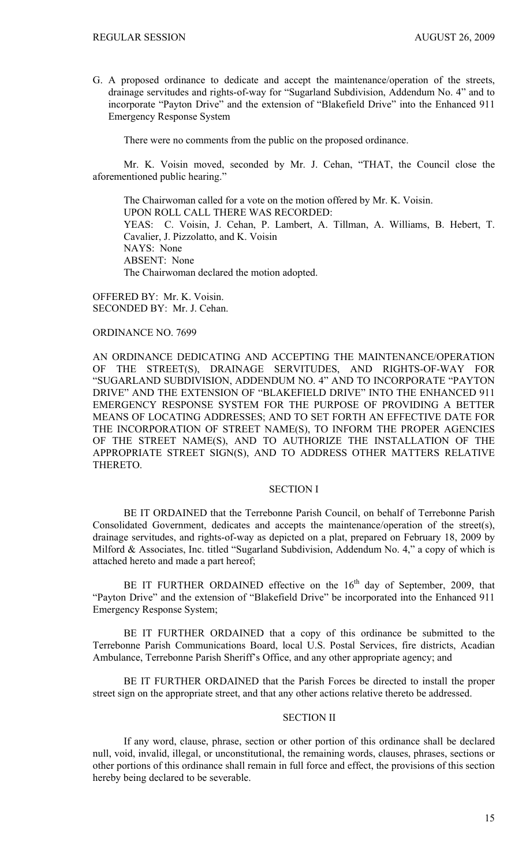G. A proposed ordinance to dedicate and accept the maintenance/operation of the streets, drainage servitudes and rights-of-way for "Sugarland Subdivision, Addendum No. 4" and to incorporate "Payton Drive" and the extension of "Blakefield Drive" into the Enhanced 911 Emergency Response System

There were no comments from the public on the proposed ordinance.

 Mr. K. Voisin moved, seconded by Mr. J. Cehan, "THAT, the Council close the aforementioned public hearing."

 The Chairwoman called for a vote on the motion offered by Mr. K. Voisin. UPON ROLL CALL THERE WAS RECORDED: YEAS: C. Voisin, J. Cehan, P. Lambert, A. Tillman, A. Williams, B. Hebert, T. Cavalier, J. Pizzolatto, and K. Voisin NAYS: None ABSENT: None The Chairwoman declared the motion adopted.

OFFERED BY: Mr. K. Voisin. SECONDED BY: Mr. J. Cehan.

## ORDINANCE NO. 7699

AN ORDINANCE DEDICATING AND ACCEPTING THE MAINTENANCE/OPERATION OF THE STREET(S), DRAINAGE SERVITUDES, AND RIGHTS-OF-WAY FOR "SUGARLAND SUBDIVISION, ADDENDUM NO. 4" AND TO INCORPORATE "PAYTON DRIVE" AND THE EXTENSION OF "BLAKEFIELD DRIVE" INTO THE ENHANCED 911 EMERGENCY RESPONSE SYSTEM FOR THE PURPOSE OF PROVIDING A BETTER MEANS OF LOCATING ADDRESSES; AND TO SET FORTH AN EFFECTIVE DATE FOR THE INCORPORATION OF STREET NAME(S), TO INFORM THE PROPER AGENCIES OF THE STREET NAME(S), AND TO AUTHORIZE THE INSTALLATION OF THE APPROPRIATE STREET SIGN(S), AND TO ADDRESS OTHER MATTERS RELATIVE THERETO.

#### SECTION I

BE IT ORDAINED that the Terrebonne Parish Council, on behalf of Terrebonne Parish Consolidated Government, dedicates and accepts the maintenance/operation of the street(s), drainage servitudes, and rights-of-way as depicted on a plat, prepared on February 18, 2009 by Milford & Associates, Inc. titled "Sugarland Subdivision, Addendum No. 4," a copy of which is attached hereto and made a part hereof;

BE IT FURTHER ORDAINED effective on the  $16<sup>th</sup>$  day of September, 2009, that "Payton Drive" and the extension of "Blakefield Drive" be incorporated into the Enhanced 911 Emergency Response System;

BE IT FURTHER ORDAINED that a copy of this ordinance be submitted to the Terrebonne Parish Communications Board, local U.S. Postal Services, fire districts, Acadian Ambulance, Terrebonne Parish Sheriff's Office, and any other appropriate agency; and

BE IT FURTHER ORDAINED that the Parish Forces be directed to install the proper street sign on the appropriate street, and that any other actions relative thereto be addressed.

### SECTION II

If any word, clause, phrase, section or other portion of this ordinance shall be declared null, void, invalid, illegal, or unconstitutional, the remaining words, clauses, phrases, sections or other portions of this ordinance shall remain in full force and effect, the provisions of this section hereby being declared to be severable.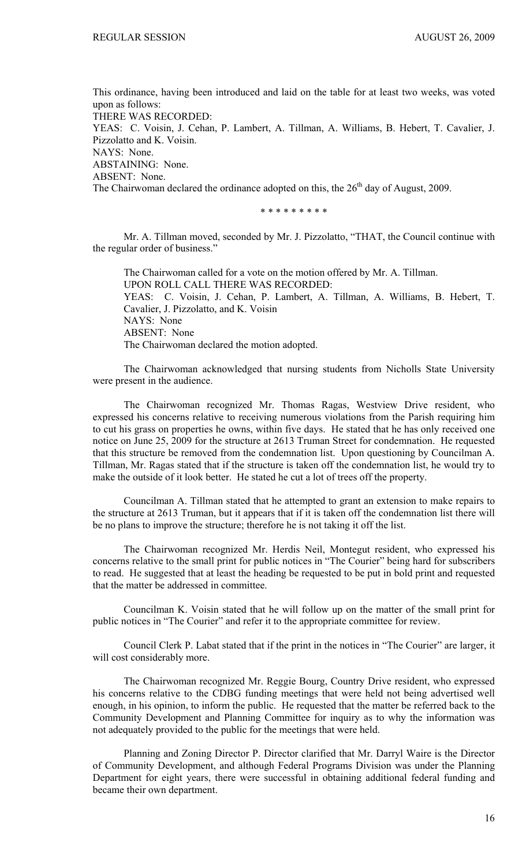This ordinance, having been introduced and laid on the table for at least two weeks, was voted upon as follows: THERE WAS RECORDED: YEAS: C. Voisin, J. Cehan, P. Lambert, A. Tillman, A. Williams, B. Hebert, T. Cavalier, J. Pizzolatto and K. Voisin. NAYS: None. ABSTAINING: None. ABSENT: None.

The Chairwoman declared the ordinance adopted on this, the  $26<sup>th</sup>$  day of August, 2009.

\* \* \* \* \* \* \* \* \*

Mr. A. Tillman moved, seconded by Mr. J. Pizzolatto, "THAT, the Council continue with the regular order of business."

 The Chairwoman called for a vote on the motion offered by Mr. A. Tillman. UPON ROLL CALL THERE WAS RECORDED: YEAS: C. Voisin, J. Cehan, P. Lambert, A. Tillman, A. Williams, B. Hebert, T. Cavalier, J. Pizzolatto, and K. Voisin NAYS: None ABSENT: None The Chairwoman declared the motion adopted.

 The Chairwoman acknowledged that nursing students from Nicholls State University were present in the audience.

 The Chairwoman recognized Mr. Thomas Ragas, Westview Drive resident, who expressed his concerns relative to receiving numerous violations from the Parish requiring him to cut his grass on properties he owns, within five days. He stated that he has only received one notice on June 25, 2009 for the structure at 2613 Truman Street for condemnation. He requested that this structure be removed from the condemnation list. Upon questioning by Councilman A. Tillman, Mr. Ragas stated that if the structure is taken off the condemnation list, he would try to make the outside of it look better. He stated he cut a lot of trees off the property.

 Councilman A. Tillman stated that he attempted to grant an extension to make repairs to the structure at 2613 Truman, but it appears that if it is taken off the condemnation list there will be no plans to improve the structure; therefore he is not taking it off the list.

 The Chairwoman recognized Mr. Herdis Neil, Montegut resident, who expressed his concerns relative to the small print for public notices in "The Courier" being hard for subscribers to read. He suggested that at least the heading be requested to be put in bold print and requested that the matter be addressed in committee.

 Councilman K. Voisin stated that he will follow up on the matter of the small print for public notices in "The Courier" and refer it to the appropriate committee for review.

 Council Clerk P. Labat stated that if the print in the notices in "The Courier" are larger, it will cost considerably more.

 The Chairwoman recognized Mr. Reggie Bourg, Country Drive resident, who expressed his concerns relative to the CDBG funding meetings that were held not being advertised well enough, in his opinion, to inform the public. He requested that the matter be referred back to the Community Development and Planning Committee for inquiry as to why the information was not adequately provided to the public for the meetings that were held.

 Planning and Zoning Director P. Director clarified that Mr. Darryl Waire is the Director of Community Development, and although Federal Programs Division was under the Planning Department for eight years, there were successful in obtaining additional federal funding and became their own department.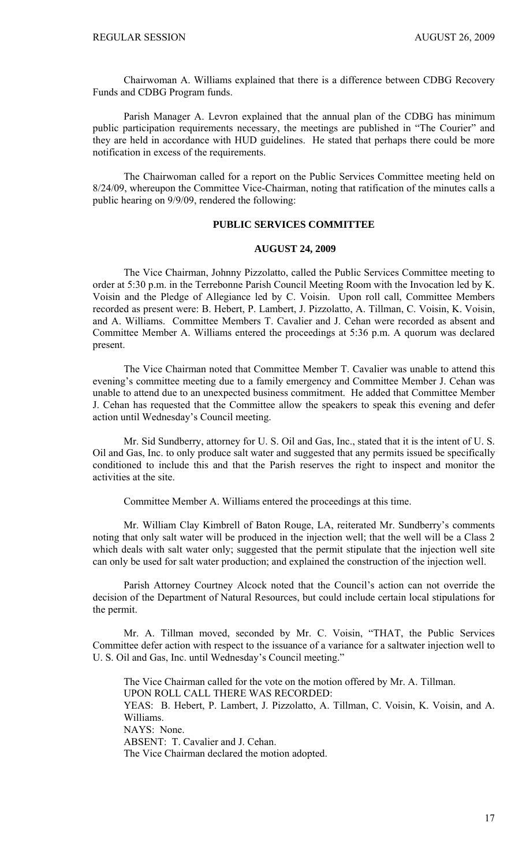Chairwoman A. Williams explained that there is a difference between CDBG Recovery Funds and CDBG Program funds.

 Parish Manager A. Levron explained that the annual plan of the CDBG has minimum public participation requirements necessary, the meetings are published in "The Courier" and they are held in accordance with HUD guidelines. He stated that perhaps there could be more notification in excess of the requirements.

 The Chairwoman called for a report on the Public Services Committee meeting held on 8/24/09, whereupon the Committee Vice-Chairman, noting that ratification of the minutes calls a public hearing on 9/9/09, rendered the following:

## **PUBLIC SERVICES COMMITTEE**

#### **AUGUST 24, 2009**

 The Vice Chairman, Johnny Pizzolatto, called the Public Services Committee meeting to order at 5:30 p.m. in the Terrebonne Parish Council Meeting Room with the Invocation led by K. Voisin and the Pledge of Allegiance led by C. Voisin. Upon roll call, Committee Members recorded as present were: B. Hebert, P. Lambert, J. Pizzolatto, A. Tillman, C. Voisin, K. Voisin, and A. Williams. Committee Members T. Cavalier and J. Cehan were recorded as absent and Committee Member A. Williams entered the proceedings at 5:36 p.m. A quorum was declared present.

 The Vice Chairman noted that Committee Member T. Cavalier was unable to attend this evening's committee meeting due to a family emergency and Committee Member J. Cehan was unable to attend due to an unexpected business commitment. He added that Committee Member J. Cehan has requested that the Committee allow the speakers to speak this evening and defer action until Wednesday's Council meeting.

Mr. Sid Sundberry, attorney for U. S. Oil and Gas, Inc., stated that it is the intent of U. S. Oil and Gas, Inc. to only produce salt water and suggested that any permits issued be specifically conditioned to include this and that the Parish reserves the right to inspect and monitor the activities at the site.

Committee Member A. Williams entered the proceedings at this time.

Mr. William Clay Kimbrell of Baton Rouge, LA, reiterated Mr. Sundberry's comments noting that only salt water will be produced in the injection well; that the well will be a Class 2 which deals with salt water only; suggested that the permit stipulate that the injection well site can only be used for salt water production; and explained the construction of the injection well.

Parish Attorney Courtney Alcock noted that the Council's action can not override the decision of the Department of Natural Resources, but could include certain local stipulations for the permit.

Mr. A. Tillman moved, seconded by Mr. C. Voisin, "THAT, the Public Services Committee defer action with respect to the issuance of a variance for a saltwater injection well to U. S. Oil and Gas, Inc. until Wednesday's Council meeting."

 The Vice Chairman called for the vote on the motion offered by Mr. A. Tillman. UPON ROLL CALL THERE WAS RECORDED: YEAS: B. Hebert, P. Lambert, J. Pizzolatto, A. Tillman, C. Voisin, K. Voisin, and A. Williams. NAYS: None. ABSENT: T. Cavalier and J. Cehan. The Vice Chairman declared the motion adopted.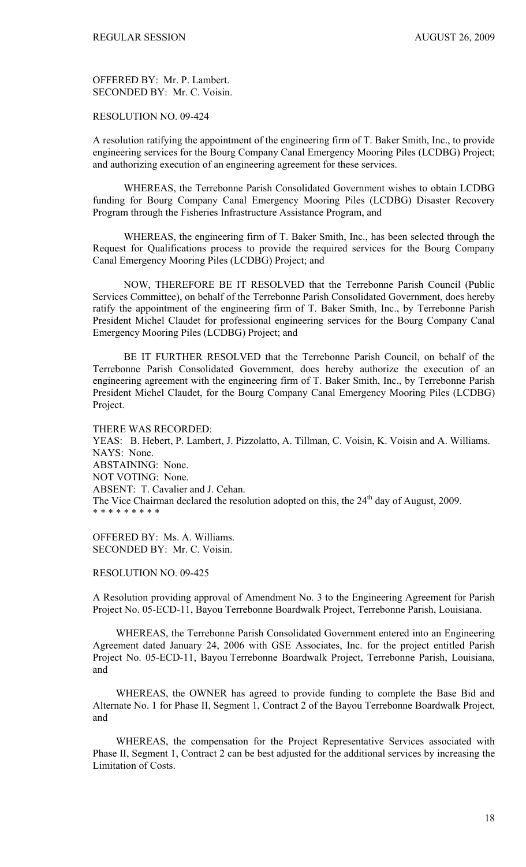OFFERED BY: Mr. P. Lambert. SECONDED BY: Mr. C. Voisin.

#### RESOLUTION NO. 09-424

A resolution ratifying the appointment of the engineering firm of T. Baker Smith, Inc., to provide engineering services for the Bourg Company Canal Emergency Mooring Piles (LCDBG) Project; and authorizing execution of an engineering agreement for these services.

 WHEREAS, the Terrebonne Parish Consolidated Government wishes to obtain LCDBG funding for Bourg Company Canal Emergency Mooring Piles (LCDBG) Disaster Recovery Program through the Fisheries Infrastructure Assistance Program, and

 WHEREAS, the engineering firm of T. Baker Smith, Inc., has been selected through the Request for Qualifications process to provide the required services for the Bourg Company Canal Emergency Mooring Piles (LCDBG) Project; and

 NOW, THEREFORE BE IT RESOLVED that the Terrebonne Parish Council (Public Services Committee), on behalf of the Terrebonne Parish Consolidated Government, does hereby ratify the appointment of the engineering firm of T. Baker Smith, Inc., by Terrebonne Parish President Michel Claudet for professional engineering services for the Bourg Company Canal Emergency Mooring Piles (LCDBG) Project; and

 BE IT FURTHER RESOLVED that the Terrebonne Parish Council, on behalf of the Terrebonne Parish Consolidated Government, does hereby authorize the execution of an engineering agreement with the engineering firm of T. Baker Smith, Inc., by Terrebonne Parish President Michel Claudet, for the Bourg Company Canal Emergency Mooring Piles (LCDBG) Project.

THERE WAS RECORDED: YEAS: B. Hebert, P. Lambert, J. Pizzolatto, A. Tillman, C. Voisin, K. Voisin and A. Williams. NAYS: None. ABSTAINING: None. NOT VOTING: None. ABSENT: T. Cavalier and J. Cehan. The Vice Chairman declared the resolution adopted on this, the  $24<sup>th</sup>$  day of August, 2009. \* \* \* \* \* \* \* \* \*

OFFERED BY: Ms. A. Williams. SECONDED BY: Mr. C. Voisin.

RESOLUTION NO. 09-425

A Resolution providing approval of Amendment No. 3 to the Engineering Agreement for Parish Project No. 05-ECD-11, Bayou Terrebonne Boardwalk Project, Terrebonne Parish, Louisiana.

 WHEREAS, the Terrebonne Parish Consolidated Government entered into an Engineering Agreement dated January 24, 2006 with GSE Associates, Inc. for the project entitled Parish Project No. 05-ECD-11, Bayou Terrebonne Boardwalk Project, Terrebonne Parish, Louisiana, and

 WHEREAS, the OWNER has agreed to provide funding to complete the Base Bid and Alternate No. 1 for Phase II, Segment 1, Contract 2 of the Bayou Terrebonne Boardwalk Project, and

 WHEREAS, the compensation for the Project Representative Services associated with Phase II, Segment 1, Contract 2 can be best adjusted for the additional services by increasing the Limitation of Costs.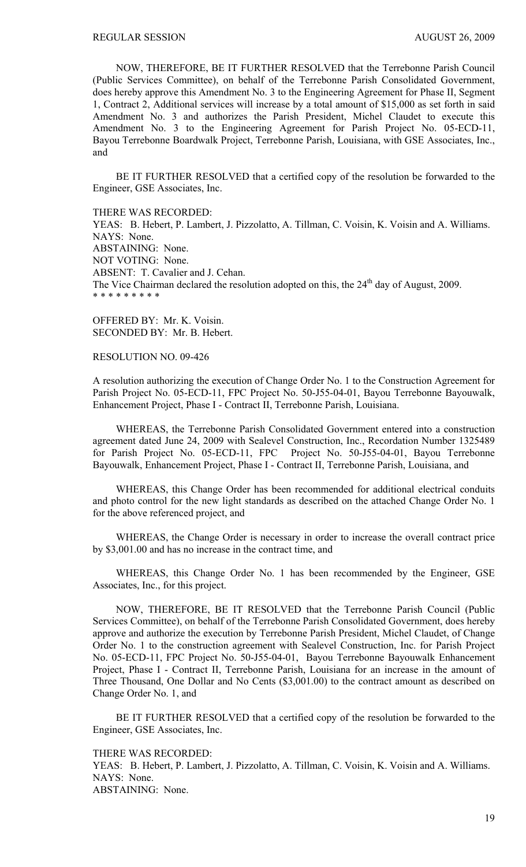NOW, THEREFORE, BE IT FURTHER RESOLVED that the Terrebonne Parish Council (Public Services Committee), on behalf of the Terrebonne Parish Consolidated Government, does hereby approve this Amendment No. 3 to the Engineering Agreement for Phase II, Segment 1, Contract 2, Additional services will increase by a total amount of \$15,000 as set forth in said Amendment No. 3 and authorizes the Parish President, Michel Claudet to execute this Amendment No. 3 to the Engineering Agreement for Parish Project No. 05-ECD-11, Bayou Terrebonne Boardwalk Project, Terrebonne Parish, Louisiana, with GSE Associates, Inc., and

 BE IT FURTHER RESOLVED that a certified copy of the resolution be forwarded to the Engineer, GSE Associates, Inc.

THERE WAS RECORDED: YEAS: B. Hebert, P. Lambert, J. Pizzolatto, A. Tillman, C. Voisin, K. Voisin and A. Williams. NAYS: None. ABSTAINING: None. NOT VOTING: None. ABSENT: T. Cavalier and J. Cehan. The Vice Chairman declared the resolution adopted on this, the 24<sup>th</sup> day of August, 2009. \* \* \* \* \* \* \* \* \*

OFFERED BY: Mr. K. Voisin. SECONDED BY: Mr. B. Hebert.

RESOLUTION NO. 09-426

A resolution authorizing the execution of Change Order No. 1 to the Construction Agreement for Parish Project No. 05-ECD-11, FPC Project No. 50-J55-04-01, Bayou Terrebonne Bayouwalk, Enhancement Project, Phase I - Contract II, Terrebonne Parish, Louisiana.

 WHEREAS, the Terrebonne Parish Consolidated Government entered into a construction agreement dated June 24, 2009 with Sealevel Construction, Inc., Recordation Number 1325489 for Parish Project No. 05-ECD-11, FPC Project No. 50-J55-04-01, Bayou Terrebonne Bayouwalk, Enhancement Project, Phase I - Contract II, Terrebonne Parish, Louisiana, and

 WHEREAS, this Change Order has been recommended for additional electrical conduits and photo control for the new light standards as described on the attached Change Order No. 1 for the above referenced project, and

 WHEREAS, the Change Order is necessary in order to increase the overall contract price by \$3,001.00 and has no increase in the contract time, and

 WHEREAS, this Change Order No. 1 has been recommended by the Engineer, GSE Associates, Inc., for this project.

 NOW, THEREFORE, BE IT RESOLVED that the Terrebonne Parish Council (Public Services Committee), on behalf of the Terrebonne Parish Consolidated Government, does hereby approve and authorize the execution by Terrebonne Parish President, Michel Claudet, of Change Order No. 1 to the construction agreement with Sealevel Construction, Inc. for Parish Project No. 05-ECD-11, FPC Project No. 50-J55-04-01, Bayou Terrebonne Bayouwalk Enhancement Project, Phase I - Contract II, Terrebonne Parish, Louisiana for an increase in the amount of Three Thousand, One Dollar and No Cents (\$3,001.00) to the contract amount as described on Change Order No. 1, and

 BE IT FURTHER RESOLVED that a certified copy of the resolution be forwarded to the Engineer, GSE Associates, Inc.

THERE WAS RECORDED:

YEAS: B. Hebert, P. Lambert, J. Pizzolatto, A. Tillman, C. Voisin, K. Voisin and A. Williams. NAYS: None. ABSTAINING: None.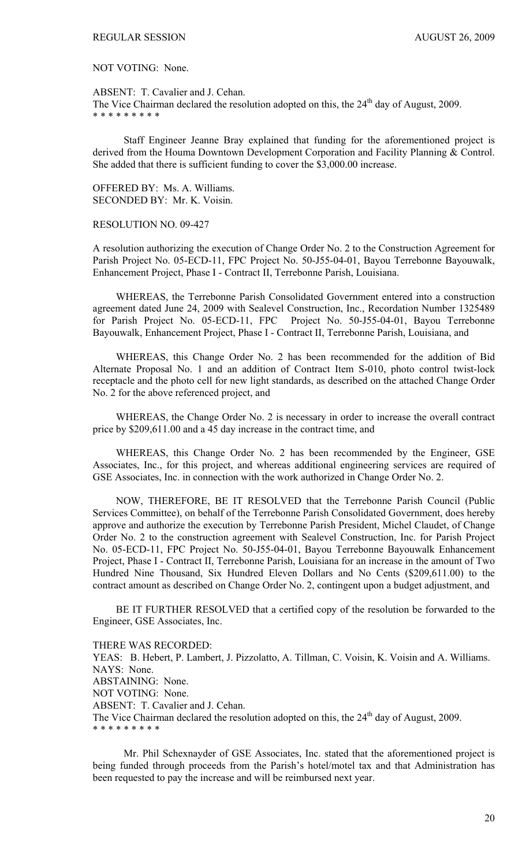NOT VOTING: None.

#### ABSENT: T. Cavalier and J. Cehan.

The Vice Chairman declared the resolution adopted on this, the  $24<sup>th</sup>$  day of August, 2009. \* \* \* \* \* \* \* \* \*

 Staff Engineer Jeanne Bray explained that funding for the aforementioned project is derived from the Houma Downtown Development Corporation and Facility Planning & Control. She added that there is sufficient funding to cover the \$3,000.00 increase.

OFFERED BY: Ms. A. Williams. SECONDED BY: Mr. K. Voisin.

## RESOLUTION NO. 09-427

A resolution authorizing the execution of Change Order No. 2 to the Construction Agreement for Parish Project No. 05-ECD-11, FPC Project No. 50-J55-04-01, Bayou Terrebonne Bayouwalk, Enhancement Project, Phase I - Contract II, Terrebonne Parish, Louisiana.

 WHEREAS, the Terrebonne Parish Consolidated Government entered into a construction agreement dated June 24, 2009 with Sealevel Construction, Inc., Recordation Number 1325489 for Parish Project No. 05-ECD-11, FPC Project No. 50-J55-04-01, Bayou Terrebonne Bayouwalk, Enhancement Project, Phase I - Contract II, Terrebonne Parish, Louisiana, and

 WHEREAS, this Change Order No. 2 has been recommended for the addition of Bid Alternate Proposal No. 1 and an addition of Contract Item S-010, photo control twist-lock receptacle and the photo cell for new light standards, as described on the attached Change Order No. 2 for the above referenced project, and

 WHEREAS, the Change Order No. 2 is necessary in order to increase the overall contract price by \$209,611.00 and a 45 day increase in the contract time, and

 WHEREAS, this Change Order No. 2 has been recommended by the Engineer, GSE Associates, Inc., for this project, and whereas additional engineering services are required of GSE Associates, Inc. in connection with the work authorized in Change Order No. 2.

 NOW, THEREFORE, BE IT RESOLVED that the Terrebonne Parish Council (Public Services Committee), on behalf of the Terrebonne Parish Consolidated Government, does hereby approve and authorize the execution by Terrebonne Parish President, Michel Claudet, of Change Order No. 2 to the construction agreement with Sealevel Construction, Inc. for Parish Project No. 05-ECD-11, FPC Project No. 50-J55-04-01, Bayou Terrebonne Bayouwalk Enhancement Project, Phase I - Contract II, Terrebonne Parish, Louisiana for an increase in the amount of Two Hundred Nine Thousand, Six Hundred Eleven Dollars and No Cents (\$209,611.00) to the contract amount as described on Change Order No. 2, contingent upon a budget adjustment, and

 BE IT FURTHER RESOLVED that a certified copy of the resolution be forwarded to the Engineer, GSE Associates, Inc.

THERE WAS RECORDED: YEAS: B. Hebert, P. Lambert, J. Pizzolatto, A. Tillman, C. Voisin, K. Voisin and A. Williams. NAYS: None. ABSTAINING: None. NOT VOTING: None. ABSENT: T. Cavalier and J. Cehan. The Vice Chairman declared the resolution adopted on this, the  $24<sup>th</sup>$  day of August, 2009. \* \* \* \* \* \* \* \* \*

 Mr. Phil Schexnayder of GSE Associates, Inc. stated that the aforementioned project is being funded through proceeds from the Parish's hotel/motel tax and that Administration has been requested to pay the increase and will be reimbursed next year.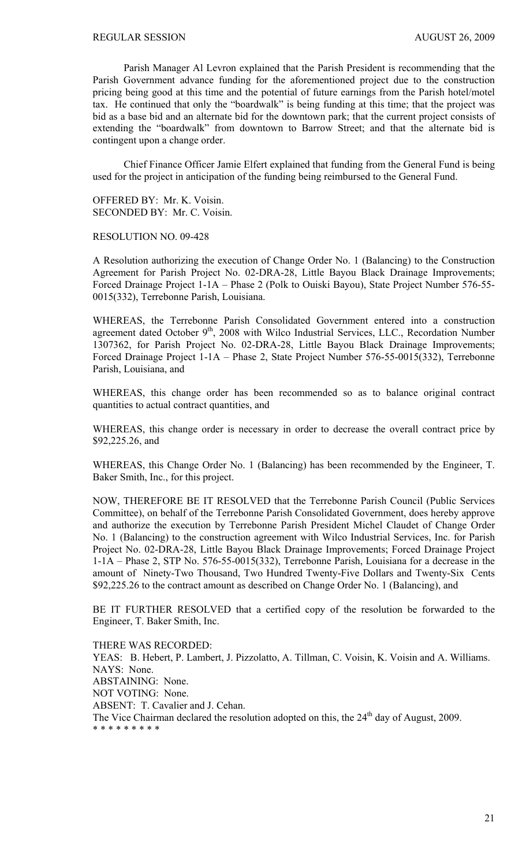Parish Manager Al Levron explained that the Parish President is recommending that the Parish Government advance funding for the aforementioned project due to the construction pricing being good at this time and the potential of future earnings from the Parish hotel/motel tax. He continued that only the "boardwalk" is being funding at this time; that the project was bid as a base bid and an alternate bid for the downtown park; that the current project consists of extending the "boardwalk" from downtown to Barrow Street; and that the alternate bid is contingent upon a change order.

 Chief Finance Officer Jamie Elfert explained that funding from the General Fund is being used for the project in anticipation of the funding being reimbursed to the General Fund.

OFFERED BY: Mr. K. Voisin. SECONDED BY: Mr. C. Voisin.

RESOLUTION NO. 09-428

A Resolution authorizing the execution of Change Order No. 1 (Balancing) to the Construction Agreement for Parish Project No. 02-DRA-28, Little Bayou Black Drainage Improvements; Forced Drainage Project 1-1A – Phase 2 (Polk to Ouiski Bayou), State Project Number 576-55- 0015(332), Terrebonne Parish, Louisiana.

WHEREAS, the Terrebonne Parish Consolidated Government entered into a construction agreement dated October  $9<sup>th</sup>$ , 2008 with Wilco Industrial Services, LLC., Recordation Number 1307362, for Parish Project No. 02-DRA-28, Little Bayou Black Drainage Improvements; Forced Drainage Project 1-1A – Phase 2, State Project Number 576-55-0015(332), Terrebonne Parish, Louisiana, and

WHEREAS, this change order has been recommended so as to balance original contract quantities to actual contract quantities, and

WHEREAS, this change order is necessary in order to decrease the overall contract price by \$92,225.26, and

WHEREAS, this Change Order No. 1 (Balancing) has been recommended by the Engineer, T. Baker Smith, Inc., for this project.

NOW, THEREFORE BE IT RESOLVED that the Terrebonne Parish Council (Public Services Committee), on behalf of the Terrebonne Parish Consolidated Government, does hereby approve and authorize the execution by Terrebonne Parish President Michel Claudet of Change Order No. 1 (Balancing) to the construction agreement with Wilco Industrial Services, Inc. for Parish Project No. 02-DRA-28, Little Bayou Black Drainage Improvements; Forced Drainage Project 1-1A – Phase 2, STP No. 576-55-0015(332), Terrebonne Parish, Louisiana for a decrease in the amount of Ninety-Two Thousand, Two Hundred Twenty-Five Dollars and Twenty-Six Cents \$92,225.26 to the contract amount as described on Change Order No. 1 (Balancing), and

BE IT FURTHER RESOLVED that a certified copy of the resolution be forwarded to the Engineer, T. Baker Smith, Inc.

THERE WAS RECORDED: YEAS: B. Hebert, P. Lambert, J. Pizzolatto, A. Tillman, C. Voisin, K. Voisin and A. Williams. NAYS: None. ABSTAINING: None. NOT VOTING: None. ABSENT: T. Cavalier and J. Cehan. The Vice Chairman declared the resolution adopted on this, the 24<sup>th</sup> day of August, 2009. \* \* \* \* \* \* \* \* \*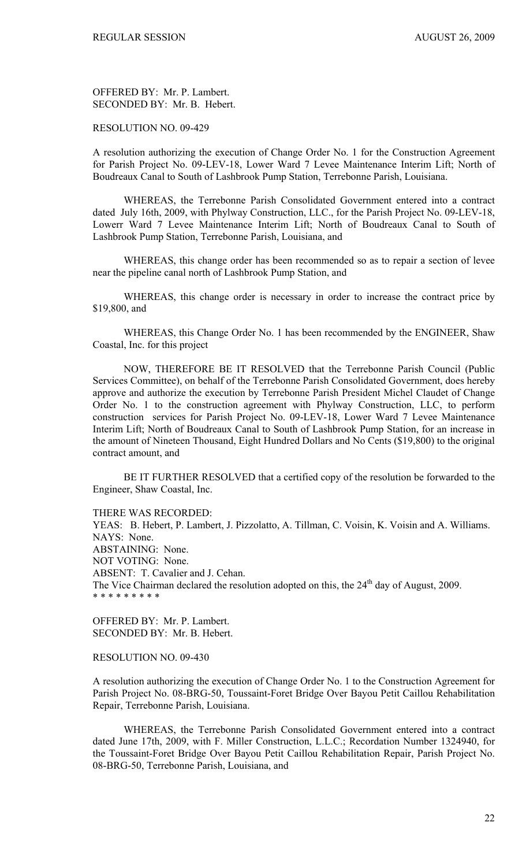OFFERED BY: Mr. P. Lambert. SECONDED BY: Mr. B. Hebert.

### RESOLUTION NO. 09-429

A resolution authorizing the execution of Change Order No. 1 for the Construction Agreement for Parish Project No. 09-LEV-18, Lower Ward 7 Levee Maintenance Interim Lift; North of Boudreaux Canal to South of Lashbrook Pump Station, Terrebonne Parish, Louisiana.

 WHEREAS, the Terrebonne Parish Consolidated Government entered into a contract dated July 16th, 2009, with Phylway Construction, LLC., for the Parish Project No. 09-LEV-18, Lowerr Ward 7 Levee Maintenance Interim Lift; North of Boudreaux Canal to South of Lashbrook Pump Station, Terrebonne Parish, Louisiana, and

 WHEREAS, this change order has been recommended so as to repair a section of levee near the pipeline canal north of Lashbrook Pump Station, and

 WHEREAS, this change order is necessary in order to increase the contract price by \$19,800, and

 WHEREAS, this Change Order No. 1 has been recommended by the ENGINEER, Shaw Coastal, Inc. for this project

 NOW, THEREFORE BE IT RESOLVED that the Terrebonne Parish Council (Public Services Committee), on behalf of the Terrebonne Parish Consolidated Government, does hereby approve and authorize the execution by Terrebonne Parish President Michel Claudet of Change Order No. 1 to the construction agreement with Phylway Construction, LLC, to perform construction services for Parish Project No. 09-LEV-18, Lower Ward 7 Levee Maintenance Interim Lift; North of Boudreaux Canal to South of Lashbrook Pump Station, for an increase in the amount of Nineteen Thousand, Eight Hundred Dollars and No Cents (\$19,800) to the original contract amount, and

 BE IT FURTHER RESOLVED that a certified copy of the resolution be forwarded to the Engineer, Shaw Coastal, Inc.

THERE WAS RECORDED:

YEAS: B. Hebert, P. Lambert, J. Pizzolatto, A. Tillman, C. Voisin, K. Voisin and A. Williams. NAYS: None. ABSTAINING: None. NOT VOTING: None. ABSENT: T. Cavalier and J. Cehan. The Vice Chairman declared the resolution adopted on this, the 24<sup>th</sup> day of August, 2009. \* \* \* \* \* \* \* \* \*

OFFERED BY: Mr. P. Lambert. SECONDED BY: Mr. B. Hebert.

#### RESOLUTION NO. 09-430

A resolution authorizing the execution of Change Order No. 1 to the Construction Agreement for Parish Project No. 08-BRG-50, Toussaint-Foret Bridge Over Bayou Petit Caillou Rehabilitation Repair, Terrebonne Parish, Louisiana.

WHEREAS, the Terrebonne Parish Consolidated Government entered into a contract dated June 17th, 2009, with F. Miller Construction, L.L.C.; Recordation Number 1324940, for the Toussaint-Foret Bridge Over Bayou Petit Caillou Rehabilitation Repair, Parish Project No. 08-BRG-50, Terrebonne Parish, Louisiana, and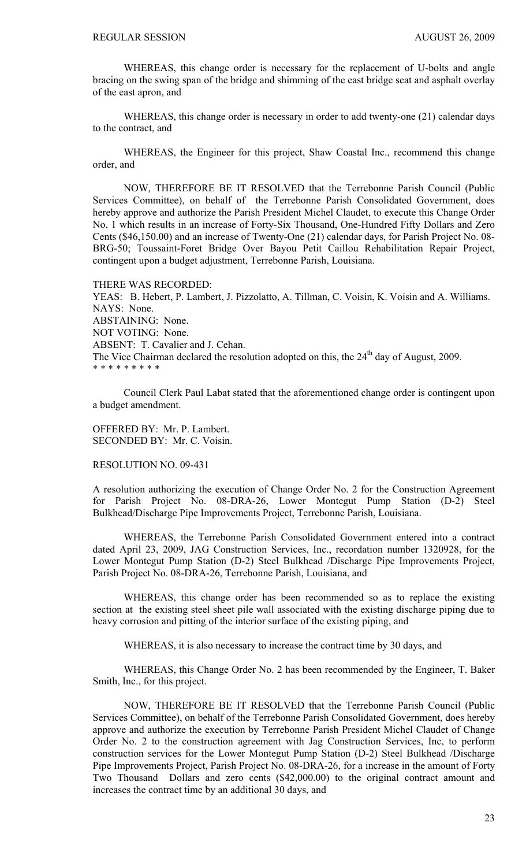WHEREAS, this change order is necessary for the replacement of U-bolts and angle bracing on the swing span of the bridge and shimming of the east bridge seat and asphalt overlay of the east apron, and

 WHEREAS, this change order is necessary in order to add twenty-one (21) calendar days to the contract, and

 WHEREAS, the Engineer for this project, Shaw Coastal Inc., recommend this change order, and

 NOW, THEREFORE BE IT RESOLVED that the Terrebonne Parish Council (Public Services Committee), on behalf of the Terrebonne Parish Consolidated Government, does hereby approve and authorize the Parish President Michel Claudet, to execute this Change Order No. 1 which results in an increase of Forty-Six Thousand, One-Hundred Fifty Dollars and Zero Cents (\$46,150.00) and an increase of Twenty-One (21) calendar days, for Parish Project No. 08- BRG-50; Toussaint-Foret Bridge Over Bayou Petit Caillou Rehabilitation Repair Project, contingent upon a budget adjustment, Terrebonne Parish, Louisiana.

THERE WAS RECORDED: YEAS: B. Hebert, P. Lambert, J. Pizzolatto, A. Tillman, C. Voisin, K. Voisin and A. Williams. NAYS: None. ABSTAINING: None. NOT VOTING: None. ABSENT: T. Cavalier and J. Cehan. The Vice Chairman declared the resolution adopted on this, the  $24<sup>th</sup>$  day of August, 2009. \* \* \* \* \* \* \* \* \*

Council Clerk Paul Labat stated that the aforementioned change order is contingent upon a budget amendment.

OFFERED BY: Mr. P. Lambert. SECONDED BY: Mr. C. Voisin.

RESOLUTION NO. 09-431

A resolution authorizing the execution of Change Order No. 2 for the Construction Agreement for Parish Project No. 08-DRA-26, Lower Montegut Pump Station (D-2) Steel Bulkhead/Discharge Pipe Improvements Project, Terrebonne Parish, Louisiana.

 WHEREAS, the Terrebonne Parish Consolidated Government entered into a contract dated April 23, 2009, JAG Construction Services, Inc., recordation number 1320928, for the Lower Montegut Pump Station (D-2) Steel Bulkhead /Discharge Pipe Improvements Project, Parish Project No. 08-DRA-26, Terrebonne Parish, Louisiana, and

 WHEREAS, this change order has been recommended so as to replace the existing section at the existing steel sheet pile wall associated with the existing discharge piping due to heavy corrosion and pitting of the interior surface of the existing piping, and

WHEREAS, it is also necessary to increase the contract time by 30 days, and

 WHEREAS, this Change Order No. 2 has been recommended by the Engineer, T. Baker Smith, Inc., for this project.

 NOW, THEREFORE BE IT RESOLVED that the Terrebonne Parish Council (Public Services Committee), on behalf of the Terrebonne Parish Consolidated Government, does hereby approve and authorize the execution by Terrebonne Parish President Michel Claudet of Change Order No. 2 to the construction agreement with Jag Construction Services, Inc, to perform construction services for the Lower Montegut Pump Station (D-2) Steel Bulkhead /Discharge Pipe Improvements Project, Parish Project No. 08-DRA-26, for a increase in the amount of Forty Two Thousand Dollars and zero cents (\$42,000.00) to the original contract amount and increases the contract time by an additional 30 days, and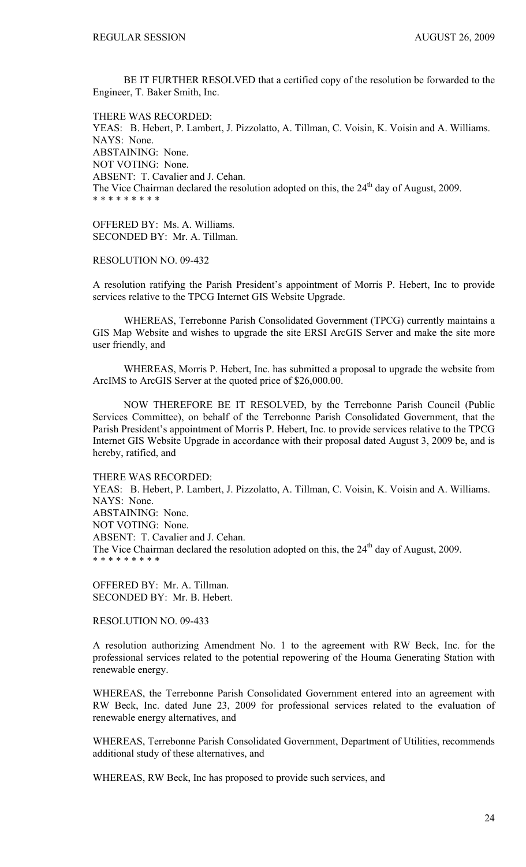BE IT FURTHER RESOLVED that a certified copy of the resolution be forwarded to the Engineer, T. Baker Smith, Inc.

THERE WAS RECORDED: YEAS: B. Hebert, P. Lambert, J. Pizzolatto, A. Tillman, C. Voisin, K. Voisin and A. Williams. NAYS: None. ABSTAINING: None. NOT VOTING: None. ABSENT: T. Cavalier and J. Cehan. The Vice Chairman declared the resolution adopted on this, the 24<sup>th</sup> day of August, 2009. \* \* \* \* \* \* \* \* \*

OFFERED BY: Ms. A. Williams. SECONDED BY: Mr. A. Tillman.

## RESOLUTION NO. 09-432

A resolution ratifying the Parish President's appointment of Morris P. Hebert, Inc to provide services relative to the TPCG Internet GIS Website Upgrade.

 WHEREAS, Terrebonne Parish Consolidated Government (TPCG) currently maintains a GIS Map Website and wishes to upgrade the site ERSI ArcGIS Server and make the site more user friendly, and

 WHEREAS, Morris P. Hebert, Inc. has submitted a proposal to upgrade the website from ArcIMS to ArcGIS Server at the quoted price of \$26,000.00.

 NOW THEREFORE BE IT RESOLVED, by the Terrebonne Parish Council (Public Services Committee), on behalf of the Terrebonne Parish Consolidated Government, that the Parish President's appointment of Morris P. Hebert, Inc. to provide services relative to the TPCG Internet GIS Website Upgrade in accordance with their proposal dated August 3, 2009 be, and is hereby, ratified, and

THERE WAS RECORDED:

YEAS: B. Hebert, P. Lambert, J. Pizzolatto, A. Tillman, C. Voisin, K. Voisin and A. Williams. NAYS: None. ABSTAINING: None. NOT VOTING: None. ABSENT: T. Cavalier and J. Cehan. The Vice Chairman declared the resolution adopted on this, the  $24<sup>th</sup>$  day of August, 2009. \* \* \* \* \* \* \* \* \*

OFFERED BY: Mr. A. Tillman. SECONDED BY: Mr. B. Hebert.

RESOLUTION NO. 09-433

A resolution authorizing Amendment No. 1 to the agreement with RW Beck, Inc. for the professional services related to the potential repowering of the Houma Generating Station with renewable energy.

WHEREAS, the Terrebonne Parish Consolidated Government entered into an agreement with RW Beck, Inc. dated June 23, 2009 for professional services related to the evaluation of renewable energy alternatives, and

WHEREAS, Terrebonne Parish Consolidated Government, Department of Utilities, recommends additional study of these alternatives, and

WHEREAS, RW Beck, Inc has proposed to provide such services, and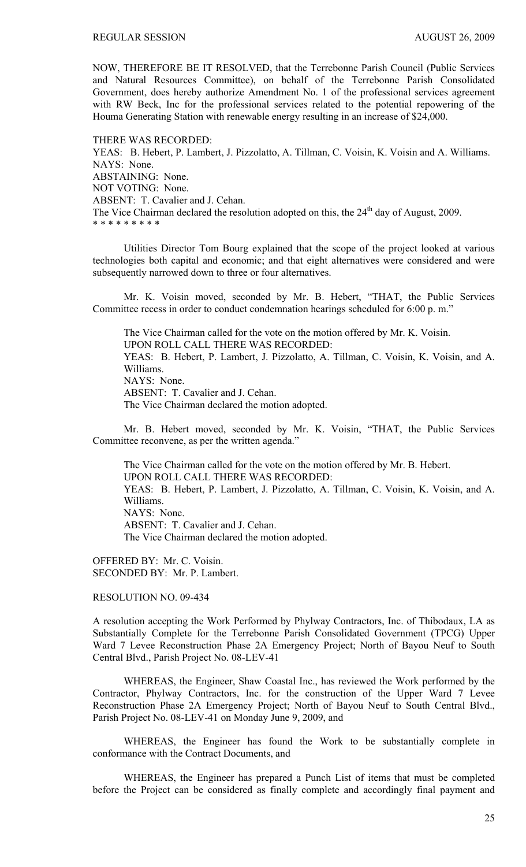NOW, THEREFORE BE IT RESOLVED, that the Terrebonne Parish Council (Public Services and Natural Resources Committee), on behalf of the Terrebonne Parish Consolidated Government, does hereby authorize Amendment No. 1 of the professional services agreement with RW Beck, Inc for the professional services related to the potential repowering of the Houma Generating Station with renewable energy resulting in an increase of \$24,000.

THERE WAS RECORDED: YEAS: B. Hebert, P. Lambert, J. Pizzolatto, A. Tillman, C. Voisin, K. Voisin and A. Williams. NAYS: None. ABSTAINING: None. NOT VOTING: None. ABSENT: T. Cavalier and J. Cehan. The Vice Chairman declared the resolution adopted on this, the 24<sup>th</sup> day of August, 2009. \* \* \* \* \* \* \* \* \*

 Utilities Director Tom Bourg explained that the scope of the project looked at various technologies both capital and economic; and that eight alternatives were considered and were subsequently narrowed down to three or four alternatives.

Mr. K. Voisin moved, seconded by Mr. B. Hebert, "THAT, the Public Services Committee recess in order to conduct condemnation hearings scheduled for 6:00 p. m."

The Vice Chairman called for the vote on the motion offered by Mr. K. Voisin. UPON ROLL CALL THERE WAS RECORDED: YEAS: B. Hebert, P. Lambert, J. Pizzolatto, A. Tillman, C. Voisin, K. Voisin, and A. Williams. NAYS: None. ABSENT: T. Cavalier and J. Cehan. The Vice Chairman declared the motion adopted.

Mr. B. Hebert moved, seconded by Mr. K. Voisin, "THAT, the Public Services Committee reconvene, as per the written agenda."

The Vice Chairman called for the vote on the motion offered by Mr. B. Hebert. UPON ROLL CALL THERE WAS RECORDED: YEAS: B. Hebert, P. Lambert, J. Pizzolatto, A. Tillman, C. Voisin, K. Voisin, and A. Williams. NAYS: None. ABSENT: T. Cavalier and J. Cehan. The Vice Chairman declared the motion adopted.

OFFERED BY: Mr. C. Voisin. SECONDED BY: Mr. P. Lambert.

RESOLUTION NO. 09-434

A resolution accepting the Work Performed by Phylway Contractors, Inc. of Thibodaux, LA as Substantially Complete for the Terrebonne Parish Consolidated Government (TPCG) Upper Ward 7 Levee Reconstruction Phase 2A Emergency Project; North of Bayou Neuf to South Central Blvd., Parish Project No. 08-LEV-41

 WHEREAS, the Engineer, Shaw Coastal Inc., has reviewed the Work performed by the Contractor, Phylway Contractors, Inc. for the construction of the Upper Ward 7 Levee Reconstruction Phase 2A Emergency Project; North of Bayou Neuf to South Central Blvd., Parish Project No. 08-LEV-41 on Monday June 9, 2009, and

 WHEREAS, the Engineer has found the Work to be substantially complete in conformance with the Contract Documents, and

 WHEREAS, the Engineer has prepared a Punch List of items that must be completed before the Project can be considered as finally complete and accordingly final payment and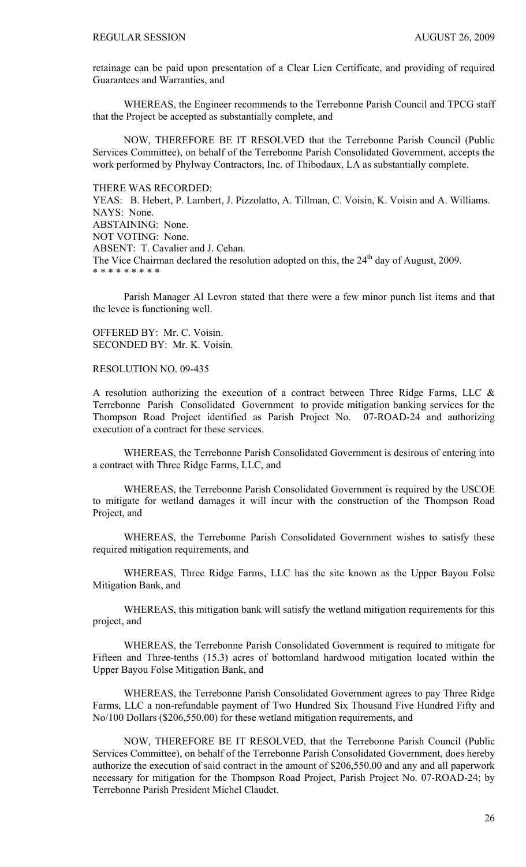retainage can be paid upon presentation of a Clear Lien Certificate, and providing of required Guarantees and Warranties, and

 WHEREAS, the Engineer recommends to the Terrebonne Parish Council and TPCG staff that the Project be accepted as substantially complete, and

 NOW, THEREFORE BE IT RESOLVED that the Terrebonne Parish Council (Public Services Committee), on behalf of the Terrebonne Parish Consolidated Government, accepts the work performed by Phylway Contractors, Inc. of Thibodaux, LA as substantially complete.

THERE WAS RECORDED:

YEAS: B. Hebert, P. Lambert, J. Pizzolatto, A. Tillman, C. Voisin, K. Voisin and A. Williams. NAYS: None. ABSTAINING: None. NOT VOTING: None. ABSENT: T. Cavalier and J. Cehan. The Vice Chairman declared the resolution adopted on this, the  $24<sup>th</sup>$  day of August, 2009. \* \* \* \* \* \* \* \* \*

 Parish Manager Al Levron stated that there were a few minor punch list items and that the levee is functioning well.

OFFERED BY: Mr. C. Voisin. SECONDED BY: Mr. K. Voisin.

RESOLUTION NO. 09-435

A resolution authorizing the execution of a contract between Three Ridge Farms, LLC & Terrebonne Parish Consolidated Government to provide mitigation banking services for the Thompson Road Project identified as Parish Project No. 07-ROAD-24 and authorizing execution of a contract for these services.

 WHEREAS, the Terrebonne Parish Consolidated Government is desirous of entering into a contract with Three Ridge Farms, LLC, and

WHEREAS, the Terrebonne Parish Consolidated Government is required by the USCOE to mitigate for wetland damages it will incur with the construction of the Thompson Road Project, and

WHEREAS, the Terrebonne Parish Consolidated Government wishes to satisfy these required mitigation requirements, and

WHEREAS, Three Ridge Farms, LLC has the site known as the Upper Bayou Folse Mitigation Bank, and

WHEREAS, this mitigation bank will satisfy the wetland mitigation requirements for this project, and

WHEREAS, the Terrebonne Parish Consolidated Government is required to mitigate for Fifteen and Three-tenths (15.3) acres of bottomland hardwood mitigation located within the Upper Bayou Folse Mitigation Bank, and

 WHEREAS, the Terrebonne Parish Consolidated Government agrees to pay Three Ridge Farms, LLC a non-refundable payment of Two Hundred Six Thousand Five Hundred Fifty and No/100 Dollars (\$206,550.00) for these wetland mitigation requirements, and

 NOW, THEREFORE BE IT RESOLVED, that the Terrebonne Parish Council (Public Services Committee), on behalf of the Terrebonne Parish Consolidated Government, does hereby authorize the execution of said contract in the amount of \$206,550.00 and any and all paperwork necessary for mitigation for the Thompson Road Project, Parish Project No. 07-ROAD-24; by Terrebonne Parish President Michel Claudet.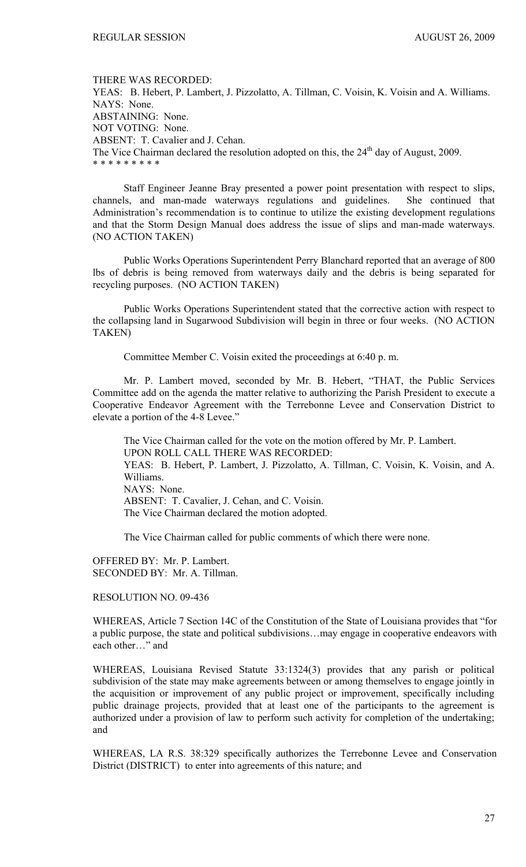THERE WAS RECORDED: YEAS: B. Hebert, P. Lambert, J. Pizzolatto, A. Tillman, C. Voisin, K. Voisin and A. Williams. NAYS: None. ABSTAINING: None. NOT VOTING: None. ABSENT: T. Cavalier and J. Cehan. The Vice Chairman declared the resolution adopted on this, the 24<sup>th</sup> day of August, 2009. \* \* \* \* \* \* \* \* \*

Staff Engineer Jeanne Bray presented a power point presentation with respect to slips, channels, and man-made waterways regulations and guidelines. She continued that Administration's recommendation is to continue to utilize the existing development regulations and that the Storm Design Manual does address the issue of slips and man-made waterways. (NO ACTION TAKEN)

 Public Works Operations Superintendent Perry Blanchard reported that an average of 800 lbs of debris is being removed from waterways daily and the debris is being separated for recycling purposes. (NO ACTION TAKEN)

 Public Works Operations Superintendent stated that the corrective action with respect to the collapsing land in Sugarwood Subdivision will begin in three or four weeks. (NO ACTION TAKEN)

Committee Member C. Voisin exited the proceedings at 6:40 p. m.

 Mr. P. Lambert moved, seconded by Mr. B. Hebert, "THAT, the Public Services Committee add on the agenda the matter relative to authorizing the Parish President to execute a Cooperative Endeavor Agreement with the Terrebonne Levee and Conservation District to elevate a portion of the 4-8 Levee."

 The Vice Chairman called for the vote on the motion offered by Mr. P. Lambert. UPON ROLL CALL THERE WAS RECORDED: YEAS: B. Hebert, P. Lambert, J. Pizzolatto, A. Tillman, C. Voisin, K. Voisin, and A. Williams. NAYS: None. ABSENT: T. Cavalier, J. Cehan, and C. Voisin. The Vice Chairman declared the motion adopted.

The Vice Chairman called for public comments of which there were none.

OFFERED BY: Mr. P. Lambert. SECONDED BY: Mr. A. Tillman.

RESOLUTION NO. 09-436

WHEREAS, Article 7 Section 14C of the Constitution of the State of Louisiana provides that "for a public purpose, the state and political subdivisions…may engage in cooperative endeavors with each other…" and

WHEREAS, Louisiana Revised Statute 33:1324(3) provides that any parish or political subdivision of the state may make agreements between or among themselves to engage jointly in the acquisition or improvement of any public project or improvement, specifically including public drainage projects, provided that at least one of the participants to the agreement is authorized under a provision of law to perform such activity for completion of the undertaking; and

WHEREAS, LA R.S. 38:329 specifically authorizes the Terrebonne Levee and Conservation District (DISTRICT) to enter into agreements of this nature; and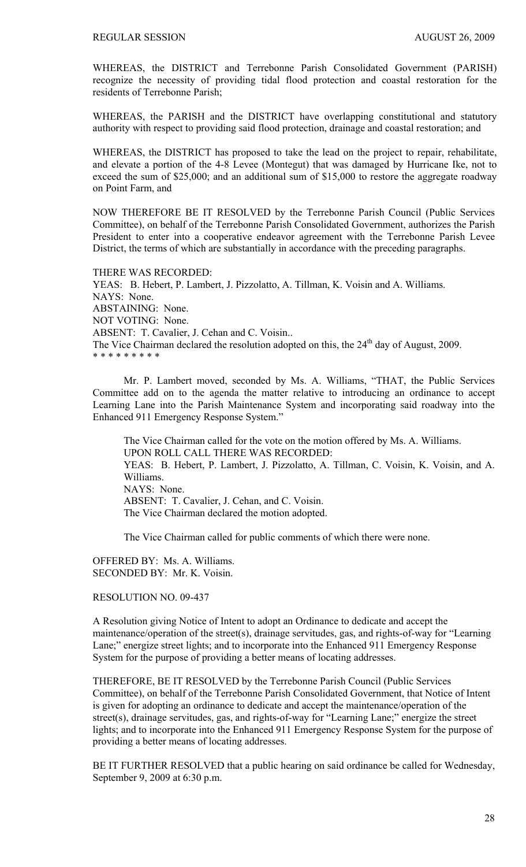WHEREAS, the DISTRICT and Terrebonne Parish Consolidated Government (PARISH) recognize the necessity of providing tidal flood protection and coastal restoration for the residents of Terrebonne Parish;

WHEREAS, the PARISH and the DISTRICT have overlapping constitutional and statutory authority with respect to providing said flood protection, drainage and coastal restoration; and

WHEREAS, the DISTRICT has proposed to take the lead on the project to repair, rehabilitate, and elevate a portion of the 4-8 Levee (Montegut) that was damaged by Hurricane Ike, not to exceed the sum of \$25,000; and an additional sum of \$15,000 to restore the aggregate roadway on Point Farm, and

NOW THEREFORE BE IT RESOLVED by the Terrebonne Parish Council (Public Services Committee), on behalf of the Terrebonne Parish Consolidated Government, authorizes the Parish President to enter into a cooperative endeavor agreement with the Terrebonne Parish Levee District, the terms of which are substantially in accordance with the preceding paragraphs.

THERE WAS RECORDED: YEAS: B. Hebert, P. Lambert, J. Pizzolatto, A. Tillman, K. Voisin and A. Williams. NAYS: None. ABSTAINING: None. NOT VOTING: None. ABSENT: T. Cavalier, J. Cehan and C. Voisin.. The Vice Chairman declared the resolution adopted on this, the 24<sup>th</sup> day of August, 2009. \* \* \* \* \* \* \* \* \*

 Mr. P. Lambert moved, seconded by Ms. A. Williams, "THAT, the Public Services Committee add on to the agenda the matter relative to introducing an ordinance to accept Learning Lane into the Parish Maintenance System and incorporating said roadway into the Enhanced 911 Emergency Response System."

 The Vice Chairman called for the vote on the motion offered by Ms. A. Williams. UPON ROLL CALL THERE WAS RECORDED: YEAS: B. Hebert, P. Lambert, J. Pizzolatto, A. Tillman, C. Voisin, K. Voisin, and A. Williams. NAYS: None. ABSENT: T. Cavalier, J. Cehan, and C. Voisin. The Vice Chairman declared the motion adopted.

The Vice Chairman called for public comments of which there were none.

OFFERED BY: Ms. A. Williams. SECONDED BY: Mr. K. Voisin.

RESOLUTION NO. 09-437

A Resolution giving Notice of Intent to adopt an Ordinance to dedicate and accept the maintenance/operation of the street(s), drainage servitudes, gas, and rights-of-way for "Learning Lane;" energize street lights; and to incorporate into the Enhanced 911 Emergency Response System for the purpose of providing a better means of locating addresses.

THEREFORE, BE IT RESOLVED by the Terrebonne Parish Council (Public Services Committee), on behalf of the Terrebonne Parish Consolidated Government, that Notice of Intent is given for adopting an ordinance to dedicate and accept the maintenance/operation of the street(s), drainage servitudes, gas, and rights-of-way for "Learning Lane;" energize the street lights; and to incorporate into the Enhanced 911 Emergency Response System for the purpose of providing a better means of locating addresses.

BE IT FURTHER RESOLVED that a public hearing on said ordinance be called for Wednesday, September 9, 2009 at 6:30 p.m.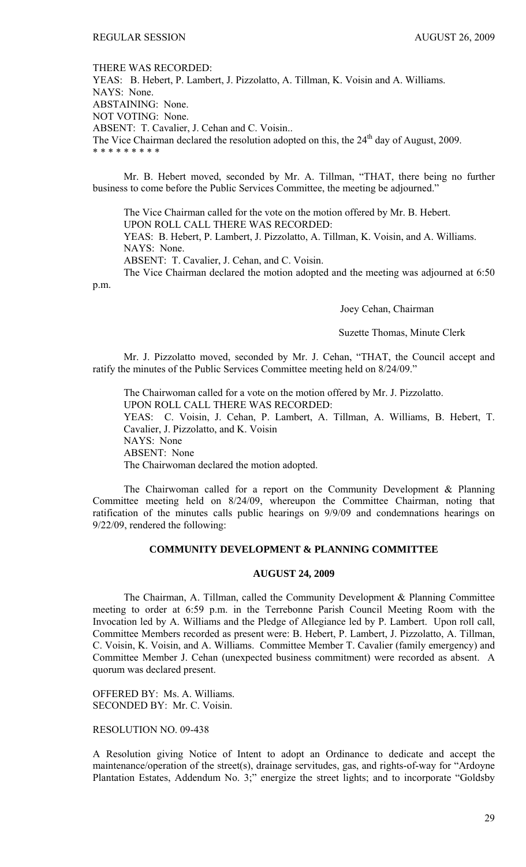THERE WAS RECORDED:

YEAS: B. Hebert, P. Lambert, J. Pizzolatto, A. Tillman, K. Voisin and A. Williams. NAYS: None. ABSTAINING: None. NOT VOTING: None. ABSENT: T. Cavalier, J. Cehan and C. Voisin.. The Vice Chairman declared the resolution adopted on this, the 24<sup>th</sup> day of August, 2009. \* \* \* \* \* \* \* \* \*

 Mr. B. Hebert moved, seconded by Mr. A. Tillman, "THAT, there being no further business to come before the Public Services Committee, the meeting be adjourned."

 The Vice Chairman called for the vote on the motion offered by Mr. B. Hebert. UPON ROLL CALL THERE WAS RECORDED: YEAS: B. Hebert, P. Lambert, J. Pizzolatto, A. Tillman, K. Voisin, and A. Williams. NAYS: None. ABSENT: T. Cavalier, J. Cehan, and C. Voisin. The Vice Chairman declared the motion adopted and the meeting was adjourned at 6:50

p.m.

Joey Cehan, Chairman

### Suzette Thomas, Minute Clerk

 Mr. J. Pizzolatto moved, seconded by Mr. J. Cehan, "THAT, the Council accept and ratify the minutes of the Public Services Committee meeting held on 8/24/09."

 The Chairwoman called for a vote on the motion offered by Mr. J. Pizzolatto. UPON ROLL CALL THERE WAS RECORDED: YEAS: C. Voisin, J. Cehan, P. Lambert, A. Tillman, A. Williams, B. Hebert, T. Cavalier, J. Pizzolatto, and K. Voisin NAYS: None ABSENT: None The Chairwoman declared the motion adopted.

 The Chairwoman called for a report on the Community Development & Planning Committee meeting held on 8/24/09, whereupon the Committee Chairman, noting that ratification of the minutes calls public hearings on 9/9/09 and condemnations hearings on 9/22/09, rendered the following:

### **COMMUNITY DEVELOPMENT & PLANNING COMMITTEE**

#### **AUGUST 24, 2009**

 The Chairman, A. Tillman, called the Community Development & Planning Committee meeting to order at 6:59 p.m. in the Terrebonne Parish Council Meeting Room with the Invocation led by A. Williams and the Pledge of Allegiance led by P. Lambert. Upon roll call, Committee Members recorded as present were: B. Hebert, P. Lambert, J. Pizzolatto, A. Tillman, C. Voisin, K. Voisin, and A. Williams. Committee Member T. Cavalier (family emergency) and Committee Member J. Cehan (unexpected business commitment) were recorded as absent. A quorum was declared present.

OFFERED BY: Ms. A. Williams. SECONDED BY: Mr. C. Voisin.

RESOLUTION NO. 09-438

A Resolution giving Notice of Intent to adopt an Ordinance to dedicate and accept the maintenance/operation of the street(s), drainage servitudes, gas, and rights-of-way for "Ardoyne Plantation Estates, Addendum No. 3;" energize the street lights; and to incorporate "Goldsby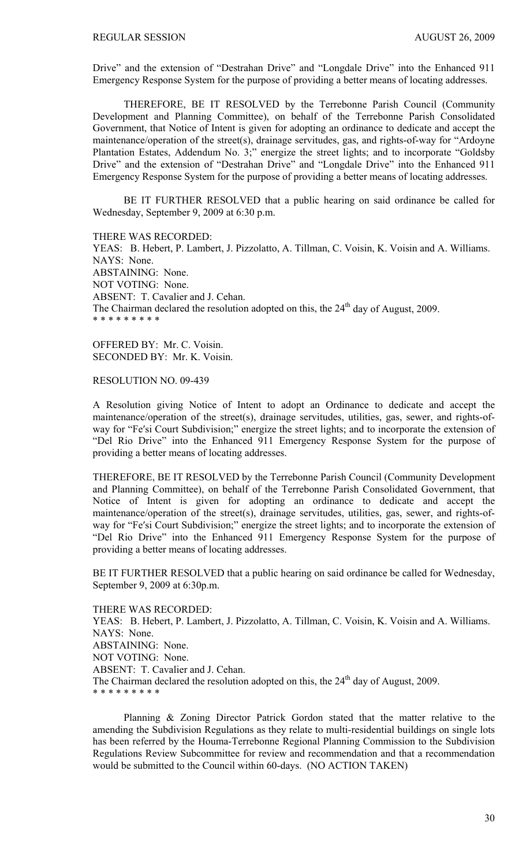Drive" and the extension of "Destrahan Drive" and "Longdale Drive" into the Enhanced 911 Emergency Response System for the purpose of providing a better means of locating addresses.

THEREFORE, BE IT RESOLVED by the Terrebonne Parish Council (Community Development and Planning Committee), on behalf of the Terrebonne Parish Consolidated Government, that Notice of Intent is given for adopting an ordinance to dedicate and accept the maintenance/operation of the street(s), drainage servitudes, gas, and rights-of-way for "Ardoyne Plantation Estates, Addendum No. 3;" energize the street lights; and to incorporate "Goldsby Drive" and the extension of "Destrahan Drive" and "Longdale Drive" into the Enhanced 911 Emergency Response System for the purpose of providing a better means of locating addresses.

 BE IT FURTHER RESOLVED that a public hearing on said ordinance be called for Wednesday, September 9, 2009 at 6:30 p.m.

THERE WAS RECORDED:

YEAS: B. Hebert, P. Lambert, J. Pizzolatto, A. Tillman, C. Voisin, K. Voisin and A. Williams. NAYS: None. ABSTAINING: None. NOT VOTING: None. ABSENT: T. Cavalier and J. Cehan. The Chairman declared the resolution adopted on this, the  $24<sup>th</sup>$  day of August, 2009. \* \* \* \* \* \* \* \* \*

OFFERED BY: Mr. C. Voisin. SECONDED BY: Mr. K. Voisin.

#### RESOLUTION NO. 09-439

A Resolution giving Notice of Intent to adopt an Ordinance to dedicate and accept the maintenance/operation of the street(s), drainage servitudes, utilities, gas, sewer, and rights-ofway for "Fe′si Court Subdivision;" energize the street lights; and to incorporate the extension of "Del Rio Drive" into the Enhanced 911 Emergency Response System for the purpose of providing a better means of locating addresses.

THEREFORE, BE IT RESOLVED by the Terrebonne Parish Council (Community Development and Planning Committee), on behalf of the Terrebonne Parish Consolidated Government, that Notice of Intent is given for adopting an ordinance to dedicate and accept the maintenance/operation of the street(s), drainage servitudes, utilities, gas, sewer, and rights-ofway for "Fe′si Court Subdivision;" energize the street lights; and to incorporate the extension of "Del Rio Drive" into the Enhanced 911 Emergency Response System for the purpose of providing a better means of locating addresses.

BE IT FURTHER RESOLVED that a public hearing on said ordinance be called for Wednesday, September 9, 2009 at 6:30p.m.

THERE WAS RECORDED:

YEAS: B. Hebert, P. Lambert, J. Pizzolatto, A. Tillman, C. Voisin, K. Voisin and A. Williams. NAYS: None. ABSTAINING: None. NOT VOTING: None. ABSENT: T. Cavalier and J. Cehan. The Chairman declared the resolution adopted on this, the  $24<sup>th</sup>$  day of August, 2009. \* \* \* \* \* \* \* \* \*

 Planning & Zoning Director Patrick Gordon stated that the matter relative to the amending the Subdivision Regulations as they relate to multi-residential buildings on single lots has been referred by the Houma-Terrebonne Regional Planning Commission to the Subdivision Regulations Review Subcommittee for review and recommendation and that a recommendation would be submitted to the Council within 60-days. (NO ACTION TAKEN)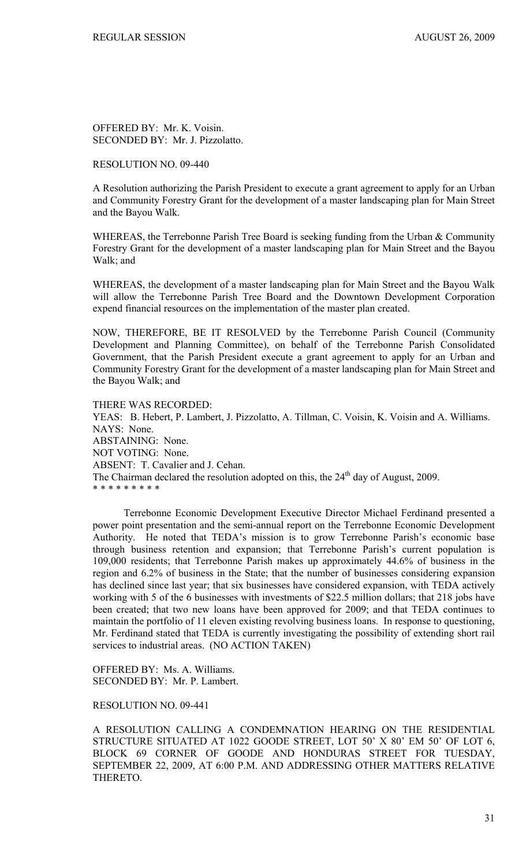OFFERED BY: Mr. K. Voisin. SECONDED BY: Mr. J. Pizzolatto.

### RESOLUTION NO. 09-440

A Resolution authorizing the Parish President to execute a grant agreement to apply for an Urban and Community Forestry Grant for the development of a master landscaping plan for Main Street and the Bayou Walk.

WHEREAS, the Terrebonne Parish Tree Board is seeking funding from the Urban & Community Forestry Grant for the development of a master landscaping plan for Main Street and the Bayou Walk; and

WHEREAS, the development of a master landscaping plan for Main Street and the Bayou Walk will allow the Terrebonne Parish Tree Board and the Downtown Development Corporation expend financial resources on the implementation of the master plan created.

NOW, THEREFORE, BE IT RESOLVED by the Terrebonne Parish Council (Community Development and Planning Committee), on behalf of the Terrebonne Parish Consolidated Government, that the Parish President execute a grant agreement to apply for an Urban and Community Forestry Grant for the development of a master landscaping plan for Main Street and the Bayou Walk; and

THERE WAS RECORDED: YEAS: B. Hebert, P. Lambert, J. Pizzolatto, A. Tillman, C. Voisin, K. Voisin and A. Williams. NAYS: None. ABSTAINING: None. NOT VOTING: None. ABSENT: T. Cavalier and J. Cehan. The Chairman declared the resolution adopted on this, the  $24<sup>th</sup>$  day of August, 2009. \* \* \* \* \* \* \* \* \*

 Terrebonne Economic Development Executive Director Michael Ferdinand presented a power point presentation and the semi-annual report on the Terrebonne Economic Development Authority. He noted that TEDA's mission is to grow Terrebonne Parish's economic base through business retention and expansion; that Terrebonne Parish's current population is 109,000 residents; that Terrebonne Parish makes up approximately 44.6% of business in the region and 6.2% of business in the State; that the number of businesses considering expansion has declined since last year; that six businesses have considered expansion, with TEDA actively working with 5 of the 6 businesses with investments of \$22.5 million dollars; that 218 jobs have been created; that two new loans have been approved for 2009; and that TEDA continues to maintain the portfolio of 11 eleven existing revolving business loans. In response to questioning, Mr. Ferdinand stated that TEDA is currently investigating the possibility of extending short rail services to industrial areas. (NO ACTION TAKEN)

OFFERED BY: Ms. A. Williams. SECONDED BY: Mr. P. Lambert.

#### RESOLUTION NO. 09-441

A RESOLUTION CALLING A CONDEMNATION HEARING ON THE RESIDENTIAL STRUCTURE SITUATED AT 1022 GOODE STREET, LOT 50' X 80' EM 50' OF LOT 6, BLOCK 69 CORNER OF GOODE AND HONDURAS STREET FOR TUESDAY, SEPTEMBER 22, 2009, AT 6:00 P.M. AND ADDRESSING OTHER MATTERS RELATIVE THERETO.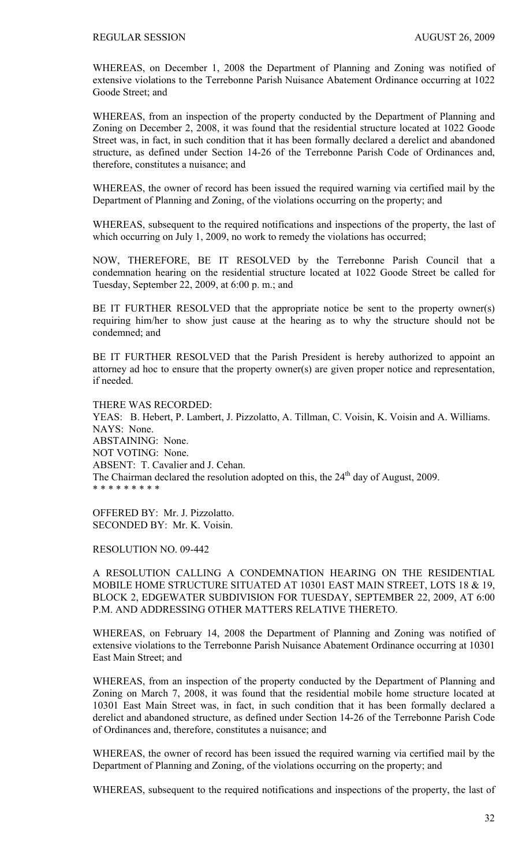WHEREAS, on December 1, 2008 the Department of Planning and Zoning was notified of extensive violations to the Terrebonne Parish Nuisance Abatement Ordinance occurring at 1022 Goode Street; and

WHEREAS, from an inspection of the property conducted by the Department of Planning and Zoning on December 2, 2008, it was found that the residential structure located at 1022 Goode Street was, in fact, in such condition that it has been formally declared a derelict and abandoned structure, as defined under Section 14-26 of the Terrebonne Parish Code of Ordinances and, therefore, constitutes a nuisance; and

WHEREAS, the owner of record has been issued the required warning via certified mail by the Department of Planning and Zoning, of the violations occurring on the property; and

WHEREAS, subsequent to the required notifications and inspections of the property, the last of which occurring on July 1, 2009, no work to remedy the violations has occurred;

NOW, THEREFORE, BE IT RESOLVED by the Terrebonne Parish Council that a condemnation hearing on the residential structure located at 1022 Goode Street be called for Tuesday, September 22, 2009, at 6:00 p. m.; and

BE IT FURTHER RESOLVED that the appropriate notice be sent to the property owner(s) requiring him/her to show just cause at the hearing as to why the structure should not be condemned; and

BE IT FURTHER RESOLVED that the Parish President is hereby authorized to appoint an attorney ad hoc to ensure that the property owner(s) are given proper notice and representation, if needed.

THERE WAS RECORDED: YEAS: B. Hebert, P. Lambert, J. Pizzolatto, A. Tillman, C. Voisin, K. Voisin and A. Williams. NAYS: None. ABSTAINING: None. NOT VOTING: None. ABSENT: T. Cavalier and J. Cehan. The Chairman declared the resolution adopted on this, the 24<sup>th</sup> day of August, 2009. \* \* \* \* \* \* \* \* \*

OFFERED BY: Mr. J. Pizzolatto. SECONDED BY: Mr. K. Voisin.

### RESOLUTION NO. 09-442

A RESOLUTION CALLING A CONDEMNATION HEARING ON THE RESIDENTIAL MOBILE HOME STRUCTURE SITUATED AT 10301 EAST MAIN STREET, LOTS 18 & 19, BLOCK 2, EDGEWATER SUBDIVISION FOR TUESDAY, SEPTEMBER 22, 2009, AT 6:00 P.M. AND ADDRESSING OTHER MATTERS RELATIVE THERETO.

WHEREAS, on February 14, 2008 the Department of Planning and Zoning was notified of extensive violations to the Terrebonne Parish Nuisance Abatement Ordinance occurring at 10301 East Main Street; and

WHEREAS, from an inspection of the property conducted by the Department of Planning and Zoning on March 7, 2008, it was found that the residential mobile home structure located at 10301 East Main Street was, in fact, in such condition that it has been formally declared a derelict and abandoned structure, as defined under Section 14-26 of the Terrebonne Parish Code of Ordinances and, therefore, constitutes a nuisance; and

WHEREAS, the owner of record has been issued the required warning via certified mail by the Department of Planning and Zoning, of the violations occurring on the property; and

WHEREAS, subsequent to the required notifications and inspections of the property, the last of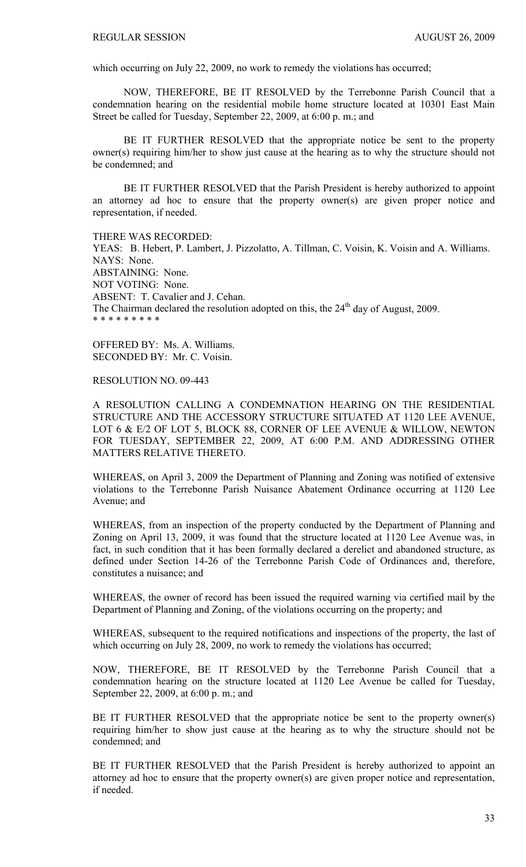which occurring on July 22, 2009, no work to remedy the violations has occurred;

 NOW, THEREFORE, BE IT RESOLVED by the Terrebonne Parish Council that a condemnation hearing on the residential mobile home structure located at 10301 East Main Street be called for Tuesday, September 22, 2009, at 6:00 p. m.; and

 BE IT FURTHER RESOLVED that the appropriate notice be sent to the property owner(s) requiring him/her to show just cause at the hearing as to why the structure should not be condemned; and

 BE IT FURTHER RESOLVED that the Parish President is hereby authorized to appoint an attorney ad hoc to ensure that the property owner(s) are given proper notice and representation, if needed.

THERE WAS RECORDED: YEAS: B. Hebert, P. Lambert, J. Pizzolatto, A. Tillman, C. Voisin, K. Voisin and A. Williams. NAYS: None. ABSTAINING: None. NOT VOTING: None. ABSENT: T. Cavalier and J. Cehan. The Chairman declared the resolution adopted on this, the  $24<sup>th</sup>$  day of August, 2009. \* \* \* \* \* \* \* \* \*

OFFERED BY: Ms. A. Williams. SECONDED BY: Mr. C. Voisin.

RESOLUTION NO. 09-443

A RESOLUTION CALLING A CONDEMNATION HEARING ON THE RESIDENTIAL STRUCTURE AND THE ACCESSORY STRUCTURE SITUATED AT 1120 LEE AVENUE, LOT 6 & E/2 OF LOT 5, BLOCK 88, CORNER OF LEE AVENUE & WILLOW, NEWTON FOR TUESDAY, SEPTEMBER 22, 2009, AT 6:00 P.M. AND ADDRESSING OTHER MATTERS RELATIVE THERETO.

WHEREAS, on April 3, 2009 the Department of Planning and Zoning was notified of extensive violations to the Terrebonne Parish Nuisance Abatement Ordinance occurring at 1120 Lee Avenue; and

WHEREAS, from an inspection of the property conducted by the Department of Planning and Zoning on April 13, 2009, it was found that the structure located at 1120 Lee Avenue was, in fact, in such condition that it has been formally declared a derelict and abandoned structure, as defined under Section 14-26 of the Terrebonne Parish Code of Ordinances and, therefore, constitutes a nuisance; and

WHEREAS, the owner of record has been issued the required warning via certified mail by the Department of Planning and Zoning, of the violations occurring on the property; and

WHEREAS, subsequent to the required notifications and inspections of the property, the last of which occurring on July 28, 2009, no work to remedy the violations has occurred;

NOW, THEREFORE, BE IT RESOLVED by the Terrebonne Parish Council that a condemnation hearing on the structure located at 1120 Lee Avenue be called for Tuesday, September 22, 2009, at 6:00 p. m.; and

BE IT FURTHER RESOLVED that the appropriate notice be sent to the property owner(s) requiring him/her to show just cause at the hearing as to why the structure should not be condemned; and

BE IT FURTHER RESOLVED that the Parish President is hereby authorized to appoint an attorney ad hoc to ensure that the property owner(s) are given proper notice and representation, if needed.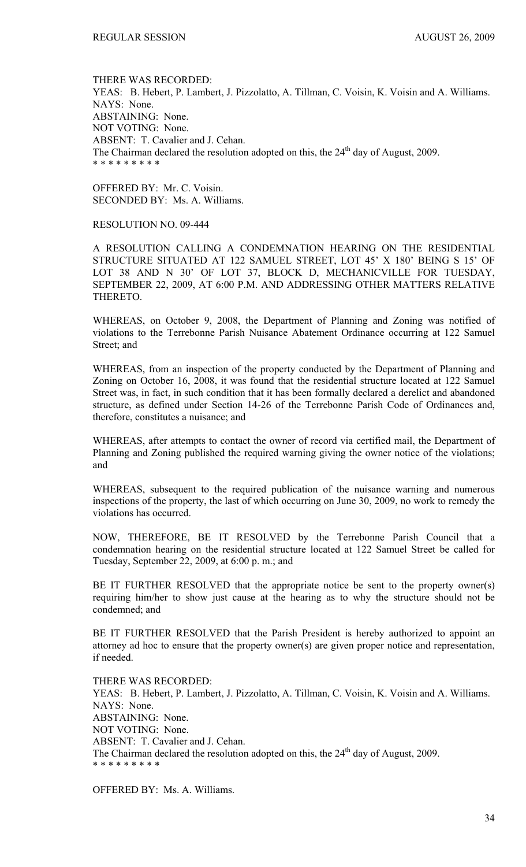THERE WAS RECORDED: YEAS: B. Hebert, P. Lambert, J. Pizzolatto, A. Tillman, C. Voisin, K. Voisin and A. Williams. NAYS: None. ABSTAINING: None. NOT VOTING: None. ABSENT: T. Cavalier and J. Cehan. The Chairman declared the resolution adopted on this, the 24<sup>th</sup> day of August, 2009. \* \* \* \* \* \* \* \* \*

OFFERED BY: Mr. C. Voisin. SECONDED BY: Ms. A. Williams.

## RESOLUTION NO. 09-444

A RESOLUTION CALLING A CONDEMNATION HEARING ON THE RESIDENTIAL STRUCTURE SITUATED AT 122 SAMUEL STREET, LOT 45' X 180' BEING S 15' OF LOT 38 AND N 30' OF LOT 37, BLOCK D, MECHANICVILLE FOR TUESDAY, SEPTEMBER 22, 2009, AT 6:00 P.M. AND ADDRESSING OTHER MATTERS RELATIVE THERETO.

WHEREAS, on October 9, 2008, the Department of Planning and Zoning was notified of violations to the Terrebonne Parish Nuisance Abatement Ordinance occurring at 122 Samuel Street; and

WHEREAS, from an inspection of the property conducted by the Department of Planning and Zoning on October 16, 2008, it was found that the residential structure located at 122 Samuel Street was, in fact, in such condition that it has been formally declared a derelict and abandoned structure, as defined under Section 14-26 of the Terrebonne Parish Code of Ordinances and, therefore, constitutes a nuisance; and

WHEREAS, after attempts to contact the owner of record via certified mail, the Department of Planning and Zoning published the required warning giving the owner notice of the violations; and

WHEREAS, subsequent to the required publication of the nuisance warning and numerous inspections of the property, the last of which occurring on June 30, 2009, no work to remedy the violations has occurred.

NOW, THEREFORE, BE IT RESOLVED by the Terrebonne Parish Council that a condemnation hearing on the residential structure located at 122 Samuel Street be called for Tuesday, September 22, 2009, at 6:00 p. m.; and

BE IT FURTHER RESOLVED that the appropriate notice be sent to the property owner(s) requiring him/her to show just cause at the hearing as to why the structure should not be condemned; and

BE IT FURTHER RESOLVED that the Parish President is hereby authorized to appoint an attorney ad hoc to ensure that the property owner(s) are given proper notice and representation, if needed.

THERE WAS RECORDED: YEAS: B. Hebert, P. Lambert, J. Pizzolatto, A. Tillman, C. Voisin, K. Voisin and A. Williams. NAYS: None. ABSTAINING: None. NOT VOTING: None. ABSENT: T. Cavalier and J. Cehan. The Chairman declared the resolution adopted on this, the  $24<sup>th</sup>$  day of August, 2009. \* \* \* \* \* \* \* \* \*

OFFERED BY: Ms. A. Williams.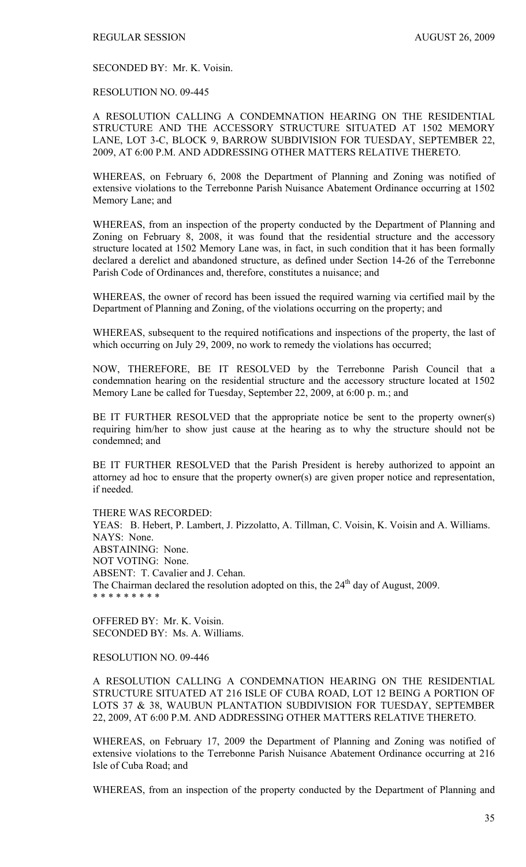SECONDED BY: Mr. K. Voisin.

#### RESOLUTION NO. 09-445

A RESOLUTION CALLING A CONDEMNATION HEARING ON THE RESIDENTIAL STRUCTURE AND THE ACCESSORY STRUCTURE SITUATED AT 1502 MEMORY LANE, LOT 3-C, BLOCK 9, BARROW SUBDIVISION FOR TUESDAY, SEPTEMBER 22, 2009, AT 6:00 P.M. AND ADDRESSING OTHER MATTERS RELATIVE THERETO.

WHEREAS, on February 6, 2008 the Department of Planning and Zoning was notified of extensive violations to the Terrebonne Parish Nuisance Abatement Ordinance occurring at 1502 Memory Lane; and

WHEREAS, from an inspection of the property conducted by the Department of Planning and Zoning on February 8, 2008, it was found that the residential structure and the accessory structure located at 1502 Memory Lane was, in fact, in such condition that it has been formally declared a derelict and abandoned structure, as defined under Section 14-26 of the Terrebonne Parish Code of Ordinances and, therefore, constitutes a nuisance; and

WHEREAS, the owner of record has been issued the required warning via certified mail by the Department of Planning and Zoning, of the violations occurring on the property; and

WHEREAS, subsequent to the required notifications and inspections of the property, the last of which occurring on July 29, 2009, no work to remedy the violations has occurred;

NOW, THEREFORE, BE IT RESOLVED by the Terrebonne Parish Council that a condemnation hearing on the residential structure and the accessory structure located at 1502 Memory Lane be called for Tuesday, September 22, 2009, at 6:00 p. m.; and

BE IT FURTHER RESOLVED that the appropriate notice be sent to the property owner(s) requiring him/her to show just cause at the hearing as to why the structure should not be condemned; and

BE IT FURTHER RESOLVED that the Parish President is hereby authorized to appoint an attorney ad hoc to ensure that the property owner(s) are given proper notice and representation, if needed.

THERE WAS RECORDED: YEAS: B. Hebert, P. Lambert, J. Pizzolatto, A. Tillman, C. Voisin, K. Voisin and A. Williams. NAYS: None. ABSTAINING: None. NOT VOTING: None. ABSENT: T. Cavalier and J. Cehan. The Chairman declared the resolution adopted on this, the  $24<sup>th</sup>$  day of August, 2009. \* \* \* \* \* \* \* \* \*

OFFERED BY: Mr. K. Voisin. SECONDED BY: Ms. A. Williams.

#### RESOLUTION NO. 09-446

A RESOLUTION CALLING A CONDEMNATION HEARING ON THE RESIDENTIAL STRUCTURE SITUATED AT 216 ISLE OF CUBA ROAD, LOT 12 BEING A PORTION OF LOTS 37 & 38, WAUBUN PLANTATION SUBDIVISION FOR TUESDAY, SEPTEMBER 22, 2009, AT 6:00 P.M. AND ADDRESSING OTHER MATTERS RELATIVE THERETO.

WHEREAS, on February 17, 2009 the Department of Planning and Zoning was notified of extensive violations to the Terrebonne Parish Nuisance Abatement Ordinance occurring at 216 Isle of Cuba Road; and

WHEREAS, from an inspection of the property conducted by the Department of Planning and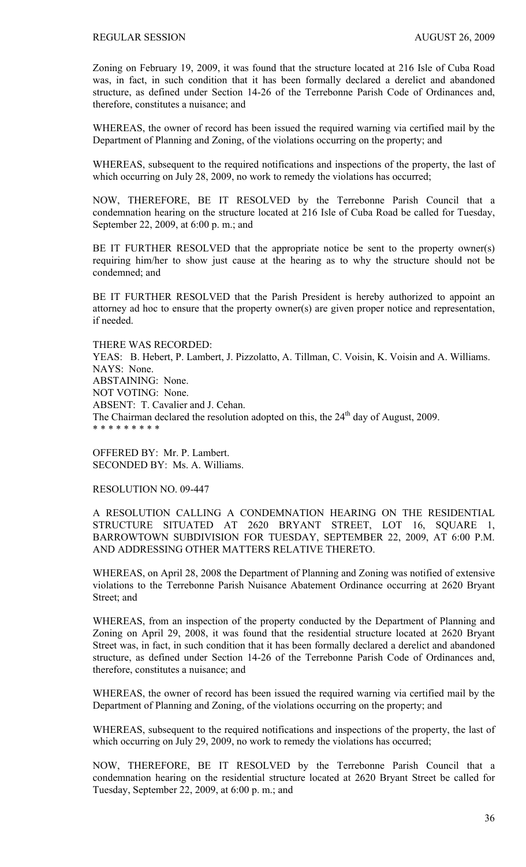Zoning on February 19, 2009, it was found that the structure located at 216 Isle of Cuba Road was, in fact, in such condition that it has been formally declared a derelict and abandoned structure, as defined under Section 14-26 of the Terrebonne Parish Code of Ordinances and, therefore, constitutes a nuisance; and

WHEREAS, the owner of record has been issued the required warning via certified mail by the Department of Planning and Zoning, of the violations occurring on the property; and

WHEREAS, subsequent to the required notifications and inspections of the property, the last of which occurring on July 28, 2009, no work to remedy the violations has occurred;

NOW, THEREFORE, BE IT RESOLVED by the Terrebonne Parish Council that a condemnation hearing on the structure located at 216 Isle of Cuba Road be called for Tuesday, September 22, 2009, at 6:00 p. m.; and

BE IT FURTHER RESOLVED that the appropriate notice be sent to the property owner(s) requiring him/her to show just cause at the hearing as to why the structure should not be condemned; and

BE IT FURTHER RESOLVED that the Parish President is hereby authorized to appoint an attorney ad hoc to ensure that the property owner(s) are given proper notice and representation, if needed.

THERE WAS RECORDED: YEAS: B. Hebert, P. Lambert, J. Pizzolatto, A. Tillman, C. Voisin, K. Voisin and A. Williams. NAYS: None. ABSTAINING: None. NOT VOTING: None. ABSENT: T. Cavalier and J. Cehan. The Chairman declared the resolution adopted on this, the  $24<sup>th</sup>$  day of August, 2009. \* \* \* \* \* \* \* \* \*

OFFERED BY: Mr. P. Lambert. SECONDED BY: Ms. A. Williams.

RESOLUTION NO. 09-447

A RESOLUTION CALLING A CONDEMNATION HEARING ON THE RESIDENTIAL STRUCTURE SITUATED AT 2620 BRYANT STREET, LOT 16, SQUARE 1, BARROWTOWN SUBDIVISION FOR TUESDAY, SEPTEMBER 22, 2009, AT 6:00 P.M. AND ADDRESSING OTHER MATTERS RELATIVE THERETO.

WHEREAS, on April 28, 2008 the Department of Planning and Zoning was notified of extensive violations to the Terrebonne Parish Nuisance Abatement Ordinance occurring at 2620 Bryant Street; and

WHEREAS, from an inspection of the property conducted by the Department of Planning and Zoning on April 29, 2008, it was found that the residential structure located at 2620 Bryant Street was, in fact, in such condition that it has been formally declared a derelict and abandoned structure, as defined under Section 14-26 of the Terrebonne Parish Code of Ordinances and, therefore, constitutes a nuisance; and

WHEREAS, the owner of record has been issued the required warning via certified mail by the Department of Planning and Zoning, of the violations occurring on the property; and

WHEREAS, subsequent to the required notifications and inspections of the property, the last of which occurring on July 29, 2009, no work to remedy the violations has occurred;

NOW, THEREFORE, BE IT RESOLVED by the Terrebonne Parish Council that a condemnation hearing on the residential structure located at 2620 Bryant Street be called for Tuesday, September 22, 2009, at 6:00 p. m.; and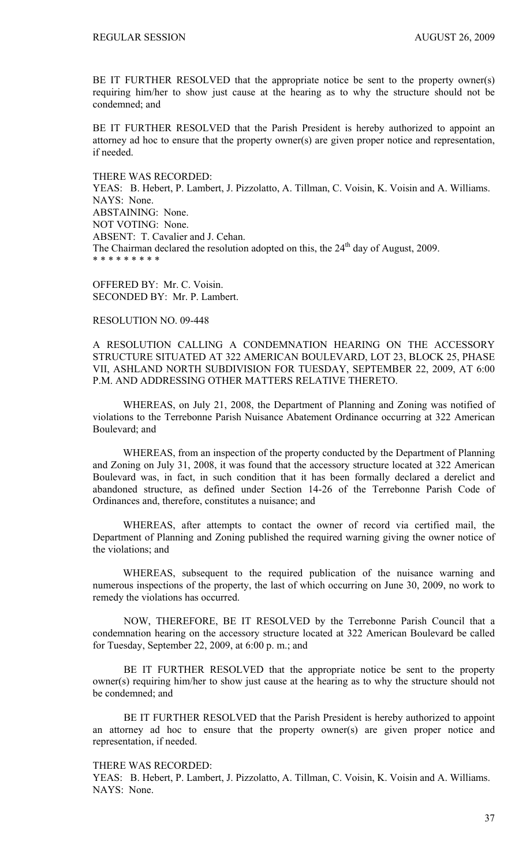BE IT FURTHER RESOLVED that the appropriate notice be sent to the property owner(s) requiring him/her to show just cause at the hearing as to why the structure should not be condemned; and

BE IT FURTHER RESOLVED that the Parish President is hereby authorized to appoint an attorney ad hoc to ensure that the property owner(s) are given proper notice and representation, if needed.

THERE WAS RECORDED: YEAS: B. Hebert, P. Lambert, J. Pizzolatto, A. Tillman, C. Voisin, K. Voisin and A. Williams. NAYS: None. ABSTAINING: None. NOT VOTING: None. ABSENT: T. Cavalier and J. Cehan. The Chairman declared the resolution adopted on this, the  $24<sup>th</sup>$  day of August, 2009. \* \* \* \* \* \* \* \* \*

OFFERED BY: Mr. C. Voisin. SECONDED BY: Mr. P. Lambert.

RESOLUTION NO. 09-448

A RESOLUTION CALLING A CONDEMNATION HEARING ON THE ACCESSORY STRUCTURE SITUATED AT 322 AMERICAN BOULEVARD, LOT 23, BLOCK 25, PHASE VII, ASHLAND NORTH SUBDIVISION FOR TUESDAY, SEPTEMBER 22, 2009, AT 6:00 P.M. AND ADDRESSING OTHER MATTERS RELATIVE THERETO.

WHEREAS, on July 21, 2008, the Department of Planning and Zoning was notified of violations to the Terrebonne Parish Nuisance Abatement Ordinance occurring at 322 American Boulevard; and

WHEREAS, from an inspection of the property conducted by the Department of Planning and Zoning on July 31, 2008, it was found that the accessory structure located at 322 American Boulevard was, in fact, in such condition that it has been formally declared a derelict and abandoned structure, as defined under Section 14-26 of the Terrebonne Parish Code of Ordinances and, therefore, constitutes a nuisance; and

WHEREAS, after attempts to contact the owner of record via certified mail, the Department of Planning and Zoning published the required warning giving the owner notice of the violations; and

WHEREAS, subsequent to the required publication of the nuisance warning and numerous inspections of the property, the last of which occurring on June 30, 2009, no work to remedy the violations has occurred.

 NOW, THEREFORE, BE IT RESOLVED by the Terrebonne Parish Council that a condemnation hearing on the accessory structure located at 322 American Boulevard be called for Tuesday, September 22, 2009, at 6:00 p. m.; and

 BE IT FURTHER RESOLVED that the appropriate notice be sent to the property owner(s) requiring him/her to show just cause at the hearing as to why the structure should not be condemned; and

 BE IT FURTHER RESOLVED that the Parish President is hereby authorized to appoint an attorney ad hoc to ensure that the property owner(s) are given proper notice and representation, if needed.

THERE WAS RECORDED:

YEAS: B. Hebert, P. Lambert, J. Pizzolatto, A. Tillman, C. Voisin, K. Voisin and A. Williams. NAYS: None.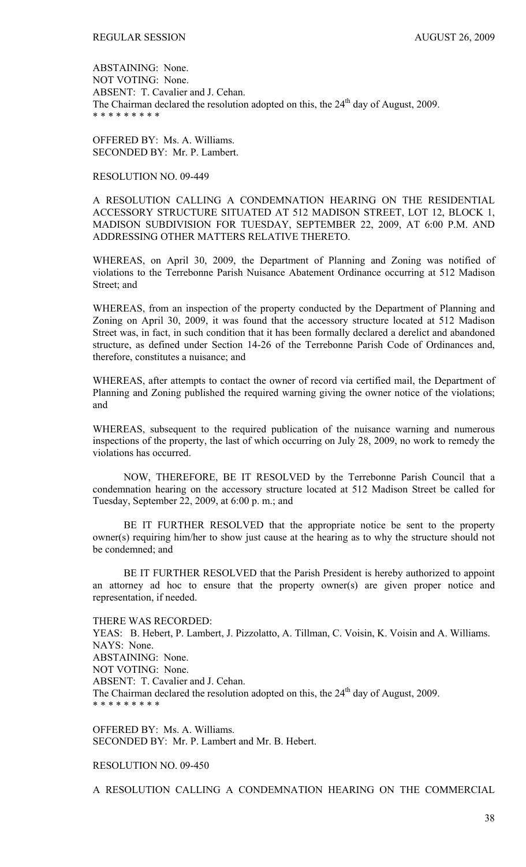ABSTAINING: None. NOT VOTING: None. ABSENT: T. Cavalier and J. Cehan. The Chairman declared the resolution adopted on this, the  $24<sup>th</sup>$  day of August, 2009. \* \* \* \* \* \* \* \* \*

OFFERED BY: Ms. A. Williams. SECONDED BY: Mr. P. Lambert.

### RESOLUTION NO. 09-449

A RESOLUTION CALLING A CONDEMNATION HEARING ON THE RESIDENTIAL ACCESSORY STRUCTURE SITUATED AT 512 MADISON STREET, LOT 12, BLOCK 1, MADISON SUBDIVISION FOR TUESDAY, SEPTEMBER 22, 2009, AT 6:00 P.M. AND ADDRESSING OTHER MATTERS RELATIVE THERETO.

WHEREAS, on April 30, 2009, the Department of Planning and Zoning was notified of violations to the Terrebonne Parish Nuisance Abatement Ordinance occurring at 512 Madison Street; and

WHEREAS, from an inspection of the property conducted by the Department of Planning and Zoning on April 30, 2009, it was found that the accessory structure located at 512 Madison Street was, in fact, in such condition that it has been formally declared a derelict and abandoned structure, as defined under Section 14-26 of the Terrebonne Parish Code of Ordinances and, therefore, constitutes a nuisance; and

WHEREAS, after attempts to contact the owner of record via certified mail, the Department of Planning and Zoning published the required warning giving the owner notice of the violations; and

WHEREAS, subsequent to the required publication of the nuisance warning and numerous inspections of the property, the last of which occurring on July 28, 2009, no work to remedy the violations has occurred.

 NOW, THEREFORE, BE IT RESOLVED by the Terrebonne Parish Council that a condemnation hearing on the accessory structure located at 512 Madison Street be called for Tuesday, September 22, 2009, at 6:00 p. m.; and

 BE IT FURTHER RESOLVED that the appropriate notice be sent to the property owner(s) requiring him/her to show just cause at the hearing as to why the structure should not be condemned; and

 BE IT FURTHER RESOLVED that the Parish President is hereby authorized to appoint an attorney ad hoc to ensure that the property owner(s) are given proper notice and representation, if needed.

## THERE WAS RECORDED: YEAS: B. Hebert, P. Lambert, J. Pizzolatto, A. Tillman, C. Voisin, K. Voisin and A. Williams. NAYS: None. ABSTAINING: None. NOT VOTING: None. ABSENT: T. Cavalier and J. Cehan. The Chairman declared the resolution adopted on this, the  $24<sup>th</sup>$  day of August, 2009. \* \* \* \* \* \* \* \* \*

OFFERED BY: Ms. A. Williams. SECONDED BY: Mr. P. Lambert and Mr. B. Hebert.

#### RESOLUTION NO. 09-450

A RESOLUTION CALLING A CONDEMNATION HEARING ON THE COMMERCIAL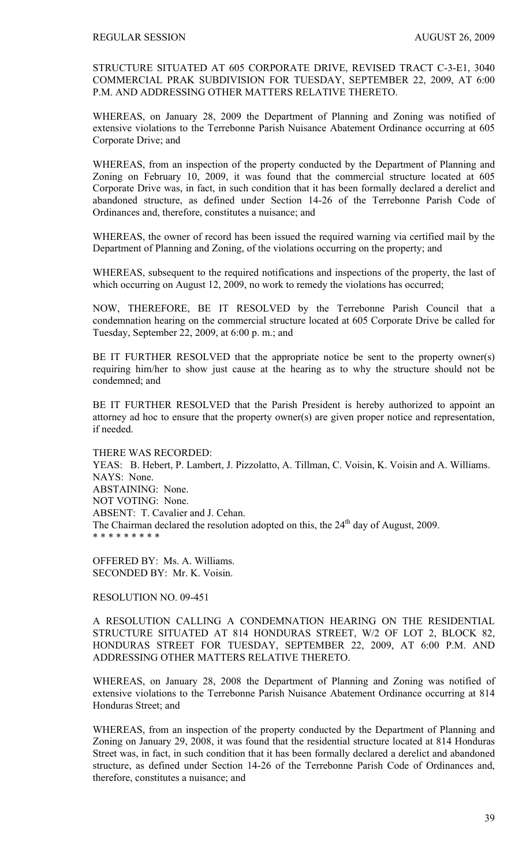STRUCTURE SITUATED AT 605 CORPORATE DRIVE, REVISED TRACT C-3-E1, 3040 COMMERCIAL PRAK SUBDIVISION FOR TUESDAY, SEPTEMBER 22, 2009, AT 6:00 P.M. AND ADDRESSING OTHER MATTERS RELATIVE THERETO.

WHEREAS, on January 28, 2009 the Department of Planning and Zoning was notified of extensive violations to the Terrebonne Parish Nuisance Abatement Ordinance occurring at 605 Corporate Drive; and

WHEREAS, from an inspection of the property conducted by the Department of Planning and Zoning on February 10, 2009, it was found that the commercial structure located at 605 Corporate Drive was, in fact, in such condition that it has been formally declared a derelict and abandoned structure, as defined under Section 14-26 of the Terrebonne Parish Code of Ordinances and, therefore, constitutes a nuisance; and

WHEREAS, the owner of record has been issued the required warning via certified mail by the Department of Planning and Zoning, of the violations occurring on the property; and

WHEREAS, subsequent to the required notifications and inspections of the property, the last of which occurring on August 12, 2009, no work to remedy the violations has occurred;

NOW, THEREFORE, BE IT RESOLVED by the Terrebonne Parish Council that a condemnation hearing on the commercial structure located at 605 Corporate Drive be called for Tuesday, September 22, 2009, at 6:00 p. m.; and

BE IT FURTHER RESOLVED that the appropriate notice be sent to the property owner(s) requiring him/her to show just cause at the hearing as to why the structure should not be condemned; and

BE IT FURTHER RESOLVED that the Parish President is hereby authorized to appoint an attorney ad hoc to ensure that the property owner(s) are given proper notice and representation, if needed.

THERE WAS RECORDED: YEAS: B. Hebert, P. Lambert, J. Pizzolatto, A. Tillman, C. Voisin, K. Voisin and A. Williams. NAYS: None. ABSTAINING: None. NOT VOTING: None. ABSENT: T. Cavalier and J. Cehan. The Chairman declared the resolution adopted on this, the 24<sup>th</sup> day of August, 2009. \* \* \* \* \* \* \* \* \*

OFFERED BY: Ms. A. Williams. SECONDED BY: Mr. K. Voisin.

RESOLUTION NO. 09-451

A RESOLUTION CALLING A CONDEMNATION HEARING ON THE RESIDENTIAL STRUCTURE SITUATED AT 814 HONDURAS STREET, W/2 OF LOT 2, BLOCK 82, HONDURAS STREET FOR TUESDAY, SEPTEMBER 22, 2009, AT 6:00 P.M. AND ADDRESSING OTHER MATTERS RELATIVE THERETO.

WHEREAS, on January 28, 2008 the Department of Planning and Zoning was notified of extensive violations to the Terrebonne Parish Nuisance Abatement Ordinance occurring at 814 Honduras Street; and

WHEREAS, from an inspection of the property conducted by the Department of Planning and Zoning on January 29, 2008, it was found that the residential structure located at 814 Honduras Street was, in fact, in such condition that it has been formally declared a derelict and abandoned structure, as defined under Section 14-26 of the Terrebonne Parish Code of Ordinances and, therefore, constitutes a nuisance; and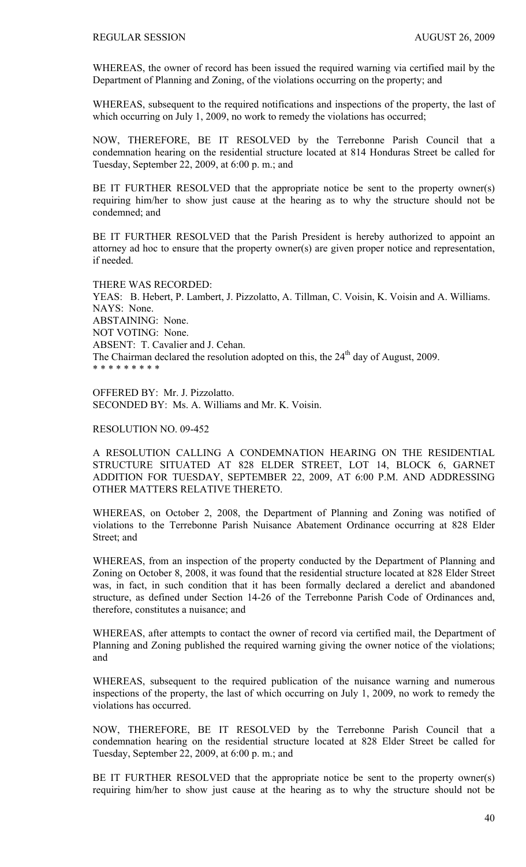WHEREAS, the owner of record has been issued the required warning via certified mail by the Department of Planning and Zoning, of the violations occurring on the property; and

WHEREAS, subsequent to the required notifications and inspections of the property, the last of which occurring on July 1, 2009, no work to remedy the violations has occurred;

NOW, THEREFORE, BE IT RESOLVED by the Terrebonne Parish Council that a condemnation hearing on the residential structure located at 814 Honduras Street be called for Tuesday, September 22, 2009, at 6:00 p. m.; and

BE IT FURTHER RESOLVED that the appropriate notice be sent to the property owner(s) requiring him/her to show just cause at the hearing as to why the structure should not be condemned; and

BE IT FURTHER RESOLVED that the Parish President is hereby authorized to appoint an attorney ad hoc to ensure that the property owner(s) are given proper notice and representation, if needed.

THERE WAS RECORDED: YEAS: B. Hebert, P. Lambert, J. Pizzolatto, A. Tillman, C. Voisin, K. Voisin and A. Williams. NAYS: None. ABSTAINING: None. NOT VOTING: None. ABSENT: T. Cavalier and J. Cehan. The Chairman declared the resolution adopted on this, the  $24<sup>th</sup>$  day of August, 2009. \* \* \* \* \* \* \* \* \*

OFFERED BY: Mr. J. Pizzolatto. SECONDED BY: Ms. A. Williams and Mr. K. Voisin.

RESOLUTION NO. 09-452

A RESOLUTION CALLING A CONDEMNATION HEARING ON THE RESIDENTIAL STRUCTURE SITUATED AT 828 ELDER STREET, LOT 14, BLOCK 6, GARNET ADDITION FOR TUESDAY, SEPTEMBER 22, 2009, AT 6:00 P.M. AND ADDRESSING OTHER MATTERS RELATIVE THERETO.

WHEREAS, on October 2, 2008, the Department of Planning and Zoning was notified of violations to the Terrebonne Parish Nuisance Abatement Ordinance occurring at 828 Elder Street; and

WHEREAS, from an inspection of the property conducted by the Department of Planning and Zoning on October 8, 2008, it was found that the residential structure located at 828 Elder Street was, in fact, in such condition that it has been formally declared a derelict and abandoned structure, as defined under Section 14-26 of the Terrebonne Parish Code of Ordinances and, therefore, constitutes a nuisance; and

WHEREAS, after attempts to contact the owner of record via certified mail, the Department of Planning and Zoning published the required warning giving the owner notice of the violations; and

WHEREAS, subsequent to the required publication of the nuisance warning and numerous inspections of the property, the last of which occurring on July 1, 2009, no work to remedy the violations has occurred.

NOW, THEREFORE, BE IT RESOLVED by the Terrebonne Parish Council that a condemnation hearing on the residential structure located at 828 Elder Street be called for Tuesday, September 22, 2009, at 6:00 p. m.; and

BE IT FURTHER RESOLVED that the appropriate notice be sent to the property owner(s) requiring him/her to show just cause at the hearing as to why the structure should not be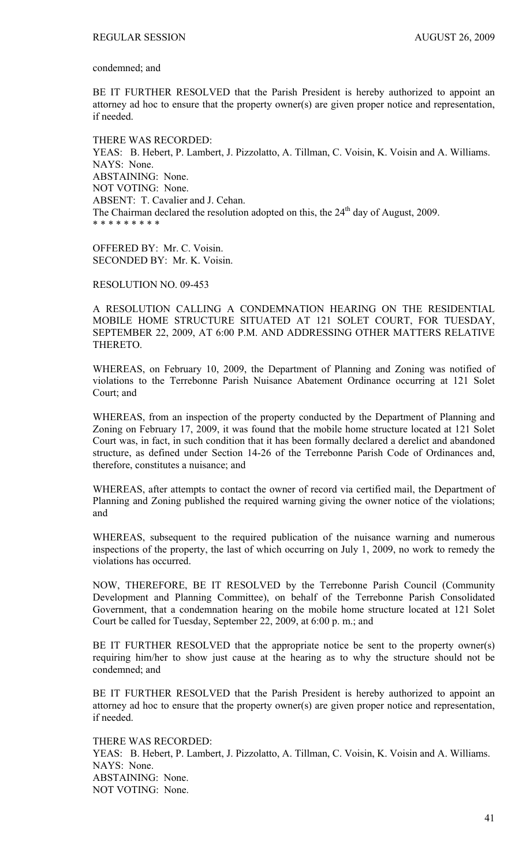condemned; and

BE IT FURTHER RESOLVED that the Parish President is hereby authorized to appoint an attorney ad hoc to ensure that the property owner(s) are given proper notice and representation, if needed.

THERE WAS RECORDED: YEAS: B. Hebert, P. Lambert, J. Pizzolatto, A. Tillman, C. Voisin, K. Voisin and A. Williams. NAYS: None. ABSTAINING: None. NOT VOTING: None. ABSENT: T. Cavalier and J. Cehan. The Chairman declared the resolution adopted on this, the 24<sup>th</sup> day of August, 2009. \* \* \* \* \* \* \* \* \*

OFFERED BY: Mr. C. Voisin. SECONDED BY: Mr. K. Voisin.

RESOLUTION NO. 09-453

A RESOLUTION CALLING A CONDEMNATION HEARING ON THE RESIDENTIAL MOBILE HOME STRUCTURE SITUATED AT 121 SOLET COURT, FOR TUESDAY, SEPTEMBER 22, 2009, AT 6:00 P.M. AND ADDRESSING OTHER MATTERS RELATIVE THERETO.

WHEREAS, on February 10, 2009, the Department of Planning and Zoning was notified of violations to the Terrebonne Parish Nuisance Abatement Ordinance occurring at 121 Solet Court; and

WHEREAS, from an inspection of the property conducted by the Department of Planning and Zoning on February 17, 2009, it was found that the mobile home structure located at 121 Solet Court was, in fact, in such condition that it has been formally declared a derelict and abandoned structure, as defined under Section 14-26 of the Terrebonne Parish Code of Ordinances and, therefore, constitutes a nuisance; and

WHEREAS, after attempts to contact the owner of record via certified mail, the Department of Planning and Zoning published the required warning giving the owner notice of the violations; and

WHEREAS, subsequent to the required publication of the nuisance warning and numerous inspections of the property, the last of which occurring on July 1, 2009, no work to remedy the violations has occurred.

NOW, THEREFORE, BE IT RESOLVED by the Terrebonne Parish Council (Community Development and Planning Committee), on behalf of the Terrebonne Parish Consolidated Government, that a condemnation hearing on the mobile home structure located at 121 Solet Court be called for Tuesday, September 22, 2009, at 6:00 p. m.; and

BE IT FURTHER RESOLVED that the appropriate notice be sent to the property owner(s) requiring him/her to show just cause at the hearing as to why the structure should not be condemned; and

BE IT FURTHER RESOLVED that the Parish President is hereby authorized to appoint an attorney ad hoc to ensure that the property owner(s) are given proper notice and representation, if needed.

THERE WAS RECORDED: YEAS: B. Hebert, P. Lambert, J. Pizzolatto, A. Tillman, C. Voisin, K. Voisin and A. Williams. NAYS: None. ABSTAINING: None. NOT VOTING: None.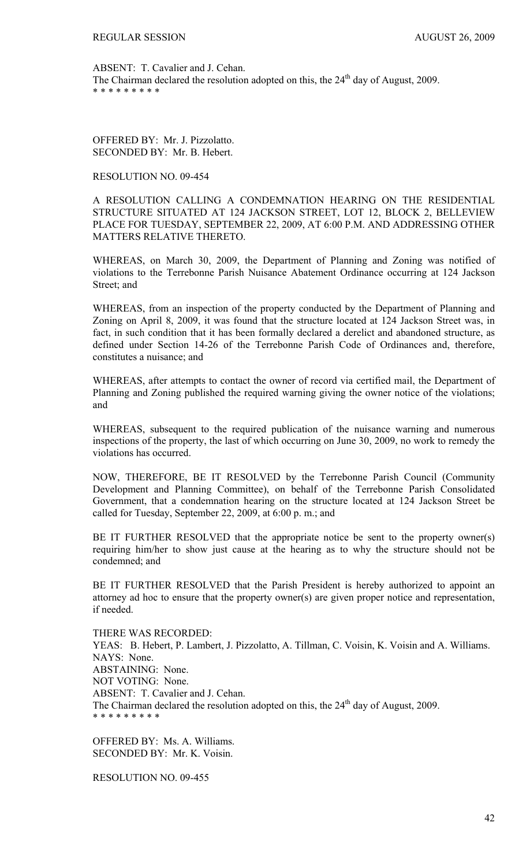ABSENT: T. Cavalier and J. Cehan. The Chairman declared the resolution adopted on this, the  $24<sup>th</sup>$  day of August, 2009. \* \* \* \* \* \* \* \* \*

OFFERED BY: Mr. J. Pizzolatto. SECONDED BY: Mr. B. Hebert.

RESOLUTION NO. 09-454

A RESOLUTION CALLING A CONDEMNATION HEARING ON THE RESIDENTIAL STRUCTURE SITUATED AT 124 JACKSON STREET, LOT 12, BLOCK 2, BELLEVIEW PLACE FOR TUESDAY, SEPTEMBER 22, 2009, AT 6:00 P.M. AND ADDRESSING OTHER MATTERS RELATIVE THERETO.

WHEREAS, on March 30, 2009, the Department of Planning and Zoning was notified of violations to the Terrebonne Parish Nuisance Abatement Ordinance occurring at 124 Jackson Street; and

WHEREAS, from an inspection of the property conducted by the Department of Planning and Zoning on April 8, 2009, it was found that the structure located at 124 Jackson Street was, in fact, in such condition that it has been formally declared a derelict and abandoned structure, as defined under Section 14-26 of the Terrebonne Parish Code of Ordinances and, therefore, constitutes a nuisance; and

WHEREAS, after attempts to contact the owner of record via certified mail, the Department of Planning and Zoning published the required warning giving the owner notice of the violations; and

WHEREAS, subsequent to the required publication of the nuisance warning and numerous inspections of the property, the last of which occurring on June 30, 2009, no work to remedy the violations has occurred.

NOW, THEREFORE, BE IT RESOLVED by the Terrebonne Parish Council (Community Development and Planning Committee), on behalf of the Terrebonne Parish Consolidated Government, that a condemnation hearing on the structure located at 124 Jackson Street be called for Tuesday, September 22, 2009, at 6:00 p. m.; and

BE IT FURTHER RESOLVED that the appropriate notice be sent to the property owner(s) requiring him/her to show just cause at the hearing as to why the structure should not be condemned; and

BE IT FURTHER RESOLVED that the Parish President is hereby authorized to appoint an attorney ad hoc to ensure that the property owner(s) are given proper notice and representation, if needed.

THERE WAS RECORDED: YEAS: B. Hebert, P. Lambert, J. Pizzolatto, A. Tillman, C. Voisin, K. Voisin and A. Williams. NAYS: None. ABSTAINING: None. NOT VOTING: None. ABSENT: T. Cavalier and J. Cehan. The Chairman declared the resolution adopted on this, the  $24<sup>th</sup>$  day of August, 2009. \* \* \* \* \* \* \* \* \*

OFFERED BY: Ms. A. Williams. SECONDED BY: Mr. K. Voisin.

RESOLUTION NO. 09-455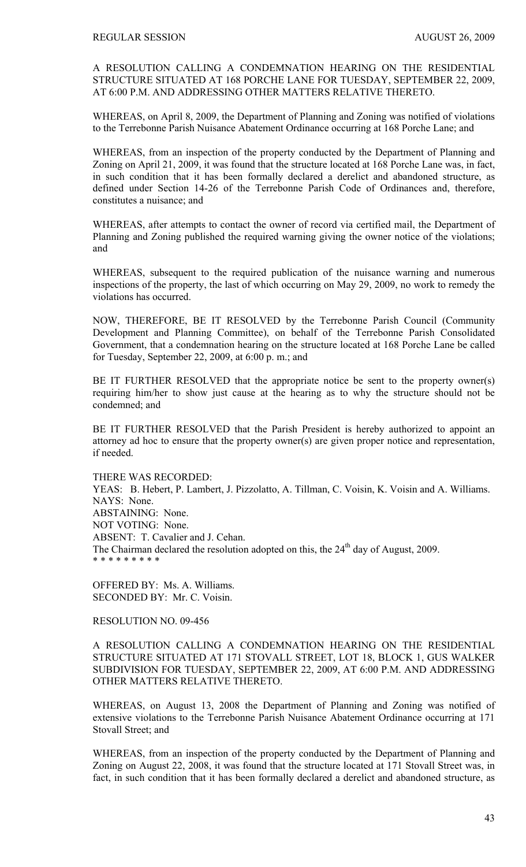A RESOLUTION CALLING A CONDEMNATION HEARING ON THE RESIDENTIAL STRUCTURE SITUATED AT 168 PORCHE LANE FOR TUESDAY, SEPTEMBER 22, 2009, AT 6:00 P.M. AND ADDRESSING OTHER MATTERS RELATIVE THERETO.

WHEREAS, on April 8, 2009, the Department of Planning and Zoning was notified of violations to the Terrebonne Parish Nuisance Abatement Ordinance occurring at 168 Porche Lane; and

WHEREAS, from an inspection of the property conducted by the Department of Planning and Zoning on April 21, 2009, it was found that the structure located at 168 Porche Lane was, in fact, in such condition that it has been formally declared a derelict and abandoned structure, as defined under Section 14-26 of the Terrebonne Parish Code of Ordinances and, therefore, constitutes a nuisance; and

WHEREAS, after attempts to contact the owner of record via certified mail, the Department of Planning and Zoning published the required warning giving the owner notice of the violations; and

WHEREAS, subsequent to the required publication of the nuisance warning and numerous inspections of the property, the last of which occurring on May 29, 2009, no work to remedy the violations has occurred.

NOW, THEREFORE, BE IT RESOLVED by the Terrebonne Parish Council (Community Development and Planning Committee), on behalf of the Terrebonne Parish Consolidated Government, that a condemnation hearing on the structure located at 168 Porche Lane be called for Tuesday, September 22, 2009, at 6:00 p. m.; and

BE IT FURTHER RESOLVED that the appropriate notice be sent to the property owner(s) requiring him/her to show just cause at the hearing as to why the structure should not be condemned; and

BE IT FURTHER RESOLVED that the Parish President is hereby authorized to appoint an attorney ad hoc to ensure that the property owner(s) are given proper notice and representation, if needed.

THERE WAS RECORDED:

YEAS: B. Hebert, P. Lambert, J. Pizzolatto, A. Tillman, C. Voisin, K. Voisin and A. Williams. NAYS: None. ABSTAINING: None. NOT VOTING: None. ABSENT: T. Cavalier and J. Cehan. The Chairman declared the resolution adopted on this, the  $24<sup>th</sup>$  day of August, 2009. \* \* \* \* \* \* \* \* \*

OFFERED BY: Ms. A. Williams. SECONDED BY: Mr. C. Voisin.

RESOLUTION NO. 09-456

A RESOLUTION CALLING A CONDEMNATION HEARING ON THE RESIDENTIAL STRUCTURE SITUATED AT 171 STOVALL STREET, LOT 18, BLOCK 1, GUS WALKER SUBDIVISION FOR TUESDAY, SEPTEMBER 22, 2009, AT 6:00 P.M. AND ADDRESSING OTHER MATTERS RELATIVE THERETO.

WHEREAS, on August 13, 2008 the Department of Planning and Zoning was notified of extensive violations to the Terrebonne Parish Nuisance Abatement Ordinance occurring at 171 Stovall Street; and

WHEREAS, from an inspection of the property conducted by the Department of Planning and Zoning on August 22, 2008, it was found that the structure located at 171 Stovall Street was, in fact, in such condition that it has been formally declared a derelict and abandoned structure, as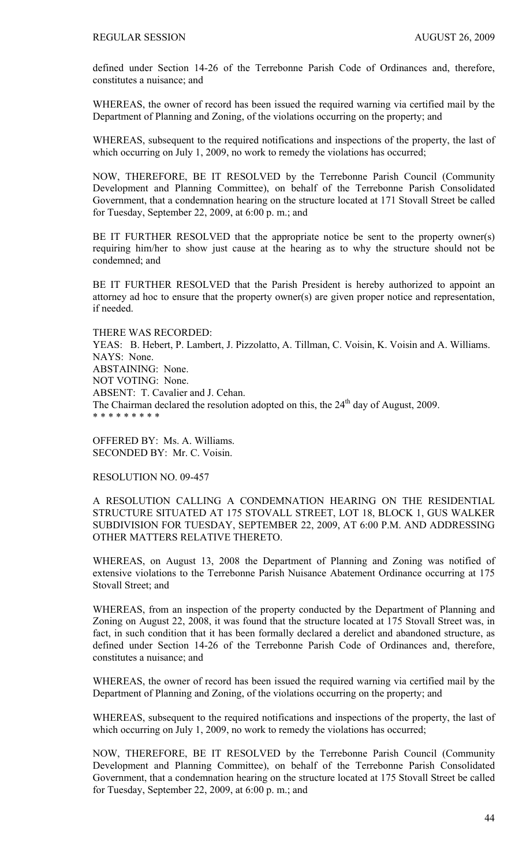defined under Section 14-26 of the Terrebonne Parish Code of Ordinances and, therefore, constitutes a nuisance; and

WHEREAS, the owner of record has been issued the required warning via certified mail by the Department of Planning and Zoning, of the violations occurring on the property; and

WHEREAS, subsequent to the required notifications and inspections of the property, the last of which occurring on July 1, 2009, no work to remedy the violations has occurred;

NOW, THEREFORE, BE IT RESOLVED by the Terrebonne Parish Council (Community Development and Planning Committee), on behalf of the Terrebonne Parish Consolidated Government, that a condemnation hearing on the structure located at 171 Stovall Street be called for Tuesday, September 22, 2009, at 6:00 p. m.; and

BE IT FURTHER RESOLVED that the appropriate notice be sent to the property owner(s) requiring him/her to show just cause at the hearing as to why the structure should not be condemned; and

BE IT FURTHER RESOLVED that the Parish President is hereby authorized to appoint an attorney ad hoc to ensure that the property owner(s) are given proper notice and representation, if needed.

THERE WAS RECORDED: YEAS: B. Hebert, P. Lambert, J. Pizzolatto, A. Tillman, C. Voisin, K. Voisin and A. Williams. NAYS: None. ABSTAINING: None. NOT VOTING: None. ABSENT: T. Cavalier and J. Cehan. The Chairman declared the resolution adopted on this, the 24<sup>th</sup> day of August, 2009. \* \* \* \* \* \* \* \* \*

OFFERED BY: Ms. A. Williams. SECONDED BY: Mr. C. Voisin.

RESOLUTION NO. 09-457

A RESOLUTION CALLING A CONDEMNATION HEARING ON THE RESIDENTIAL STRUCTURE SITUATED AT 175 STOVALL STREET, LOT 18, BLOCK 1, GUS WALKER SUBDIVISION FOR TUESDAY, SEPTEMBER 22, 2009, AT 6:00 P.M. AND ADDRESSING OTHER MATTERS RELATIVE THERETO.

WHEREAS, on August 13, 2008 the Department of Planning and Zoning was notified of extensive violations to the Terrebonne Parish Nuisance Abatement Ordinance occurring at 175 Stovall Street; and

WHEREAS, from an inspection of the property conducted by the Department of Planning and Zoning on August 22, 2008, it was found that the structure located at 175 Stovall Street was, in fact, in such condition that it has been formally declared a derelict and abandoned structure, as defined under Section 14-26 of the Terrebonne Parish Code of Ordinances and, therefore, constitutes a nuisance; and

WHEREAS, the owner of record has been issued the required warning via certified mail by the Department of Planning and Zoning, of the violations occurring on the property; and

WHEREAS, subsequent to the required notifications and inspections of the property, the last of which occurring on July 1, 2009, no work to remedy the violations has occurred;

NOW, THEREFORE, BE IT RESOLVED by the Terrebonne Parish Council (Community Development and Planning Committee), on behalf of the Terrebonne Parish Consolidated Government, that a condemnation hearing on the structure located at 175 Stovall Street be called for Tuesday, September 22, 2009, at 6:00 p. m.; and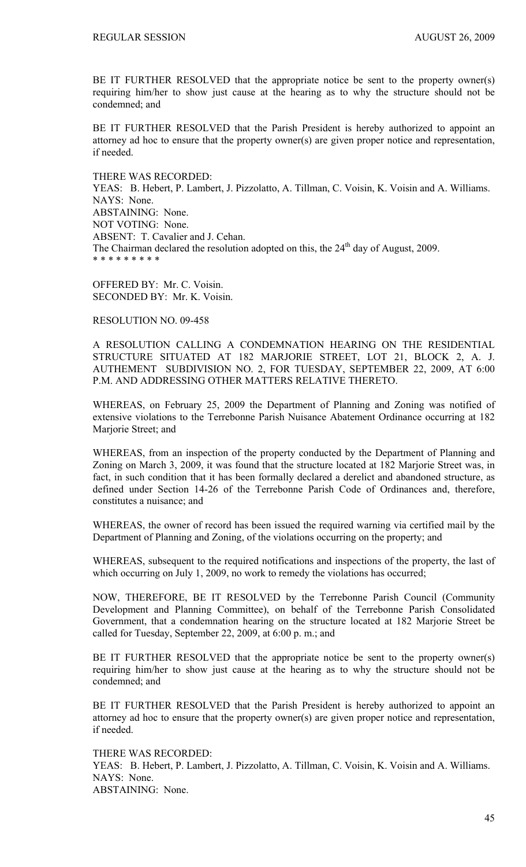BE IT FURTHER RESOLVED that the appropriate notice be sent to the property owner(s) requiring him/her to show just cause at the hearing as to why the structure should not be condemned; and

BE IT FURTHER RESOLVED that the Parish President is hereby authorized to appoint an attorney ad hoc to ensure that the property owner(s) are given proper notice and representation, if needed.

THERE WAS RECORDED: YEAS: B. Hebert, P. Lambert, J. Pizzolatto, A. Tillman, C. Voisin, K. Voisin and A. Williams. NAYS: None. ABSTAINING: None. NOT VOTING: None. ABSENT: T. Cavalier and J. Cehan. The Chairman declared the resolution adopted on this, the  $24<sup>th</sup>$  day of August, 2009. \* \* \* \* \* \* \* \* \*

OFFERED BY: Mr. C. Voisin. SECONDED BY: Mr. K. Voisin.

RESOLUTION NO. 09-458

A RESOLUTION CALLING A CONDEMNATION HEARING ON THE RESIDENTIAL STRUCTURE SITUATED AT 182 MARJORIE STREET, LOT 21, BLOCK 2, A. J. AUTHEMENT SUBDIVISION NO. 2, FOR TUESDAY, SEPTEMBER 22, 2009, AT 6:00 P.M. AND ADDRESSING OTHER MATTERS RELATIVE THERETO.

WHEREAS, on February 25, 2009 the Department of Planning and Zoning was notified of extensive violations to the Terrebonne Parish Nuisance Abatement Ordinance occurring at 182 Marjorie Street; and

WHEREAS, from an inspection of the property conducted by the Department of Planning and Zoning on March 3, 2009, it was found that the structure located at 182 Marjorie Street was, in fact, in such condition that it has been formally declared a derelict and abandoned structure, as defined under Section 14-26 of the Terrebonne Parish Code of Ordinances and, therefore, constitutes a nuisance; and

WHEREAS, the owner of record has been issued the required warning via certified mail by the Department of Planning and Zoning, of the violations occurring on the property; and

WHEREAS, subsequent to the required notifications and inspections of the property, the last of which occurring on July 1, 2009, no work to remedy the violations has occurred;

NOW, THEREFORE, BE IT RESOLVED by the Terrebonne Parish Council (Community Development and Planning Committee), on behalf of the Terrebonne Parish Consolidated Government, that a condemnation hearing on the structure located at 182 Marjorie Street be called for Tuesday, September 22, 2009, at 6:00 p. m.; and

BE IT FURTHER RESOLVED that the appropriate notice be sent to the property owner(s) requiring him/her to show just cause at the hearing as to why the structure should not be condemned; and

BE IT FURTHER RESOLVED that the Parish President is hereby authorized to appoint an attorney ad hoc to ensure that the property owner(s) are given proper notice and representation, if needed.

THERE WAS RECORDED:

YEAS: B. Hebert, P. Lambert, J. Pizzolatto, A. Tillman, C. Voisin, K. Voisin and A. Williams. NAYS: None. ABSTAINING: None.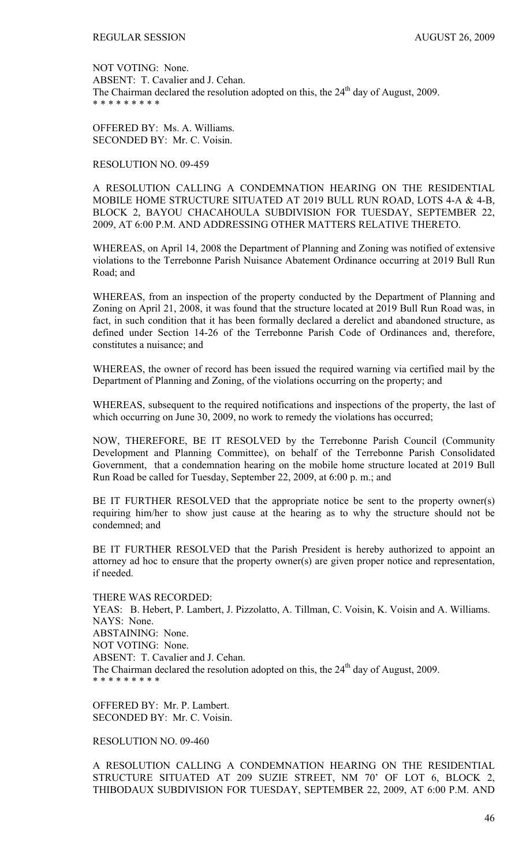NOT VOTING: None. ABSENT: T. Cavalier and J. Cehan. The Chairman declared the resolution adopted on this, the  $24<sup>th</sup>$  day of August, 2009. \* \* \* \* \* \* \* \* \*

OFFERED BY: Ms. A. Williams. SECONDED BY: Mr. C. Voisin.

RESOLUTION NO. 09-459

A RESOLUTION CALLING A CONDEMNATION HEARING ON THE RESIDENTIAL MOBILE HOME STRUCTURE SITUATED AT 2019 BULL RUN ROAD, LOTS 4-A & 4-B, BLOCK 2, BAYOU CHACAHOULA SUBDIVISION FOR TUESDAY, SEPTEMBER 22, 2009, AT 6:00 P.M. AND ADDRESSING OTHER MATTERS RELATIVE THERETO.

WHEREAS, on April 14, 2008 the Department of Planning and Zoning was notified of extensive violations to the Terrebonne Parish Nuisance Abatement Ordinance occurring at 2019 Bull Run Road; and

WHEREAS, from an inspection of the property conducted by the Department of Planning and Zoning on April 21, 2008, it was found that the structure located at 2019 Bull Run Road was, in fact, in such condition that it has been formally declared a derelict and abandoned structure, as defined under Section 14-26 of the Terrebonne Parish Code of Ordinances and, therefore, constitutes a nuisance; and

WHEREAS, the owner of record has been issued the required warning via certified mail by the Department of Planning and Zoning, of the violations occurring on the property; and

WHEREAS, subsequent to the required notifications and inspections of the property, the last of which occurring on June 30, 2009, no work to remedy the violations has occurred;

NOW, THEREFORE, BE IT RESOLVED by the Terrebonne Parish Council (Community Development and Planning Committee), on behalf of the Terrebonne Parish Consolidated Government, that a condemnation hearing on the mobile home structure located at 2019 Bull Run Road be called for Tuesday, September 22, 2009, at 6:00 p. m.; and

BE IT FURTHER RESOLVED that the appropriate notice be sent to the property owner(s) requiring him/her to show just cause at the hearing as to why the structure should not be condemned; and

BE IT FURTHER RESOLVED that the Parish President is hereby authorized to appoint an attorney ad hoc to ensure that the property owner(s) are given proper notice and representation, if needed.

THERE WAS RECORDED: YEAS: B. Hebert, P. Lambert, J. Pizzolatto, A. Tillman, C. Voisin, K. Voisin and A. Williams. NAYS: None. ABSTAINING: None. NOT VOTING: None. ABSENT: T. Cavalier and J. Cehan. The Chairman declared the resolution adopted on this, the  $24<sup>th</sup>$  day of August, 2009. \* \* \* \* \* \* \* \* \*

OFFERED BY: Mr. P. Lambert. SECONDED BY: Mr. C. Voisin.

RESOLUTION NO. 09-460

A RESOLUTION CALLING A CONDEMNATION HEARING ON THE RESIDENTIAL STRUCTURE SITUATED AT 209 SUZIE STREET, NM 70' OF LOT 6, BLOCK 2, THIBODAUX SUBDIVISION FOR TUESDAY, SEPTEMBER 22, 2009, AT 6:00 P.M. AND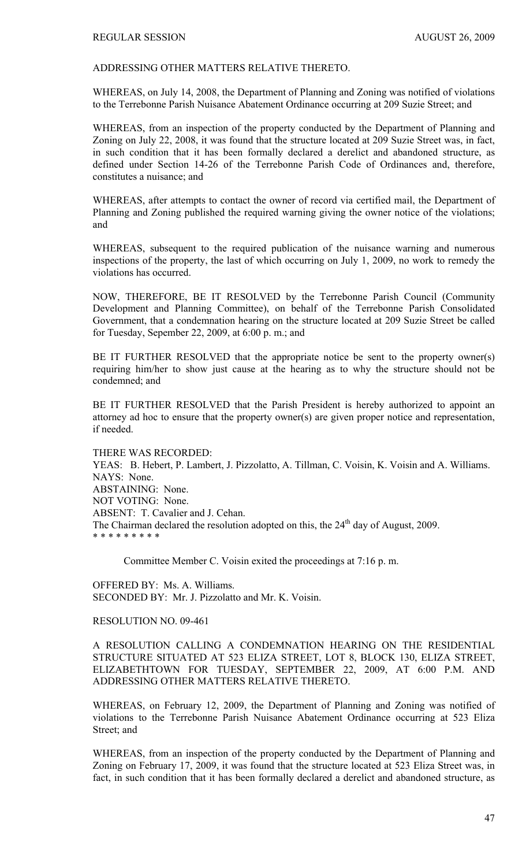## ADDRESSING OTHER MATTERS RELATIVE THERETO.

WHEREAS, on July 14, 2008, the Department of Planning and Zoning was notified of violations to the Terrebonne Parish Nuisance Abatement Ordinance occurring at 209 Suzie Street; and

WHEREAS, from an inspection of the property conducted by the Department of Planning and Zoning on July 22, 2008, it was found that the structure located at 209 Suzie Street was, in fact, in such condition that it has been formally declared a derelict and abandoned structure, as defined under Section 14-26 of the Terrebonne Parish Code of Ordinances and, therefore, constitutes a nuisance; and

WHEREAS, after attempts to contact the owner of record via certified mail, the Department of Planning and Zoning published the required warning giving the owner notice of the violations; and

WHEREAS, subsequent to the required publication of the nuisance warning and numerous inspections of the property, the last of which occurring on July 1, 2009, no work to remedy the violations has occurred.

NOW, THEREFORE, BE IT RESOLVED by the Terrebonne Parish Council (Community Development and Planning Committee), on behalf of the Terrebonne Parish Consolidated Government, that a condemnation hearing on the structure located at 209 Suzie Street be called for Tuesday, Sepember 22, 2009, at 6:00 p. m.; and

BE IT FURTHER RESOLVED that the appropriate notice be sent to the property owner(s) requiring him/her to show just cause at the hearing as to why the structure should not be condemned; and

BE IT FURTHER RESOLVED that the Parish President is hereby authorized to appoint an attorney ad hoc to ensure that the property owner(s) are given proper notice and representation, if needed.

THERE WAS RECORDED: YEAS: B. Hebert, P. Lambert, J. Pizzolatto, A. Tillman, C. Voisin, K. Voisin and A. Williams. NAYS: None. ABSTAINING: None. NOT VOTING: None. ABSENT: T. Cavalier and J. Cehan. The Chairman declared the resolution adopted on this, the  $24<sup>th</sup>$  day of August, 2009. \* \* \* \* \* \* \* \* \*

Committee Member C. Voisin exited the proceedings at 7:16 p. m.

OFFERED BY: Ms. A. Williams. SECONDED BY: Mr. J. Pizzolatto and Mr. K. Voisin.

RESOLUTION NO. 09-461

A RESOLUTION CALLING A CONDEMNATION HEARING ON THE RESIDENTIAL STRUCTURE SITUATED AT 523 ELIZA STREET, LOT 8, BLOCK 130, ELIZA STREET, ELIZABETHTOWN FOR TUESDAY, SEPTEMBER 22, 2009, AT 6:00 P.M. AND ADDRESSING OTHER MATTERS RELATIVE THERETO.

WHEREAS, on February 12, 2009, the Department of Planning and Zoning was notified of violations to the Terrebonne Parish Nuisance Abatement Ordinance occurring at 523 Eliza Street; and

WHEREAS, from an inspection of the property conducted by the Department of Planning and Zoning on February 17, 2009, it was found that the structure located at 523 Eliza Street was, in fact, in such condition that it has been formally declared a derelict and abandoned structure, as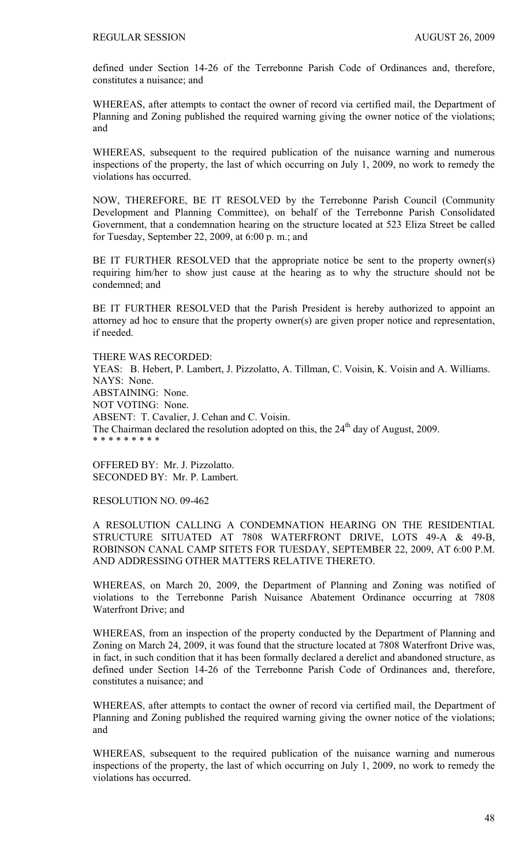defined under Section 14-26 of the Terrebonne Parish Code of Ordinances and, therefore, constitutes a nuisance; and

WHEREAS, after attempts to contact the owner of record via certified mail, the Department of Planning and Zoning published the required warning giving the owner notice of the violations; and

WHEREAS, subsequent to the required publication of the nuisance warning and numerous inspections of the property, the last of which occurring on July 1, 2009, no work to remedy the violations has occurred.

NOW, THEREFORE, BE IT RESOLVED by the Terrebonne Parish Council (Community Development and Planning Committee), on behalf of the Terrebonne Parish Consolidated Government, that a condemnation hearing on the structure located at 523 Eliza Street be called for Tuesday, September 22, 2009, at 6:00 p. m.; and

BE IT FURTHER RESOLVED that the appropriate notice be sent to the property owner(s) requiring him/her to show just cause at the hearing as to why the structure should not be condemned; and

BE IT FURTHER RESOLVED that the Parish President is hereby authorized to appoint an attorney ad hoc to ensure that the property owner(s) are given proper notice and representation, if needed.

THERE WAS RECORDED: YEAS: B. Hebert, P. Lambert, J. Pizzolatto, A. Tillman, C. Voisin, K. Voisin and A. Williams. NAYS: None. ABSTAINING: None. NOT VOTING: None. ABSENT: T. Cavalier, J. Cehan and C. Voisin. The Chairman declared the resolution adopted on this, the  $24<sup>th</sup>$  day of August, 2009. \* \* \* \* \* \* \* \* \*

OFFERED BY: Mr. J. Pizzolatto. SECONDED BY: Mr. P. Lambert.

RESOLUTION NO. 09-462

A RESOLUTION CALLING A CONDEMNATION HEARING ON THE RESIDENTIAL STRUCTURE SITUATED AT 7808 WATERFRONT DRIVE, LOTS 49-A & 49-B, ROBINSON CANAL CAMP SITETS FOR TUESDAY, SEPTEMBER 22, 2009, AT 6:00 P.M. AND ADDRESSING OTHER MATTERS RELATIVE THERETO.

WHEREAS, on March 20, 2009, the Department of Planning and Zoning was notified of violations to the Terrebonne Parish Nuisance Abatement Ordinance occurring at 7808 Waterfront Drive; and

WHEREAS, from an inspection of the property conducted by the Department of Planning and Zoning on March 24, 2009, it was found that the structure located at 7808 Waterfront Drive was, in fact, in such condition that it has been formally declared a derelict and abandoned structure, as defined under Section 14-26 of the Terrebonne Parish Code of Ordinances and, therefore, constitutes a nuisance; and

WHEREAS, after attempts to contact the owner of record via certified mail, the Department of Planning and Zoning published the required warning giving the owner notice of the violations; and

WHEREAS, subsequent to the required publication of the nuisance warning and numerous inspections of the property, the last of which occurring on July 1, 2009, no work to remedy the violations has occurred.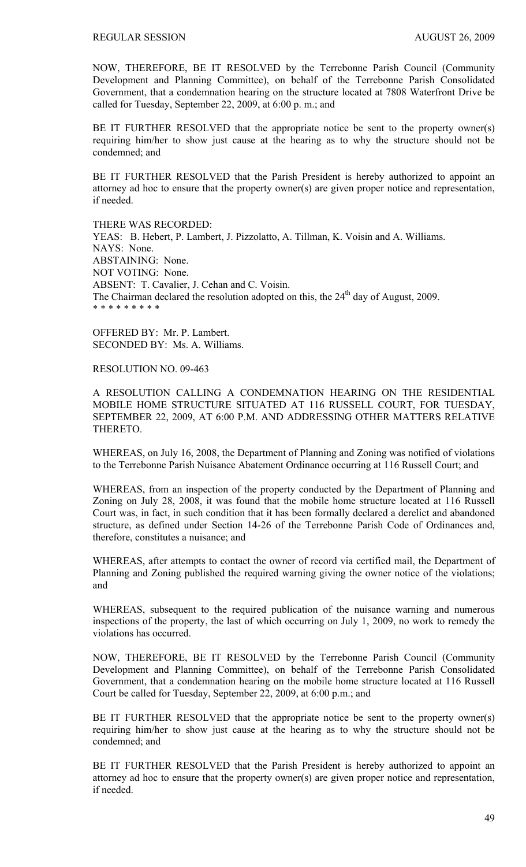NOW, THEREFORE, BE IT RESOLVED by the Terrebonne Parish Council (Community Development and Planning Committee), on behalf of the Terrebonne Parish Consolidated Government, that a condemnation hearing on the structure located at 7808 Waterfront Drive be called for Tuesday, September 22, 2009, at 6:00 p. m.; and

BE IT FURTHER RESOLVED that the appropriate notice be sent to the property owner(s) requiring him/her to show just cause at the hearing as to why the structure should not be condemned; and

BE IT FURTHER RESOLVED that the Parish President is hereby authorized to appoint an attorney ad hoc to ensure that the property owner(s) are given proper notice and representation, if needed.

THERE WAS RECORDED: YEAS: B. Hebert, P. Lambert, J. Pizzolatto, A. Tillman, K. Voisin and A. Williams. NAYS: None. ABSTAINING: None. NOT VOTING: None. ABSENT: T. Cavalier, J. Cehan and C. Voisin. The Chairman declared the resolution adopted on this, the  $24<sup>th</sup>$  day of August, 2009. \* \* \* \* \* \* \* \* \*

OFFERED BY: Mr. P. Lambert. SECONDED BY: Ms. A. Williams.

#### RESOLUTION NO. 09-463

A RESOLUTION CALLING A CONDEMNATION HEARING ON THE RESIDENTIAL MOBILE HOME STRUCTURE SITUATED AT 116 RUSSELL COURT, FOR TUESDAY, SEPTEMBER 22, 2009, AT 6:00 P.M. AND ADDRESSING OTHER MATTERS RELATIVE THERETO.

WHEREAS, on July 16, 2008, the Department of Planning and Zoning was notified of violations to the Terrebonne Parish Nuisance Abatement Ordinance occurring at 116 Russell Court; and

WHEREAS, from an inspection of the property conducted by the Department of Planning and Zoning on July 28, 2008, it was found that the mobile home structure located at 116 Russell Court was, in fact, in such condition that it has been formally declared a derelict and abandoned structure, as defined under Section 14-26 of the Terrebonne Parish Code of Ordinances and, therefore, constitutes a nuisance; and

WHEREAS, after attempts to contact the owner of record via certified mail, the Department of Planning and Zoning published the required warning giving the owner notice of the violations; and

WHEREAS, subsequent to the required publication of the nuisance warning and numerous inspections of the property, the last of which occurring on July 1, 2009, no work to remedy the violations has occurred.

NOW, THEREFORE, BE IT RESOLVED by the Terrebonne Parish Council (Community Development and Planning Committee), on behalf of the Terrebonne Parish Consolidated Government, that a condemnation hearing on the mobile home structure located at 116 Russell Court be called for Tuesday, September 22, 2009, at 6:00 p.m.; and

BE IT FURTHER RESOLVED that the appropriate notice be sent to the property owner(s) requiring him/her to show just cause at the hearing as to why the structure should not be condemned; and

BE IT FURTHER RESOLVED that the Parish President is hereby authorized to appoint an attorney ad hoc to ensure that the property owner(s) are given proper notice and representation, if needed.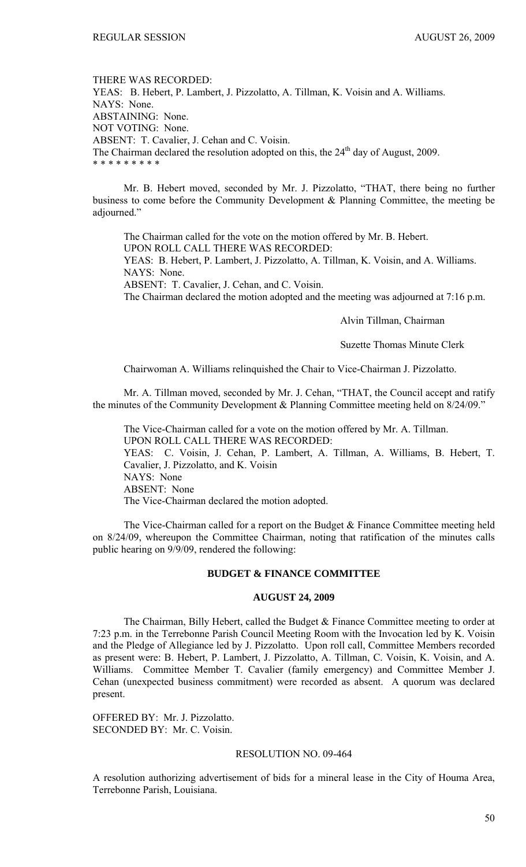THERE WAS RECORDED: YEAS: B. Hebert, P. Lambert, J. Pizzolatto, A. Tillman, K. Voisin and A. Williams. NAYS: None. ABSTAINING: None. NOT VOTING: None. ABSENT: T. Cavalier, J. Cehan and C. Voisin. The Chairman declared the resolution adopted on this, the  $24<sup>th</sup>$  day of August, 2009. \* \* \* \* \* \* \* \* \*

 Mr. B. Hebert moved, seconded by Mr. J. Pizzolatto, "THAT, there being no further business to come before the Community Development & Planning Committee, the meeting be adjourned."

 The Chairman called for the vote on the motion offered by Mr. B. Hebert. UPON ROLL CALL THERE WAS RECORDED:

YEAS: B. Hebert, P. Lambert, J. Pizzolatto, A. Tillman, K. Voisin, and A. Williams. NAYS: None.

ABSENT: T. Cavalier, J. Cehan, and C. Voisin.

The Chairman declared the motion adopted and the meeting was adjourned at 7:16 p.m.

Alvin Tillman, Chairman

Suzette Thomas Minute Clerk

Chairwoman A. Williams relinquished the Chair to Vice-Chairman J. Pizzolatto.

Mr. A. Tillman moved, seconded by Mr. J. Cehan, "THAT, the Council accept and ratify the minutes of the Community Development & Planning Committee meeting held on 8/24/09."

 The Vice-Chairman called for a vote on the motion offered by Mr. A. Tillman. UPON ROLL CALL THERE WAS RECORDED: YEAS: C. Voisin, J. Cehan, P. Lambert, A. Tillman, A. Williams, B. Hebert, T. Cavalier, J. Pizzolatto, and K. Voisin NAYS: None ABSENT: None The Vice-Chairman declared the motion adopted.

 The Vice-Chairman called for a report on the Budget & Finance Committee meeting held on 8/24/09, whereupon the Committee Chairman, noting that ratification of the minutes calls public hearing on 9/9/09, rendered the following:

#### **BUDGET & FINANCE COMMITTEE**

### **AUGUST 24, 2009**

 The Chairman, Billy Hebert, called the Budget & Finance Committee meeting to order at 7:23 p.m. in the Terrebonne Parish Council Meeting Room with the Invocation led by K. Voisin and the Pledge of Allegiance led by J. Pizzolatto. Upon roll call, Committee Members recorded as present were: B. Hebert, P. Lambert, J. Pizzolatto, A. Tillman, C. Voisin, K. Voisin, and A. Williams. Committee Member T. Cavalier (family emergency) and Committee Member J. Cehan (unexpected business commitment) were recorded as absent. A quorum was declared present.

OFFERED BY: Mr. J. Pizzolatto. SECONDED BY: Mr. C. Voisin.

### RESOLUTION NO. 09-464

A resolution authorizing advertisement of bids for a mineral lease in the City of Houma Area, Terrebonne Parish, Louisiana.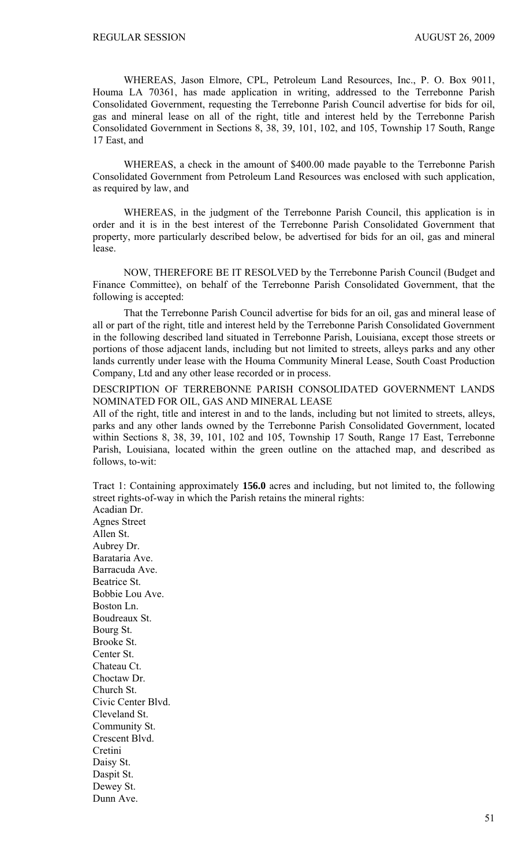WHEREAS, Jason Elmore, CPL, Petroleum Land Resources, Inc., P. O. Box 9011, Houma LA 70361, has made application in writing, addressed to the Terrebonne Parish Consolidated Government, requesting the Terrebonne Parish Council advertise for bids for oil, gas and mineral lease on all of the right, title and interest held by the Terrebonne Parish Consolidated Government in Sections 8, 38, 39, 101, 102, and 105, Township 17 South, Range 17 East, and

 WHEREAS, a check in the amount of \$400.00 made payable to the Terrebonne Parish Consolidated Government from Petroleum Land Resources was enclosed with such application, as required by law, and

 WHEREAS, in the judgment of the Terrebonne Parish Council, this application is in order and it is in the best interest of the Terrebonne Parish Consolidated Government that property, more particularly described below, be advertised for bids for an oil, gas and mineral lease.

 NOW, THEREFORE BE IT RESOLVED by the Terrebonne Parish Council (Budget and Finance Committee), on behalf of the Terrebonne Parish Consolidated Government, that the following is accepted:

 That the Terrebonne Parish Council advertise for bids for an oil, gas and mineral lease of all or part of the right, title and interest held by the Terrebonne Parish Consolidated Government in the following described land situated in Terrebonne Parish, Louisiana, except those streets or portions of those adjacent lands, including but not limited to streets, alleys parks and any other lands currently under lease with the Houma Community Mineral Lease, South Coast Production Company, Ltd and any other lease recorded or in process.

DESCRIPTION OF TERREBONNE PARISH CONSOLIDATED GOVERNMENT LANDS NOMINATED FOR OIL, GAS AND MINERAL LEASE

All of the right, title and interest in and to the lands, including but not limited to streets, alleys, parks and any other lands owned by the Terrebonne Parish Consolidated Government, located within Sections 8, 38, 39, 101, 102 and 105, Township 17 South, Range 17 East, Terrebonne Parish, Louisiana, located within the green outline on the attached map, and described as follows, to-wit:

Tract 1: Containing approximately **156.0** acres and including, but not limited to, the following street rights-of-way in which the Parish retains the mineral rights:

Acadian Dr. Agnes Street Allen St. Aubrey Dr. Barataria Ave. Barracuda Ave. Beatrice St. Bobbie Lou Ave. Boston Ln. Boudreaux St. Bourg St. Brooke St. Center St. Chateau Ct. Choctaw Dr. Church St. Civic Center Blvd. Cleveland St. Community St. Crescent Blvd. **Cretini** Daisy St. Daspit St. Dewey St. Dunn Ave.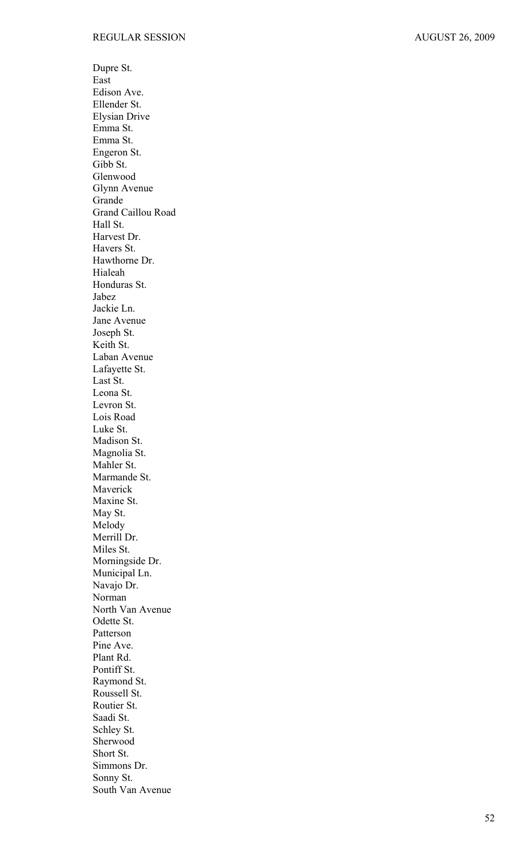Dupre St. East Edison Ave. Ellender St. Elysian Drive Emma St. Emma St. Engeron St. Gibb St. Glenwood Glynn Avenue Grande Grand Caillou Road Hall St. Harvest Dr. Havers St. Hawthorne Dr. Hialeah Honduras St. Jabez Jackie Ln. Jane Avenue Joseph St. Keith St. Laban Avenue Lafayette St. Last St. Leona St. Levron St. Lois Road Luke St. Madison St. Magnolia St. Mahler St. Marmande St. Maverick Maxine St. May St. Melody Merrill Dr. Miles St. Morningside Dr. Municipal Ln. Navajo Dr. Norman North Van Avenue Odette St. Patterson Pine Ave. Plant Rd. Pontiff St. Raymond St. Roussell St. Routier St. Saadi St. Schley St. Sherwood Short St. Simmons Dr. Sonny St. South Van Avenue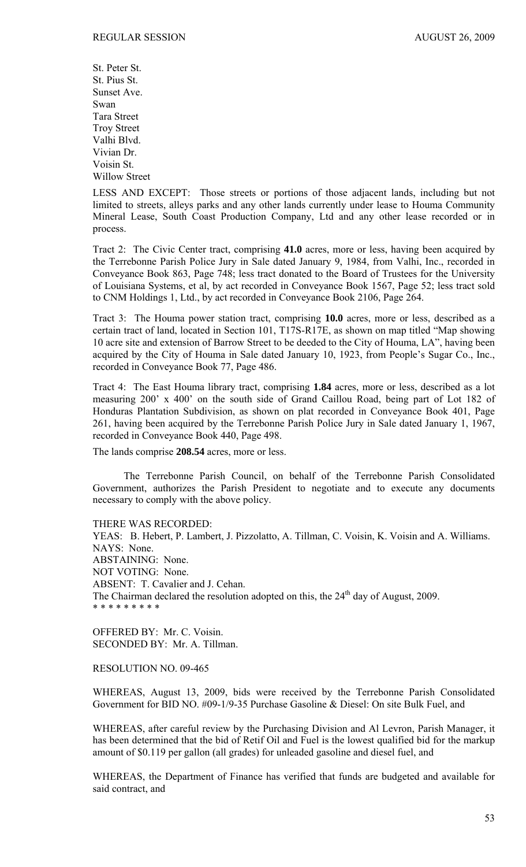St. Peter St. St. Pius St. Sunset Ave. Swan Tara Street Troy Street Valhi Blvd. Vivian Dr. Voisin St. Willow Street

LESS AND EXCEPT: Those streets or portions of those adjacent lands, including but not limited to streets, alleys parks and any other lands currently under lease to Houma Community Mineral Lease, South Coast Production Company, Ltd and any other lease recorded or in process.

Tract 2: The Civic Center tract, comprising **41.0** acres, more or less, having been acquired by the Terrebonne Parish Police Jury in Sale dated January 9, 1984, from Valhi, Inc., recorded in Conveyance Book 863, Page 748; less tract donated to the Board of Trustees for the University of Louisiana Systems, et al, by act recorded in Conveyance Book 1567, Page 52; less tract sold to CNM Holdings 1, Ltd., by act recorded in Conveyance Book 2106, Page 264.

Tract 3: The Houma power station tract, comprising **10.0** acres, more or less, described as a certain tract of land, located in Section 101, T17S-R17E, as shown on map titled "Map showing 10 acre site and extension of Barrow Street to be deeded to the City of Houma, LA", having been acquired by the City of Houma in Sale dated January 10, 1923, from People's Sugar Co., Inc., recorded in Conveyance Book 77, Page 486.

Tract 4: The East Houma library tract, comprising **1.84** acres, more or less, described as a lot measuring 200' x 400' on the south side of Grand Caillou Road, being part of Lot 182 of Honduras Plantation Subdivision, as shown on plat recorded in Conveyance Book 401, Page 261, having been acquired by the Terrebonne Parish Police Jury in Sale dated January 1, 1967, recorded in Conveyance Book 440, Page 498.

The lands comprise **208.54** acres, more or less.

 The Terrebonne Parish Council, on behalf of the Terrebonne Parish Consolidated Government, authorizes the Parish President to negotiate and to execute any documents necessary to comply with the above policy.

THERE WAS RECORDED:

YEAS: B. Hebert, P. Lambert, J. Pizzolatto, A. Tillman, C. Voisin, K. Voisin and A. Williams. NAYS: None. ABSTAINING: None. NOT VOTING: None. ABSENT: T. Cavalier and J. Cehan. The Chairman declared the resolution adopted on this, the  $24<sup>th</sup>$  day of August, 2009. \* \* \* \* \* \* \* \* \*

OFFERED BY: Mr. C. Voisin. SECONDED BY: Mr. A. Tillman.

### RESOLUTION NO. 09-465

WHEREAS, August 13, 2009, bids were received by the Terrebonne Parish Consolidated Government for BID NO. #09-1/9-35 Purchase Gasoline & Diesel: On site Bulk Fuel, and

WHEREAS, after careful review by the Purchasing Division and Al Levron, Parish Manager, it has been determined that the bid of Retif Oil and Fuel is the lowest qualified bid for the markup amount of \$0.119 per gallon (all grades) for unleaded gasoline and diesel fuel, and

WHEREAS, the Department of Finance has verified that funds are budgeted and available for said contract, and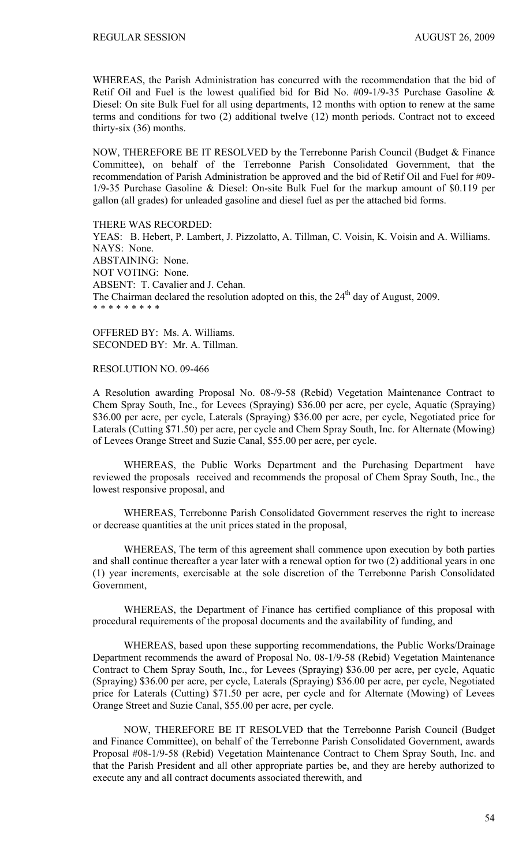WHEREAS, the Parish Administration has concurred with the recommendation that the bid of Retif Oil and Fuel is the lowest qualified bid for Bid No.  $#09-1/9-35$  Purchase Gasoline & Diesel: On site Bulk Fuel for all using departments, 12 months with option to renew at the same terms and conditions for two (2) additional twelve (12) month periods. Contract not to exceed thirty-six (36) months.

NOW, THEREFORE BE IT RESOLVED by the Terrebonne Parish Council (Budget & Finance Committee), on behalf of the Terrebonne Parish Consolidated Government, that the recommendation of Parish Administration be approved and the bid of Retif Oil and Fuel for #09- 1/9-35 Purchase Gasoline & Diesel: On-site Bulk Fuel for the markup amount of \$0.119 per gallon (all grades) for unleaded gasoline and diesel fuel as per the attached bid forms.

#### THERE WAS RECORDED:

YEAS: B. Hebert, P. Lambert, J. Pizzolatto, A. Tillman, C. Voisin, K. Voisin and A. Williams. NAYS: None. ABSTAINING: None. NOT VOTING: None. ABSENT: T. Cavalier and J. Cehan. The Chairman declared the resolution adopted on this, the  $24<sup>th</sup>$  day of August, 2009. \* \* \* \* \* \* \* \* \*

OFFERED BY: Ms. A. Williams. SECONDED BY: Mr. A. Tillman.

### RESOLUTION NO. 09-466

A Resolution awarding Proposal No. 08-/9-58 (Rebid) Vegetation Maintenance Contract to Chem Spray South, Inc., for Levees (Spraying) \$36.00 per acre, per cycle, Aquatic (Spraying) \$36.00 per acre, per cycle, Laterals (Spraying) \$36.00 per acre, per cycle, Negotiated price for Laterals (Cutting \$71.50) per acre, per cycle and Chem Spray South, Inc. for Alternate (Mowing) of Levees Orange Street and Suzie Canal, \$55.00 per acre, per cycle.

 WHEREAS, the Public Works Department and the Purchasing Department have reviewed the proposals received and recommends the proposal of Chem Spray South, Inc., the lowest responsive proposal, and

 WHEREAS, Terrebonne Parish Consolidated Government reserves the right to increase or decrease quantities at the unit prices stated in the proposal,

 WHEREAS, The term of this agreement shall commence upon execution by both parties and shall continue thereafter a year later with a renewal option for two (2) additional years in one (1) year increments, exercisable at the sole discretion of the Terrebonne Parish Consolidated Government,

 WHEREAS, the Department of Finance has certified compliance of this proposal with procedural requirements of the proposal documents and the availability of funding, and

 WHEREAS, based upon these supporting recommendations, the Public Works/Drainage Department recommends the award of Proposal No. 08-1/9-58 (Rebid) Vegetation Maintenance Contract to Chem Spray South, Inc., for Levees (Spraying) \$36.00 per acre, per cycle, Aquatic (Spraying) \$36.00 per acre, per cycle, Laterals (Spraying) \$36.00 per acre, per cycle, Negotiated price for Laterals (Cutting) \$71.50 per acre, per cycle and for Alternate (Mowing) of Levees Orange Street and Suzie Canal, \$55.00 per acre, per cycle.

 NOW, THEREFORE BE IT RESOLVED that the Terrebonne Parish Council (Budget and Finance Committee), on behalf of the Terrebonne Parish Consolidated Government, awards Proposal #08-1/9-58 (Rebid) Vegetation Maintenance Contract to Chem Spray South, Inc. and that the Parish President and all other appropriate parties be, and they are hereby authorized to execute any and all contract documents associated therewith, and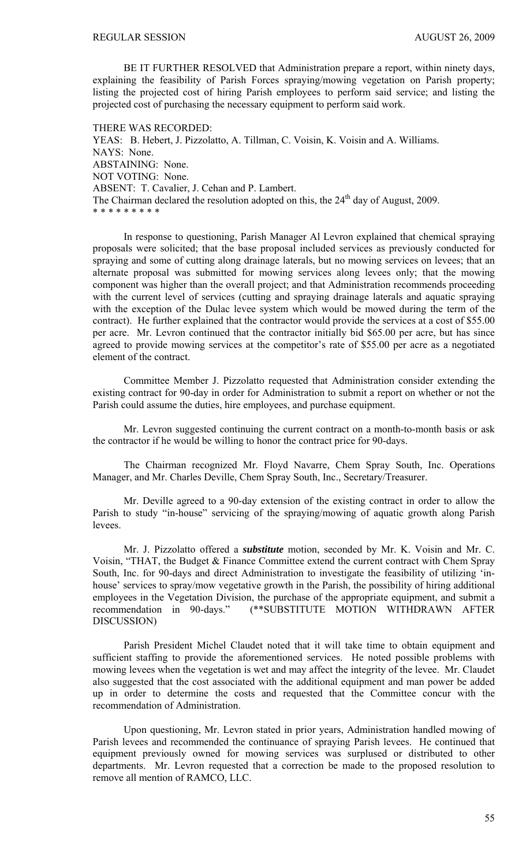BE IT FURTHER RESOLVED that Administration prepare a report, within ninety days, explaining the feasibility of Parish Forces spraying/mowing vegetation on Parish property; listing the projected cost of hiring Parish employees to perform said service; and listing the projected cost of purchasing the necessary equipment to perform said work.

THERE WAS RECORDED:

YEAS: B. Hebert, J. Pizzolatto, A. Tillman, C. Voisin, K. Voisin and A. Williams. NAYS: None. ABSTAINING: None. NOT VOTING: None. ABSENT: T. Cavalier, J. Cehan and P. Lambert. The Chairman declared the resolution adopted on this, the 24<sup>th</sup> day of August, 2009. \* \* \* \* \* \* \* \* \*

 In response to questioning, Parish Manager Al Levron explained that chemical spraying proposals were solicited; that the base proposal included services as previously conducted for spraying and some of cutting along drainage laterals, but no mowing services on levees; that an alternate proposal was submitted for mowing services along levees only; that the mowing component was higher than the overall project; and that Administration recommends proceeding with the current level of services (cutting and spraying drainage laterals and aquatic spraying with the exception of the Dulac levee system which would be mowed during the term of the contract). He further explained that the contractor would provide the services at a cost of \$55.00 per acre. Mr. Levron continued that the contractor initially bid \$65.00 per acre, but has since agreed to provide mowing services at the competitor's rate of \$55.00 per acre as a negotiated element of the contract.

 Committee Member J. Pizzolatto requested that Administration consider extending the existing contract for 90-day in order for Administration to submit a report on whether or not the Parish could assume the duties, hire employees, and purchase equipment.

 Mr. Levron suggested continuing the current contract on a month-to-month basis or ask the contractor if he would be willing to honor the contract price for 90-days.

 The Chairman recognized Mr. Floyd Navarre, Chem Spray South, Inc. Operations Manager, and Mr. Charles Deville, Chem Spray South, Inc., Secretary/Treasurer.

 Mr. Deville agreed to a 90-day extension of the existing contract in order to allow the Parish to study "in-house" servicing of the spraying/mowing of aquatic growth along Parish levees.

 Mr. J. Pizzolatto offered a *substitute* motion, seconded by Mr. K. Voisin and Mr. C. Voisin, "THAT, the Budget & Finance Committee extend the current contract with Chem Spray South, Inc. for 90-days and direct Administration to investigate the feasibility of utilizing 'inhouse' services to spray/mow vegetative growth in the Parish, the possibility of hiring additional employees in the Vegetation Division, the purchase of the appropriate equipment, and submit a recommendation in 90-days." (\*\*SUBSTITUTE MOTION WITHDRAWN AFTER DISCUSSION)

 Parish President Michel Claudet noted that it will take time to obtain equipment and sufficient staffing to provide the aforementioned services. He noted possible problems with mowing levees when the vegetation is wet and may affect the integrity of the levee. Mr. Claudet also suggested that the cost associated with the additional equipment and man power be added up in order to determine the costs and requested that the Committee concur with the recommendation of Administration.

 Upon questioning, Mr. Levron stated in prior years, Administration handled mowing of Parish levees and recommended the continuance of spraying Parish levees. He continued that equipment previously owned for mowing services was surplused or distributed to other departments. Mr. Levron requested that a correction be made to the proposed resolution to remove all mention of RAMCO, LLC.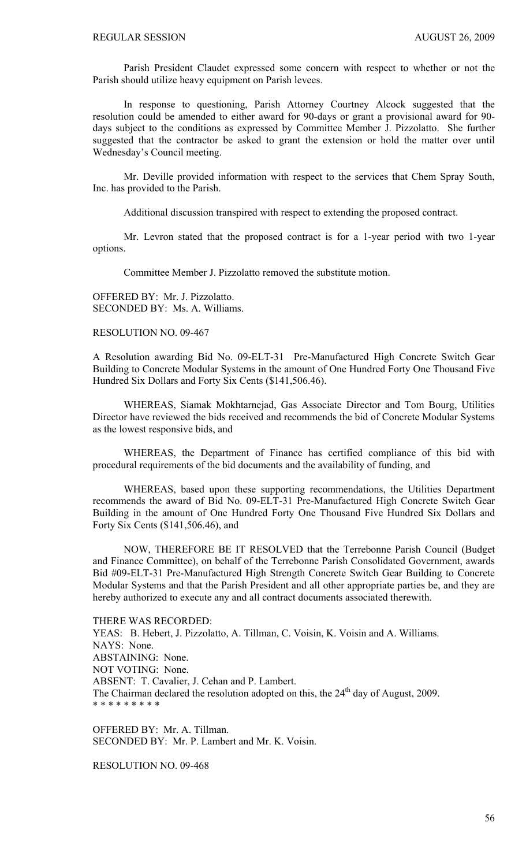Parish President Claudet expressed some concern with respect to whether or not the Parish should utilize heavy equipment on Parish levees.

 In response to questioning, Parish Attorney Courtney Alcock suggested that the resolution could be amended to either award for 90-days or grant a provisional award for 90 days subject to the conditions as expressed by Committee Member J. Pizzolatto. She further suggested that the contractor be asked to grant the extension or hold the matter over until Wednesday's Council meeting.

 Mr. Deville provided information with respect to the services that Chem Spray South, Inc. has provided to the Parish.

Additional discussion transpired with respect to extending the proposed contract.

 Mr. Levron stated that the proposed contract is for a 1-year period with two 1-year options.

Committee Member J. Pizzolatto removed the substitute motion.

OFFERED BY: Mr. J. Pizzolatto. SECONDED BY: Ms. A. Williams.

### RESOLUTION NO. 09-467

A Resolution awarding Bid No. 09-ELT-31 Pre-Manufactured High Concrete Switch Gear Building to Concrete Modular Systems in the amount of One Hundred Forty One Thousand Five Hundred Six Dollars and Forty Six Cents (\$141,506.46).

 WHEREAS, Siamak Mokhtarnejad, Gas Associate Director and Tom Bourg, Utilities Director have reviewed the bids received and recommends the bid of Concrete Modular Systems as the lowest responsive bids, and

 WHEREAS, the Department of Finance has certified compliance of this bid with procedural requirements of the bid documents and the availability of funding, and

 WHEREAS, based upon these supporting recommendations, the Utilities Department recommends the award of Bid No. 09-ELT-31 Pre-Manufactured High Concrete Switch Gear Building in the amount of One Hundred Forty One Thousand Five Hundred Six Dollars and Forty Six Cents (\$141,506.46), and

 NOW, THEREFORE BE IT RESOLVED that the Terrebonne Parish Council (Budget and Finance Committee), on behalf of the Terrebonne Parish Consolidated Government, awards Bid #09-ELT-31 Pre-Manufactured High Strength Concrete Switch Gear Building to Concrete Modular Systems and that the Parish President and all other appropriate parties be, and they are hereby authorized to execute any and all contract documents associated therewith.

THERE WAS RECORDED: YEAS: B. Hebert, J. Pizzolatto, A. Tillman, C. Voisin, K. Voisin and A. Williams. NAYS: None. ABSTAINING: None. NOT VOTING: None. ABSENT: T. Cavalier, J. Cehan and P. Lambert. The Chairman declared the resolution adopted on this, the  $24<sup>th</sup>$  day of August, 2009. \* \* \* \* \* \* \* \* \*

OFFERED BY: Mr. A. Tillman. SECONDED BY: Mr. P. Lambert and Mr. K. Voisin.

RESOLUTION NO. 09-468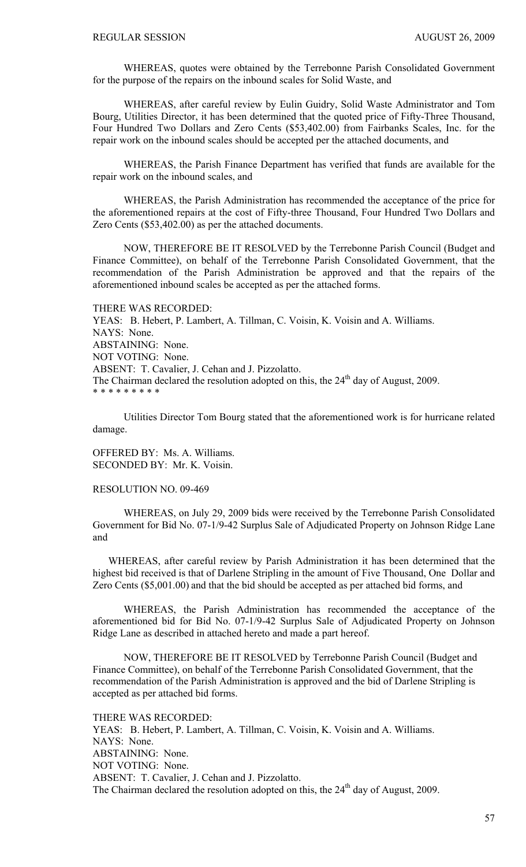WHEREAS, quotes were obtained by the Terrebonne Parish Consolidated Government for the purpose of the repairs on the inbound scales for Solid Waste, and

 WHEREAS, after careful review by Eulin Guidry, Solid Waste Administrator and Tom Bourg, Utilities Director, it has been determined that the quoted price of Fifty-Three Thousand, Four Hundred Two Dollars and Zero Cents (\$53,402.00) from Fairbanks Scales, Inc. for the repair work on the inbound scales should be accepted per the attached documents, and

 WHEREAS, the Parish Finance Department has verified that funds are available for the repair work on the inbound scales, and

 WHEREAS, the Parish Administration has recommended the acceptance of the price for the aforementioned repairs at the cost of Fifty-three Thousand, Four Hundred Two Dollars and Zero Cents (\$53,402.00) as per the attached documents.

 NOW, THEREFORE BE IT RESOLVED by the Terrebonne Parish Council (Budget and Finance Committee), on behalf of the Terrebonne Parish Consolidated Government, that the recommendation of the Parish Administration be approved and that the repairs of the aforementioned inbound scales be accepted as per the attached forms.

THERE WAS RECORDED: YEAS: B. Hebert, P. Lambert, A. Tillman, C. Voisin, K. Voisin and A. Williams. NAYS: None. ABSTAINING: None. NOT VOTING: None. ABSENT: T. Cavalier, J. Cehan and J. Pizzolatto. The Chairman declared the resolution adopted on this, the  $24<sup>th</sup>$  day of August, 2009. \* \* \* \* \* \* \* \* \*

 Utilities Director Tom Bourg stated that the aforementioned work is for hurricane related damage.

OFFERED BY: Ms. A. Williams. SECONDED BY: Mr. K. Voisin.

RESOLUTION NO. 09-469

 WHEREAS, on July 29, 2009 bids were received by the Terrebonne Parish Consolidated Government for Bid No. 07-1/9-42 Surplus Sale of Adjudicated Property on Johnson Ridge Lane and

 WHEREAS, after careful review by Parish Administration it has been determined that the highest bid received is that of Darlene Stripling in the amount of Five Thousand, One Dollar and Zero Cents (\$5,001.00) and that the bid should be accepted as per attached bid forms, and

 WHEREAS, the Parish Administration has recommended the acceptance of the aforementioned bid for Bid No. 07-1/9-42 Surplus Sale of Adjudicated Property on Johnson Ridge Lane as described in attached hereto and made a part hereof.

NOW, THEREFORE BE IT RESOLVED by Terrebonne Parish Council (Budget and Finance Committee), on behalf of the Terrebonne Parish Consolidated Government, that the recommendation of the Parish Administration is approved and the bid of Darlene Stripling is accepted as per attached bid forms.

THERE WAS RECORDED: YEAS: B. Hebert, P. Lambert, A. Tillman, C. Voisin, K. Voisin and A. Williams. NAYS: None. ABSTAINING: None. NOT VOTING: None. ABSENT: T. Cavalier, J. Cehan and J. Pizzolatto. The Chairman declared the resolution adopted on this, the  $24<sup>th</sup>$  day of August, 2009.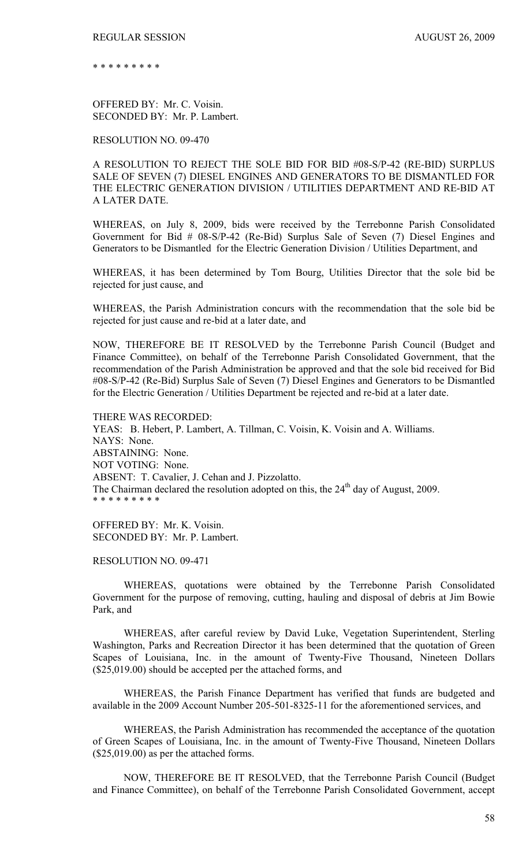\* \* \* \* \* \* \* \* \*

OFFERED BY: Mr. C. Voisin. SECONDED BY: Mr. P. Lambert.

RESOLUTION NO. 09-470

A RESOLUTION TO REJECT THE SOLE BID FOR BID #08-S/P-42 (RE-BID) SURPLUS SALE OF SEVEN (7) DIESEL ENGINES AND GENERATORS TO BE DISMANTLED FOR THE ELECTRIC GENERATION DIVISION / UTILITIES DEPARTMENT AND RE-BID AT A LATER DATE.

WHEREAS, on July 8, 2009, bids were received by the Terrebonne Parish Consolidated Government for Bid # 08-S/P-42 (Re-Bid) Surplus Sale of Seven (7) Diesel Engines and Generators to be Dismantled for the Electric Generation Division / Utilities Department, and

WHEREAS, it has been determined by Tom Bourg, Utilities Director that the sole bid be rejected for just cause, and

WHEREAS, the Parish Administration concurs with the recommendation that the sole bid be rejected for just cause and re-bid at a later date, and

NOW, THEREFORE BE IT RESOLVED by the Terrebonne Parish Council (Budget and Finance Committee), on behalf of the Terrebonne Parish Consolidated Government, that the recommendation of the Parish Administration be approved and that the sole bid received for Bid #08-S/P-42 (Re-Bid) Surplus Sale of Seven (7) Diesel Engines and Generators to be Dismantled for the Electric Generation / Utilities Department be rejected and re-bid at a later date.

THERE WAS RECORDED: YEAS: B. Hebert, P. Lambert, A. Tillman, C. Voisin, K. Voisin and A. Williams. NAYS: None. ABSTAINING: None. NOT VOTING: None. ABSENT: T. Cavalier, J. Cehan and J. Pizzolatto. The Chairman declared the resolution adopted on this, the  $24<sup>th</sup>$  day of August, 2009. \* \* \* \* \* \* \* \* \*

OFFERED BY: Mr. K. Voisin. SECONDED BY: Mr. P. Lambert.

RESOLUTION NO. 09-471

 WHEREAS, quotations were obtained by the Terrebonne Parish Consolidated Government for the purpose of removing, cutting, hauling and disposal of debris at Jim Bowie Park, and

 WHEREAS, after careful review by David Luke, Vegetation Superintendent, Sterling Washington, Parks and Recreation Director it has been determined that the quotation of Green Scapes of Louisiana, Inc. in the amount of Twenty-Five Thousand, Nineteen Dollars (\$25,019.00) should be accepted per the attached forms, and

 WHEREAS, the Parish Finance Department has verified that funds are budgeted and available in the 2009 Account Number 205-501-8325-11 for the aforementioned services, and

 WHEREAS, the Parish Administration has recommended the acceptance of the quotation of Green Scapes of Louisiana, Inc. in the amount of Twenty-Five Thousand, Nineteen Dollars (\$25,019.00) as per the attached forms.

 NOW, THEREFORE BE IT RESOLVED, that the Terrebonne Parish Council (Budget and Finance Committee), on behalf of the Terrebonne Parish Consolidated Government, accept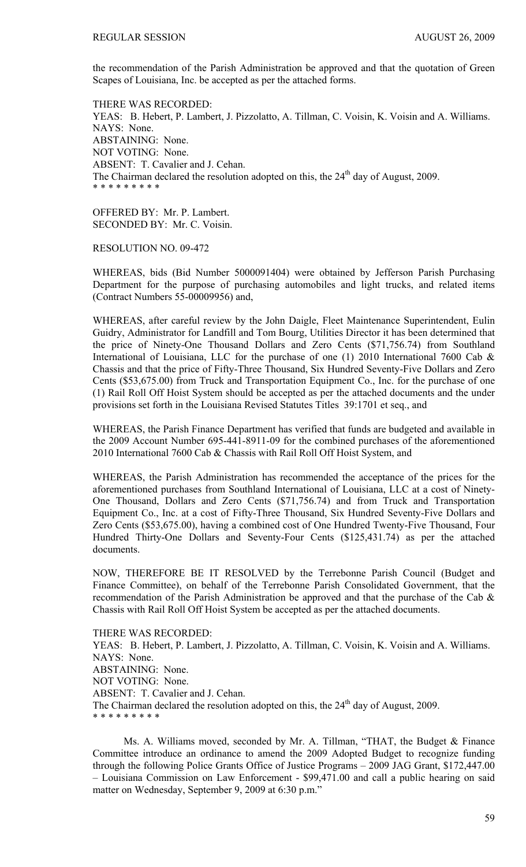the recommendation of the Parish Administration be approved and that the quotation of Green Scapes of Louisiana, Inc. be accepted as per the attached forms.

THERE WAS RECORDED: YEAS: B. Hebert, P. Lambert, J. Pizzolatto, A. Tillman, C. Voisin, K. Voisin and A. Williams. NAYS: None. ABSTAINING: None. NOT VOTING: None. ABSENT: T. Cavalier and J. Cehan. The Chairman declared the resolution adopted on this, the 24<sup>th</sup> day of August, 2009. \* \* \* \* \* \* \* \* \*

OFFERED BY: Mr. P. Lambert. SECONDED BY: Mr. C. Voisin.

RESOLUTION NO. 09-472

WHEREAS, bids (Bid Number 5000091404) were obtained by Jefferson Parish Purchasing Department for the purpose of purchasing automobiles and light trucks, and related items (Contract Numbers 55-00009956) and,

WHEREAS, after careful review by the John Daigle, Fleet Maintenance Superintendent, Eulin Guidry, Administrator for Landfill and Tom Bourg, Utilities Director it has been determined that the price of Ninety-One Thousand Dollars and Zero Cents (\$71,756.74) from Southland International of Louisiana, LLC for the purchase of one (1) 2010 International 7600 Cab & Chassis and that the price of Fifty-Three Thousand, Six Hundred Seventy-Five Dollars and Zero Cents (\$53,675.00) from Truck and Transportation Equipment Co., Inc. for the purchase of one (1) Rail Roll Off Hoist System should be accepted as per the attached documents and the under provisions set forth in the Louisiana Revised Statutes Titles 39:1701 et seq., and

WHEREAS, the Parish Finance Department has verified that funds are budgeted and available in the 2009 Account Number 695-441-8911-09 for the combined purchases of the aforementioned 2010 International 7600 Cab & Chassis with Rail Roll Off Hoist System, and

WHEREAS, the Parish Administration has recommended the acceptance of the prices for the aforementioned purchases from Southland International of Louisiana, LLC at a cost of Ninety-One Thousand, Dollars and Zero Cents (\$71,756.74) and from Truck and Transportation Equipment Co., Inc. at a cost of Fifty-Three Thousand, Six Hundred Seventy-Five Dollars and Zero Cents (\$53,675.00), having a combined cost of One Hundred Twenty-Five Thousand, Four Hundred Thirty-One Dollars and Seventy-Four Cents (\$125,431.74) as per the attached documents.

NOW, THEREFORE BE IT RESOLVED by the Terrebonne Parish Council (Budget and Finance Committee), on behalf of the Terrebonne Parish Consolidated Government, that the recommendation of the Parish Administration be approved and that the purchase of the Cab & Chassis with Rail Roll Off Hoist System be accepted as per the attached documents.

THERE WAS RECORDED:

YEAS: B. Hebert, P. Lambert, J. Pizzolatto, A. Tillman, C. Voisin, K. Voisin and A. Williams. NAYS: None. ABSTAINING: None. NOT VOTING: None. ABSENT: T. Cavalier and J. Cehan. The Chairman declared the resolution adopted on this, the  $24<sup>th</sup>$  day of August, 2009. \* \* \* \* \* \* \* \* \*

 Ms. A. Williams moved, seconded by Mr. A. Tillman, "THAT, the Budget & Finance Committee introduce an ordinance to amend the 2009 Adopted Budget to recognize funding through the following Police Grants Office of Justice Programs – 2009 JAG Grant, \$172,447.00 – Louisiana Commission on Law Enforcement - \$99,471.00 and call a public hearing on said matter on Wednesday, September 9, 2009 at 6:30 p.m."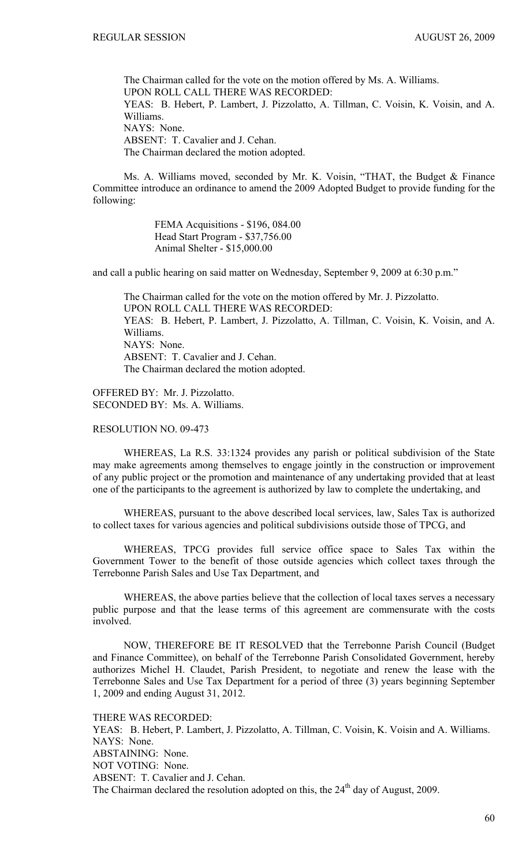The Chairman called for the vote on the motion offered by Ms. A. Williams. UPON ROLL CALL THERE WAS RECORDED: YEAS: B. Hebert, P. Lambert, J. Pizzolatto, A. Tillman, C. Voisin, K. Voisin, and A. Williams. NAYS: None. ABSENT: T. Cavalier and J. Cehan. The Chairman declared the motion adopted.

 Ms. A. Williams moved, seconded by Mr. K. Voisin, "THAT, the Budget & Finance Committee introduce an ordinance to amend the 2009 Adopted Budget to provide funding for the following:

> FEMA Acquisitions - \$196, 084.00 Head Start Program - \$37,756.00 Animal Shelter - \$15,000.00

and call a public hearing on said matter on Wednesday, September 9, 2009 at 6:30 p.m."

The Chairman called for the vote on the motion offered by Mr. J. Pizzolatto. UPON ROLL CALL THERE WAS RECORDED: YEAS: B. Hebert, P. Lambert, J. Pizzolatto, A. Tillman, C. Voisin, K. Voisin, and A. Williams. NAYS: None. ABSENT: T. Cavalier and J. Cehan. The Chairman declared the motion adopted.

OFFERED BY: Mr. J. Pizzolatto. SECONDED BY: Ms. A. Williams.

RESOLUTION NO. 09-473

 WHEREAS, La R.S. 33:1324 provides any parish or political subdivision of the State may make agreements among themselves to engage jointly in the construction or improvement of any public project or the promotion and maintenance of any undertaking provided that at least one of the participants to the agreement is authorized by law to complete the undertaking, and

 WHEREAS, pursuant to the above described local services, law, Sales Tax is authorized to collect taxes for various agencies and political subdivisions outside those of TPCG, and

 WHEREAS, TPCG provides full service office space to Sales Tax within the Government Tower to the benefit of those outside agencies which collect taxes through the Terrebonne Parish Sales and Use Tax Department, and

 WHEREAS, the above parties believe that the collection of local taxes serves a necessary public purpose and that the lease terms of this agreement are commensurate with the costs involved.

 NOW, THEREFORE BE IT RESOLVED that the Terrebonne Parish Council (Budget and Finance Committee), on behalf of the Terrebonne Parish Consolidated Government, hereby authorizes Michel H. Claudet, Parish President, to negotiate and renew the lease with the Terrebonne Sales and Use Tax Department for a period of three (3) years beginning September 1, 2009 and ending August 31, 2012.

THERE WAS RECORDED:

YEAS: B. Hebert, P. Lambert, J. Pizzolatto, A. Tillman, C. Voisin, K. Voisin and A. Williams. NAYS: None. ABSTAINING: None. NOT VOTING: None. ABSENT: T. Cavalier and J. Cehan. The Chairman declared the resolution adopted on this, the  $24<sup>th</sup>$  day of August, 2009.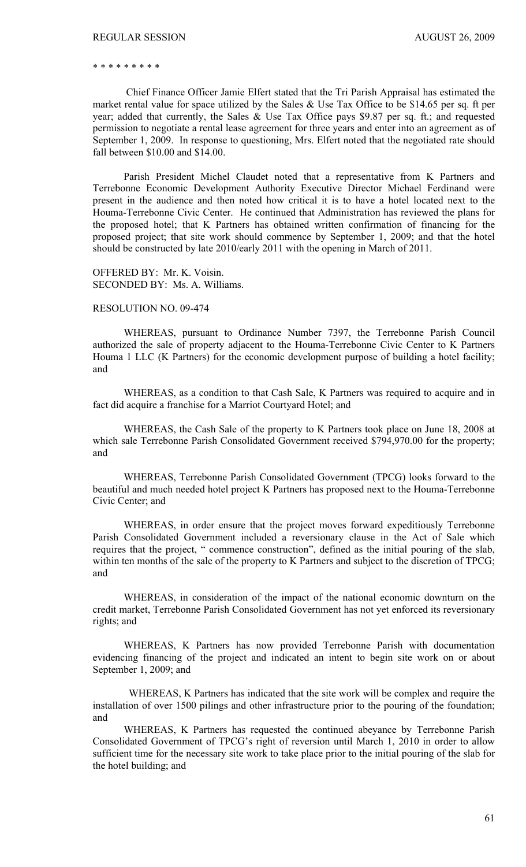#### \* \* \* \* \* \* \* \* \*

 Chief Finance Officer Jamie Elfert stated that the Tri Parish Appraisal has estimated the market rental value for space utilized by the Sales & Use Tax Office to be \$14.65 per sq. ft per year; added that currently, the Sales & Use Tax Office pays \$9.87 per sq. ft.; and requested permission to negotiate a rental lease agreement for three years and enter into an agreement as of September 1, 2009. In response to questioning, Mrs. Elfert noted that the negotiated rate should fall between \$10.00 and \$14.00.

 Parish President Michel Claudet noted that a representative from K Partners and Terrebonne Economic Development Authority Executive Director Michael Ferdinand were present in the audience and then noted how critical it is to have a hotel located next to the Houma-Terrebonne Civic Center. He continued that Administration has reviewed the plans for the proposed hotel; that K Partners has obtained written confirmation of financing for the proposed project; that site work should commence by September 1, 2009; and that the hotel should be constructed by late 2010/early 2011 with the opening in March of 2011.

OFFERED BY: Mr. K. Voisin. SECONDED BY: Ms. A. Williams.

#### RESOLUTION NO. 09-474

 WHEREAS, pursuant to Ordinance Number 7397, the Terrebonne Parish Council authorized the sale of property adjacent to the Houma-Terrebonne Civic Center to K Partners Houma 1 LLC (K Partners) for the economic development purpose of building a hotel facility; and

 WHEREAS, as a condition to that Cash Sale, K Partners was required to acquire and in fact did acquire a franchise for a Marriot Courtyard Hotel; and

 WHEREAS, the Cash Sale of the property to K Partners took place on June 18, 2008 at which sale Terrebonne Parish Consolidated Government received \$794,970.00 for the property; and

 WHEREAS, Terrebonne Parish Consolidated Government (TPCG) looks forward to the beautiful and much needed hotel project K Partners has proposed next to the Houma-Terrebonne Civic Center; and

 WHEREAS, in order ensure that the project moves forward expeditiously Terrebonne Parish Consolidated Government included a reversionary clause in the Act of Sale which requires that the project, " commence construction", defined as the initial pouring of the slab, within ten months of the sale of the property to K Partners and subject to the discretion of TPCG; and

 WHEREAS, in consideration of the impact of the national economic downturn on the credit market, Terrebonne Parish Consolidated Government has not yet enforced its reversionary rights; and

 WHEREAS, K Partners has now provided Terrebonne Parish with documentation evidencing financing of the project and indicated an intent to begin site work on or about September 1, 2009; and

 WHEREAS, K Partners has indicated that the site work will be complex and require the installation of over 1500 pilings and other infrastructure prior to the pouring of the foundation; and

 WHEREAS, K Partners has requested the continued abeyance by Terrebonne Parish Consolidated Government of TPCG's right of reversion until March 1, 2010 in order to allow sufficient time for the necessary site work to take place prior to the initial pouring of the slab for the hotel building; and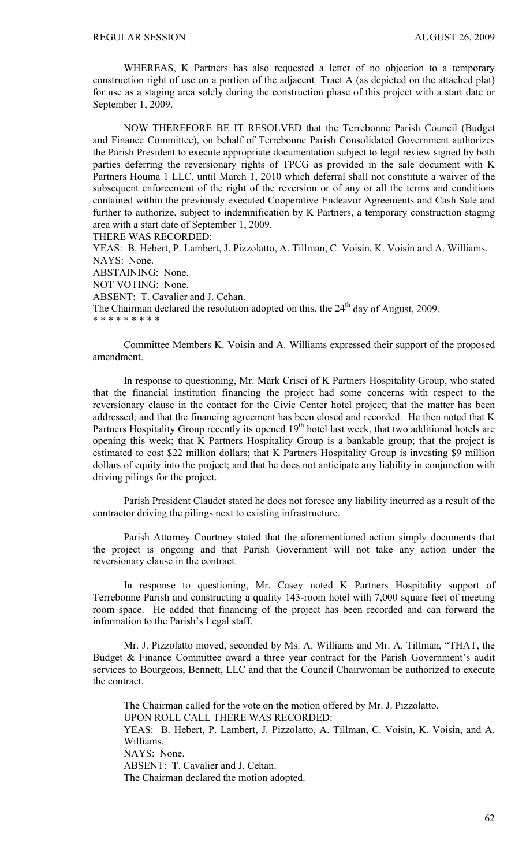WHEREAS, K Partners has also requested a letter of no objection to a temporary construction right of use on a portion of the adjacent Tract A (as depicted on the attached plat) for use as a staging area solely during the construction phase of this project with a start date or September 1, 2009.

 NOW THEREFORE BE IT RESOLVED that the Terrebonne Parish Council (Budget and Finance Committee), on behalf of Terrebonne Parish Consolidated Government authorizes the Parish President to execute appropriate documentation subject to legal review signed by both parties deferring the reversionary rights of TPCG as provided in the sale document with K Partners Houma 1 LLC, until March 1, 2010 which deferral shall not constitute a waiver of the subsequent enforcement of the right of the reversion or of any or all the terms and conditions contained within the previously executed Cooperative Endeavor Agreements and Cash Sale and further to authorize, subject to indemnification by K Partners, a temporary construction staging area with a start date of September 1, 2009.

THERE WAS RECORDED:

YEAS: B. Hebert, P. Lambert, J. Pizzolatto, A. Tillman, C. Voisin, K. Voisin and A. Williams. NAYS: None.

ABSTAINING: None.

NOT VOTING: None.

ABSENT: T. Cavalier and J. Cehan.

The Chairman declared the resolution adopted on this, the  $24<sup>th</sup>$  day of August, 2009.

\* \* \* \* \* \* \* \* \*

 Committee Members K. Voisin and A. Williams expressed their support of the proposed amendment.

 In response to questioning, Mr. Mark Crisci of K Partners Hospitality Group, who stated that the financial institution financing the project had some concerns with respect to the reversionary clause in the contact for the Civic Center hotel project; that the matter has been addressed; and that the financing agreement has been closed and recorded. He then noted that K Partners Hospitality Group recently its opened 19<sup>th</sup> hotel last week, that two additional hotels are opening this week; that K Partners Hospitality Group is a bankable group; that the project is estimated to cost \$22 million dollars; that K Partners Hospitality Group is investing \$9 million dollars of equity into the project; and that he does not anticipate any liability in conjunction with driving pilings for the project.

 Parish President Claudet stated he does not foresee any liability incurred as a result of the contractor driving the pilings next to existing infrastructure.

 Parish Attorney Courtney stated that the aforementioned action simply documents that the project is ongoing and that Parish Government will not take any action under the reversionary clause in the contract.

 In response to questioning, Mr. Casey noted K Partners Hospitality support of Terrebonne Parish and constructing a quality 143-room hotel with 7,000 square feet of meeting room space. He added that financing of the project has been recorded and can forward the information to the Parish's Legal staff.

 Mr. J. Pizzolatto moved, seconded by Ms. A. Williams and Mr. A. Tillman, "THAT, the Budget & Finance Committee award a three year contract for the Parish Government's audit services to Bourgeois, Bennett, LLC and that the Council Chairwoman be authorized to execute the contract.

The Chairman called for the vote on the motion offered by Mr. J. Pizzolatto. UPON ROLL CALL THERE WAS RECORDED: YEAS: B. Hebert, P. Lambert, J. Pizzolatto, A. Tillman, C. Voisin, K. Voisin, and A. Williams. NAYS: None. ABSENT: T. Cavalier and J. Cehan. The Chairman declared the motion adopted.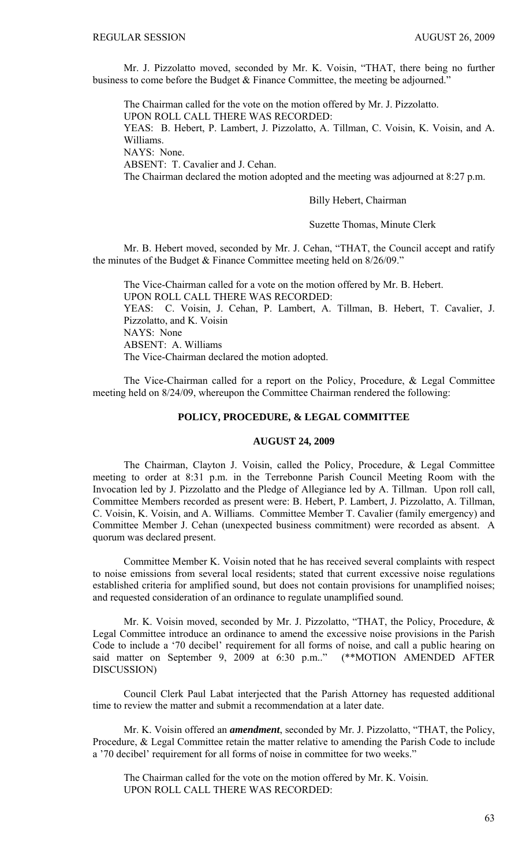Mr. J. Pizzolatto moved, seconded by Mr. K. Voisin, "THAT, there being no further business to come before the Budget & Finance Committee, the meeting be adjourned."

 The Chairman called for the vote on the motion offered by Mr. J. Pizzolatto. UPON ROLL CALL THERE WAS RECORDED: YEAS: B. Hebert, P. Lambert, J. Pizzolatto, A. Tillman, C. Voisin, K. Voisin, and A. Williams. NAYS: None. ABSENT: T. Cavalier and J. Cehan. The Chairman declared the motion adopted and the meeting was adjourned at 8:27 p.m.

#### Billy Hebert, Chairman

#### Suzette Thomas, Minute Clerk

 Mr. B. Hebert moved, seconded by Mr. J. Cehan, "THAT, the Council accept and ratify the minutes of the Budget & Finance Committee meeting held on 8/26/09."

 The Vice-Chairman called for a vote on the motion offered by Mr. B. Hebert. UPON ROLL CALL THERE WAS RECORDED: YEAS: C. Voisin, J. Cehan, P. Lambert, A. Tillman, B. Hebert, T. Cavalier, J. Pizzolatto, and K. Voisin NAYS: None ABSENT: A. Williams The Vice-Chairman declared the motion adopted.

 The Vice-Chairman called for a report on the Policy, Procedure, & Legal Committee meeting held on 8/24/09, whereupon the Committee Chairman rendered the following:

### **POLICY, PROCEDURE, & LEGAL COMMITTEE**

### **AUGUST 24, 2009**

 The Chairman, Clayton J. Voisin, called the Policy, Procedure, & Legal Committee meeting to order at 8:31 p.m. in the Terrebonne Parish Council Meeting Room with the Invocation led by J. Pizzolatto and the Pledge of Allegiance led by A. Tillman. Upon roll call, Committee Members recorded as present were: B. Hebert, P. Lambert, J. Pizzolatto, A. Tillman, C. Voisin, K. Voisin, and A. Williams. Committee Member T. Cavalier (family emergency) and Committee Member J. Cehan (unexpected business commitment) were recorded as absent. A quorum was declared present.

 Committee Member K. Voisin noted that he has received several complaints with respect to noise emissions from several local residents; stated that current excessive noise regulations established criteria for amplified sound, but does not contain provisions for unamplified noises; and requested consideration of an ordinance to regulate unamplified sound.

 Mr. K. Voisin moved, seconded by Mr. J. Pizzolatto, "THAT, the Policy, Procedure, & Legal Committee introduce an ordinance to amend the excessive noise provisions in the Parish Code to include a '70 decibel' requirement for all forms of noise, and call a public hearing on said matter on September 9, 2009 at 6:30 p.m.." (\*\*MOTION AMENDED AFTER DISCUSSION)

 Council Clerk Paul Labat interjected that the Parish Attorney has requested additional time to review the matter and submit a recommendation at a later date.

 Mr. K. Voisin offered an *amendment*, seconded by Mr. J. Pizzolatto, "THAT, the Policy, Procedure, & Legal Committee retain the matter relative to amending the Parish Code to include a '70 decibel' requirement for all forms of noise in committee for two weeks."

 The Chairman called for the vote on the motion offered by Mr. K. Voisin. UPON ROLL CALL THERE WAS RECORDED: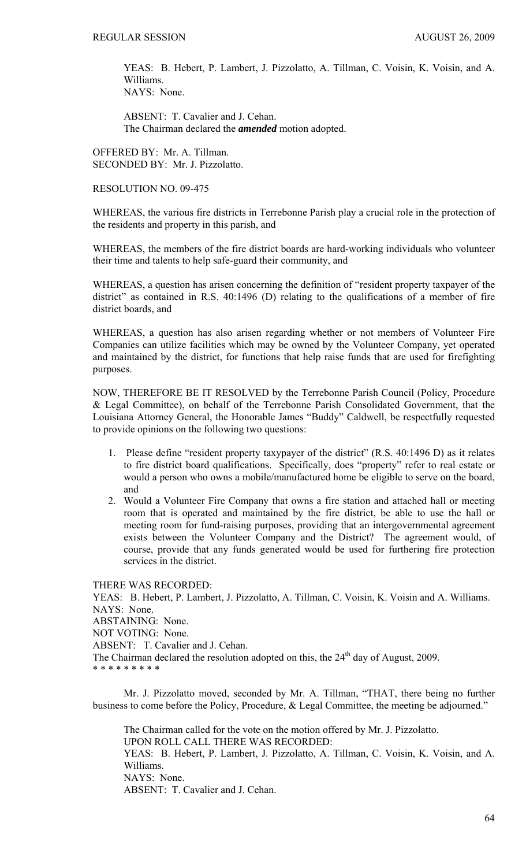YEAS: B. Hebert, P. Lambert, J. Pizzolatto, A. Tillman, C. Voisin, K. Voisin, and A. Williams. NAYS: None.

ABSENT: T. Cavalier and J. Cehan. The Chairman declared the *amended* motion adopted.

OFFERED BY: Mr. A. Tillman. SECONDED BY: Mr. J. Pizzolatto.

## RESOLUTION NO. 09-475

WHEREAS, the various fire districts in Terrebonne Parish play a crucial role in the protection of the residents and property in this parish, and

WHEREAS, the members of the fire district boards are hard-working individuals who volunteer their time and talents to help safe-guard their community, and

WHEREAS, a question has arisen concerning the definition of "resident property taxpayer of the district" as contained in R.S. 40:1496 (D) relating to the qualifications of a member of fire district boards, and

WHEREAS, a question has also arisen regarding whether or not members of Volunteer Fire Companies can utilize facilities which may be owned by the Volunteer Company, yet operated and maintained by the district, for functions that help raise funds that are used for firefighting purposes.

NOW, THEREFORE BE IT RESOLVED by the Terrebonne Parish Council (Policy, Procedure & Legal Committee), on behalf of the Terrebonne Parish Consolidated Government, that the Louisiana Attorney General, the Honorable James "Buddy" Caldwell, be respectfully requested to provide opinions on the following two questions:

- 1. Please define "resident property taxypayer of the district" (R.S. 40:1496 D) as it relates to fire district board qualifications. Specifically, does "property" refer to real estate or would a person who owns a mobile/manufactured home be eligible to serve on the board, and
- 2. Would a Volunteer Fire Company that owns a fire station and attached hall or meeting room that is operated and maintained by the fire district, be able to use the hall or meeting room for fund-raising purposes, providing that an intergovernmental agreement exists between the Volunteer Company and the District? The agreement would, of course, provide that any funds generated would be used for furthering fire protection services in the district.

#### THERE WAS RECORDED:

YEAS: B. Hebert, P. Lambert, J. Pizzolatto, A. Tillman, C. Voisin, K. Voisin and A. Williams. NAYS: None. ABSTAINING: None. NOT VOTING: None. ABSENT: T. Cavalier and J. Cehan. The Chairman declared the resolution adopted on this, the  $24<sup>th</sup>$  day of August, 2009. \* \* \* \* \* \* \* \* \*

 Mr. J. Pizzolatto moved, seconded by Mr. A. Tillman, "THAT, there being no further business to come before the Policy, Procedure, & Legal Committee, the meeting be adjourned."

 The Chairman called for the vote on the motion offered by Mr. J. Pizzolatto. UPON ROLL CALL THERE WAS RECORDED: YEAS: B. Hebert, P. Lambert, J. Pizzolatto, A. Tillman, C. Voisin, K. Voisin, and A. Williams. NAYS: None. ABSENT: T. Cavalier and J. Cehan.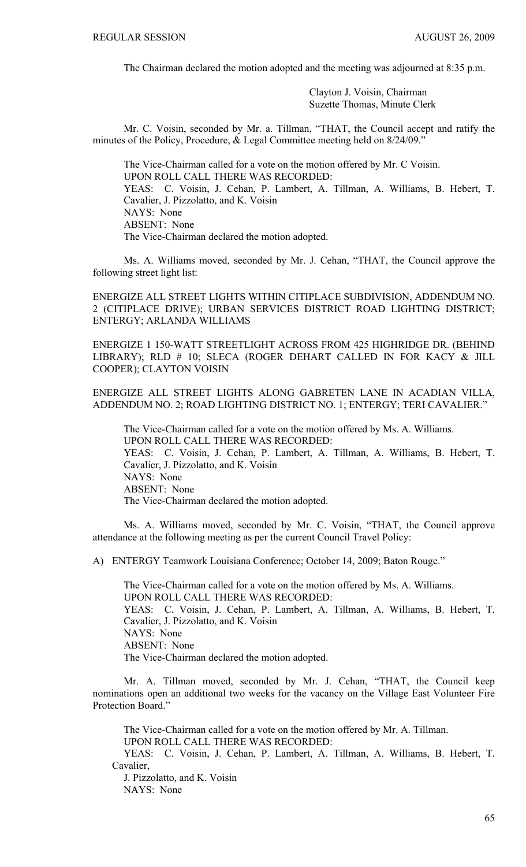The Chairman declared the motion adopted and the meeting was adjourned at 8:35 p.m.

 Clayton J. Voisin, Chairman Suzette Thomas, Minute Clerk

 Mr. C. Voisin, seconded by Mr. a. Tillman, "THAT, the Council accept and ratify the minutes of the Policy, Procedure, & Legal Committee meeting held on 8/24/09."

 The Vice-Chairman called for a vote on the motion offered by Mr. C Voisin. UPON ROLL CALL THERE WAS RECORDED: YEAS: C. Voisin, J. Cehan, P. Lambert, A. Tillman, A. Williams, B. Hebert, T. Cavalier, J. Pizzolatto, and K. Voisin NAYS: None ABSENT: None The Vice-Chairman declared the motion adopted.

 Ms. A. Williams moved, seconded by Mr. J. Cehan, "THAT, the Council approve the following street light list:

ENERGIZE ALL STREET LIGHTS WITHIN CITIPLACE SUBDIVISION, ADDENDUM NO. 2 (CITIPLACE DRIVE); URBAN SERVICES DISTRICT ROAD LIGHTING DISTRICT; ENTERGY; ARLANDA WILLIAMS

ENERGIZE 1 150-WATT STREETLIGHT ACROSS FROM 425 HIGHRIDGE DR. (BEHIND LIBRARY); RLD # 10; SLECA (ROGER DEHART CALLED IN FOR KACY & JILL COOPER); CLAYTON VOISIN

ENERGIZE ALL STREET LIGHTS ALONG GABRETEN LANE IN ACADIAN VILLA, ADDENDUM NO. 2; ROAD LIGHTING DISTRICT NO. 1; ENTERGY; TERI CAVALIER."

The Vice-Chairman called for a vote on the motion offered by Ms. A. Williams. UPON ROLL CALL THERE WAS RECORDED: YEAS: C. Voisin, J. Cehan, P. Lambert, A. Tillman, A. Williams, B. Hebert, T. Cavalier, J. Pizzolatto, and K. Voisin NAYS: None ABSENT: None The Vice-Chairman declared the motion adopted.

 Ms. A. Williams moved, seconded by Mr. C. Voisin, "THAT, the Council approve attendance at the following meeting as per the current Council Travel Policy:

A) ENTERGY Teamwork Louisiana Conference; October 14, 2009; Baton Rouge."

 The Vice-Chairman called for a vote on the motion offered by Ms. A. Williams. UPON ROLL CALL THERE WAS RECORDED: YEAS: C. Voisin, J. Cehan, P. Lambert, A. Tillman, A. Williams, B. Hebert, T. Cavalier, J. Pizzolatto, and K. Voisin NAYS: None ABSENT: None The Vice-Chairman declared the motion adopted.

 Mr. A. Tillman moved, seconded by Mr. J. Cehan, "THAT, the Council keep nominations open an additional two weeks for the vacancy on the Village East Volunteer Fire Protection Board."

 The Vice-Chairman called for a vote on the motion offered by Mr. A. Tillman. UPON ROLL CALL THERE WAS RECORDED:

 YEAS: C. Voisin, J. Cehan, P. Lambert, A. Tillman, A. Williams, B. Hebert, T. Cavalier,

 J. Pizzolatto, and K. Voisin NAYS: None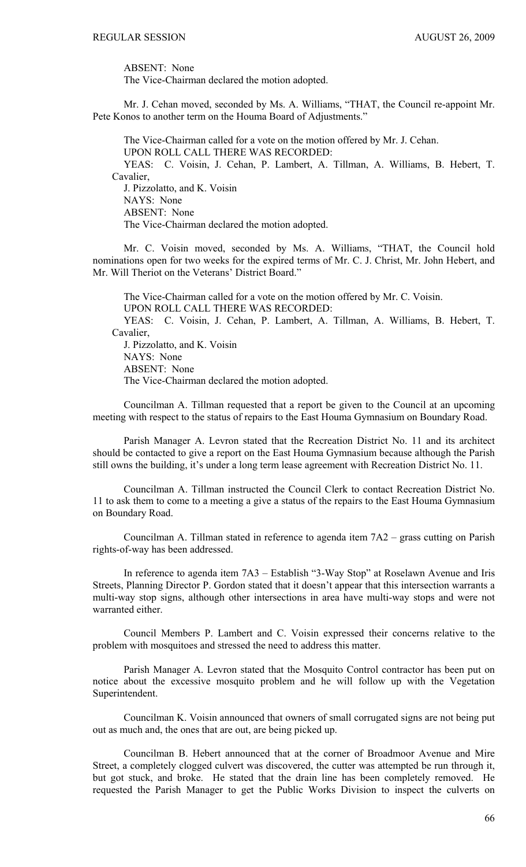ABSENT: None

The Vice-Chairman declared the motion adopted.

Mr. J. Cehan moved, seconded by Ms. A. Williams, "THAT, the Council re-appoint Mr. Pete Konos to another term on the Houma Board of Adjustments."

The Vice-Chairman called for a vote on the motion offered by Mr. J. Cehan.

UPON ROLL CALL THERE WAS RECORDED:

 YEAS: C. Voisin, J. Cehan, P. Lambert, A. Tillman, A. Williams, B. Hebert, T. Cavalier,

 J. Pizzolatto, and K. Voisin NAYS: None ABSENT: None The Vice-Chairman declared the motion adopted.

 Mr. C. Voisin moved, seconded by Ms. A. Williams, "THAT, the Council hold nominations open for two weeks for the expired terms of Mr. C. J. Christ, Mr. John Hebert, and Mr. Will Theriot on the Veterans' District Board."

 The Vice-Chairman called for a vote on the motion offered by Mr. C. Voisin. UPON ROLL CALL THERE WAS RECORDED: YEAS: C. Voisin, J. Cehan, P. Lambert, A. Tillman, A. Williams, B. Hebert, T. Cavalier, J. Pizzolatto, and K. Voisin

 NAYS: None ABSENT: None The Vice-Chairman declared the motion adopted.

Councilman A. Tillman requested that a report be given to the Council at an upcoming meeting with respect to the status of repairs to the East Houma Gymnasium on Boundary Road.

Parish Manager A. Levron stated that the Recreation District No. 11 and its architect should be contacted to give a report on the East Houma Gymnasium because although the Parish still owns the building, it's under a long term lease agreement with Recreation District No. 11.

Councilman A. Tillman instructed the Council Clerk to contact Recreation District No. 11 to ask them to come to a meeting a give a status of the repairs to the East Houma Gymnasium on Boundary Road.

Councilman A. Tillman stated in reference to agenda item 7A2 – grass cutting on Parish rights-of-way has been addressed.

In reference to agenda item 7A3 – Establish "3-Way Stop" at Roselawn Avenue and Iris Streets, Planning Director P. Gordon stated that it doesn't appear that this intersection warrants a multi-way stop signs, although other intersections in area have multi-way stops and were not warranted either.

Council Members P. Lambert and C. Voisin expressed their concerns relative to the problem with mosquitoes and stressed the need to address this matter.

Parish Manager A. Levron stated that the Mosquito Control contractor has been put on notice about the excessive mosquito problem and he will follow up with the Vegetation Superintendent.

Councilman K. Voisin announced that owners of small corrugated signs are not being put out as much and, the ones that are out, are being picked up.

Councilman B. Hebert announced that at the corner of Broadmoor Avenue and Mire Street, a completely clogged culvert was discovered, the cutter was attempted be run through it, but got stuck, and broke. He stated that the drain line has been completely removed. He requested the Parish Manager to get the Public Works Division to inspect the culverts on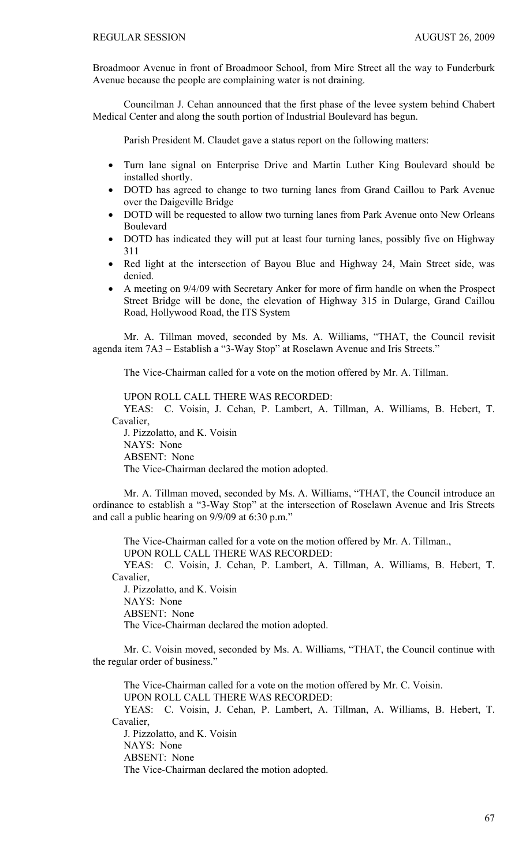Broadmoor Avenue in front of Broadmoor School, from Mire Street all the way to Funderburk Avenue because the people are complaining water is not draining.

Councilman J. Cehan announced that the first phase of the levee system behind Chabert Medical Center and along the south portion of Industrial Boulevard has begun.

Parish President M. Claudet gave a status report on the following matters:

- Turn lane signal on Enterprise Drive and Martin Luther King Boulevard should be installed shortly.
- DOTD has agreed to change to two turning lanes from Grand Caillou to Park Avenue over the Daigeville Bridge
- DOTD will be requested to allow two turning lanes from Park Avenue onto New Orleans Boulevard
- DOTD has indicated they will put at least four turning lanes, possibly five on Highway 311
- Red light at the intersection of Bayou Blue and Highway 24, Main Street side, was denied.
- A meeting on 9/4/09 with Secretary Anker for more of firm handle on when the Prospect Street Bridge will be done, the elevation of Highway 315 in Dularge, Grand Caillou Road, Hollywood Road, the ITS System

 Mr. A. Tillman moved, seconded by Ms. A. Williams, "THAT, the Council revisit agenda item 7A3 – Establish a "3-Way Stop" at Roselawn Avenue and Iris Streets."

The Vice-Chairman called for a vote on the motion offered by Mr. A. Tillman.

 UPON ROLL CALL THERE WAS RECORDED: YEAS: C. Voisin, J. Cehan, P. Lambert, A. Tillman, A. Williams, B. Hebert, T. Cavalier, J. Pizzolatto, and K. Voisin NAYS: None ABSENT: None

The Vice-Chairman declared the motion adopted.

 Mr. A. Tillman moved, seconded by Ms. A. Williams, "THAT, the Council introduce an ordinance to establish a "3-Way Stop" at the intersection of Roselawn Avenue and Iris Streets and call a public hearing on 9/9/09 at 6:30 p.m."

 The Vice-Chairman called for a vote on the motion offered by Mr. A. Tillman., UPON ROLL CALL THERE WAS RECORDED:

YEAS: C. Voisin, J. Cehan, P. Lambert, A. Tillman, A. Williams, B. Hebert, T.

Cavalier,

 J. Pizzolatto, and K. Voisin NAYS: None ABSENT: None The Vice-Chairman declared the motion adopted.

 Mr. C. Voisin moved, seconded by Ms. A. Williams, "THAT, the Council continue with the regular order of business."

 The Vice-Chairman called for a vote on the motion offered by Mr. C. Voisin. UPON ROLL CALL THERE WAS RECORDED:

 YEAS: C. Voisin, J. Cehan, P. Lambert, A. Tillman, A. Williams, B. Hebert, T. Cavalier,

 J. Pizzolatto, and K. Voisin NAYS: None ABSENT: None The Vice-Chairman declared the motion adopted.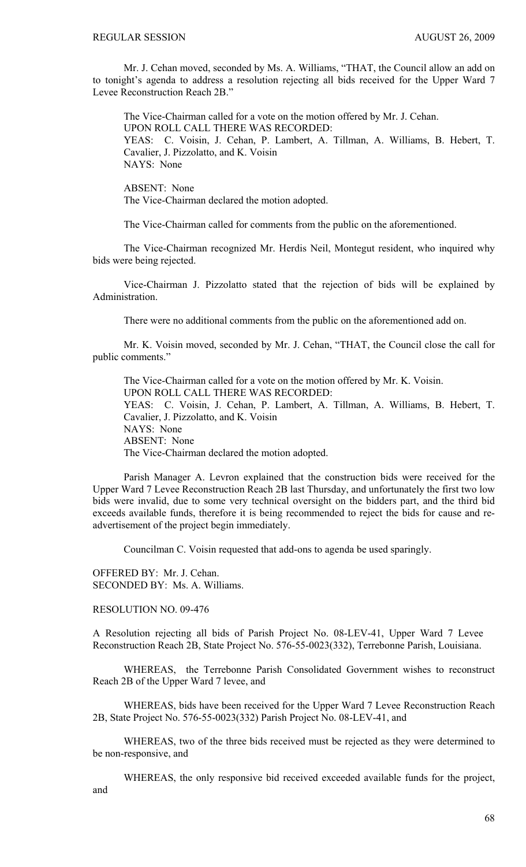Mr. J. Cehan moved, seconded by Ms. A. Williams, "THAT, the Council allow an add on to tonight's agenda to address a resolution rejecting all bids received for the Upper Ward 7 Levee Reconstruction Reach 2B."

 The Vice-Chairman called for a vote on the motion offered by Mr. J. Cehan. UPON ROLL CALL THERE WAS RECORDED: YEAS: C. Voisin, J. Cehan, P. Lambert, A. Tillman, A. Williams, B. Hebert, T. Cavalier, J. Pizzolatto, and K. Voisin NAYS: None

ABSENT: None The Vice-Chairman declared the motion adopted.

The Vice-Chairman called for comments from the public on the aforementioned.

 The Vice-Chairman recognized Mr. Herdis Neil, Montegut resident, who inquired why bids were being rejected.

 Vice-Chairman J. Pizzolatto stated that the rejection of bids will be explained by Administration.

There were no additional comments from the public on the aforementioned add on.

 Mr. K. Voisin moved, seconded by Mr. J. Cehan, "THAT, the Council close the call for public comments."

 The Vice-Chairman called for a vote on the motion offered by Mr. K. Voisin. UPON ROLL CALL THERE WAS RECORDED: YEAS: C. Voisin, J. Cehan, P. Lambert, A. Tillman, A. Williams, B. Hebert, T. Cavalier, J. Pizzolatto, and K. Voisin NAYS: None ABSENT: None The Vice-Chairman declared the motion adopted.

 Parish Manager A. Levron explained that the construction bids were received for the Upper Ward 7 Levee Reconstruction Reach 2B last Thursday, and unfortunately the first two low bids were invalid, due to some very technical oversight on the bidders part, and the third bid exceeds available funds, therefore it is being recommended to reject the bids for cause and readvertisement of the project begin immediately.

Councilman C. Voisin requested that add-ons to agenda be used sparingly.

OFFERED BY: Mr. J. Cehan. SECONDED BY: Ms. A. Williams.

RESOLUTION NO. 09-476

A Resolution rejecting all bids of Parish Project No. 08-LEV-41, Upper Ward 7 Levee Reconstruction Reach 2B, State Project No. 576-55-0023(332), Terrebonne Parish, Louisiana.

 WHEREAS, the Terrebonne Parish Consolidated Government wishes to reconstruct Reach 2B of the Upper Ward 7 levee, and

 WHEREAS, bids have been received for the Upper Ward 7 Levee Reconstruction Reach 2B, State Project No. 576-55-0023(332) Parish Project No. 08-LEV-41, and

 WHEREAS, two of the three bids received must be rejected as they were determined to be non-responsive, and

WHEREAS, the only responsive bid received exceeded available funds for the project, and